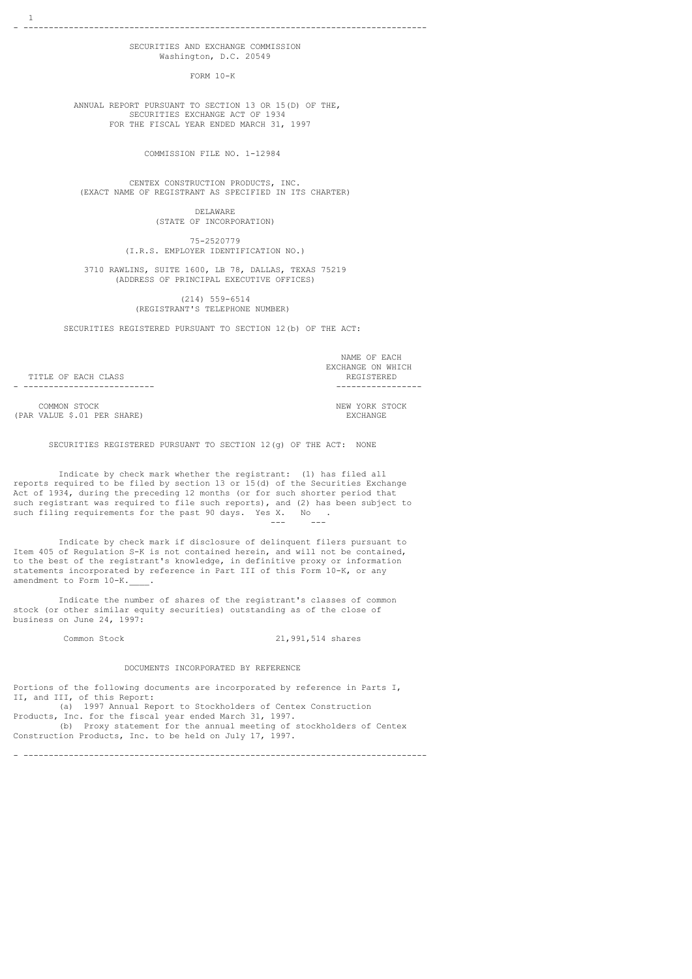### SECURITIES AND EXCHANGE COMMISSION Washington, D.C. 20549

FORM 10-K

 ANNUAL REPORT PURSUANT TO SECTION 13 OR 15(D) OF THE, SECURITIES EXCHANGE ACT OF 1934 FOR THE FISCAL YEAR ENDED MARCH 31, 1997

COMMISSION FILE NO. 1-12984

 CENTEX CONSTRUCTION PRODUCTS, INC. (EXACT NAME OF REGISTRANT AS SPECIFIED IN ITS CHARTER)

> DELAWARE (STATE OF INCORPORATION)

 75-2520779 (I.R.S. EMPLOYER IDENTIFICATION NO.)

 3710 RAWLINS, SUITE 1600, LB 78, DALLAS, TEXAS 75219 (ADDRESS OF PRINCIPAL EXECUTIVE OFFICES)

> (214) 559-6514 (REGISTRANT'S TELEPHONE NUMBER)

SECURITIES REGISTERED PURSUANT TO SECTION 12(b) OF THE ACT:

 NAME OF EACH EXCHANGE ON WHICH - -------------------------- -----------------

TITLE OF EACH CLASS

COMMON STOCK COMMON STOCK COMMON STOCK COMMON STOCK COMMON STOCK COMMON STOCK COMMON COMMON STOCK COMMON STOCK (PAR VALUE \$.01 PER SHARE)

SECURITIES REGISTERED PURSUANT TO SECTION 12(g) OF THE ACT: NONE

 Indicate by check mark whether the registrant: (1) has filed all reports required to be filed by section 13 or 15(d) of the Securities Exchange Act of 1934, during the preceding 12 months (or for such shorter period that such registrant was required to file such reports), and (2) has been subject to such filing requirements for the past 90 days. Yes X. No . --- ---

 Indicate by check mark if disclosure of delinquent filers pursuant to Item 405 of Regulation S-K is not contained herein, and will not be contained, to the best of the registrant's knowledge, in definitive proxy or information statements incorporated by reference in Part III of this Form 10-K, or any amendment to Form 10-K.

 Indicate the number of shares of the registrant's classes of common stock (or other similar equity securities) outstanding as of the close of business on June 24, 1997:

Common Stock 21,991,514 shares

#### DOCUMENTS INCORPORATED BY REFERENCE

Portions of the following documents are incorporated by reference in Parts I, II, and III, of this Report:

 (a) 1997 Annual Report to Stockholders of Centex Construction Products, Inc. for the fiscal year ended March 31, 1997.

 (b) Proxy statement for the annual meeting of stockholders of Centex Construction Products, Inc. to be held on July 17, 1997.

- --------------------------------------------------------------------------------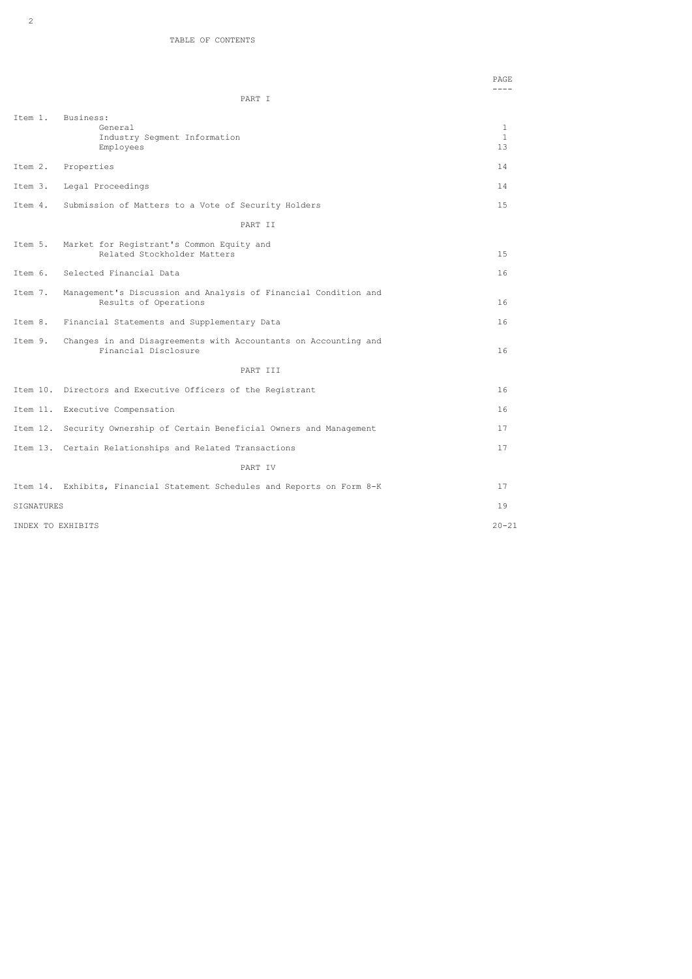|                   | PART I                                                                                   | $- - - -$               |
|-------------------|------------------------------------------------------------------------------------------|-------------------------|
|                   |                                                                                          |                         |
| Item 1.           | Business:<br>General<br>Industry Seqment Information<br>Employees                        | $\mathbf{1}$<br>1<br>13 |
| Item 2.           | Properties                                                                               | 14                      |
| Item 3.           | Legal Proceedings                                                                        | 14                      |
| Item 4.           | Submission of Matters to a Vote of Security Holders                                      | 1.5                     |
|                   | PART II                                                                                  |                         |
| Item 5.           | Market for Registrant's Common Equity and<br>Related Stockholder Matters                 | 15                      |
| Item 6.           | Selected Financial Data                                                                  | 16                      |
| Item 7.           | Management's Discussion and Analysis of Financial Condition and<br>Results of Operations | 16                      |
| Item 8.           | Financial Statements and Supplementary Data                                              | 16                      |
| Item 9.           | Changes in and Disagreements with Accountants on Accounting and<br>Financial Disclosure  | 16                      |
|                   | PART III                                                                                 |                         |
|                   | Item 10. Directors and Executive Officers of the Registrant                              | 16                      |
|                   | Item 11. Executive Compensation                                                          | 16                      |
|                   | Item 12. Security Ownership of Certain Beneficial Owners and Management                  | 17                      |
|                   | Item 13. Certain Relationships and Related Transactions                                  | 17                      |
|                   | PART IV                                                                                  |                         |
|                   | Item 14. Exhibits, Financial Statement Schedules and Reports on Form 8-K                 | 17                      |
| SIGNATURES        |                                                                                          | 19                      |
| INDEX TO EXHIBITS |                                                                                          | $20 - 21$               |

PAGE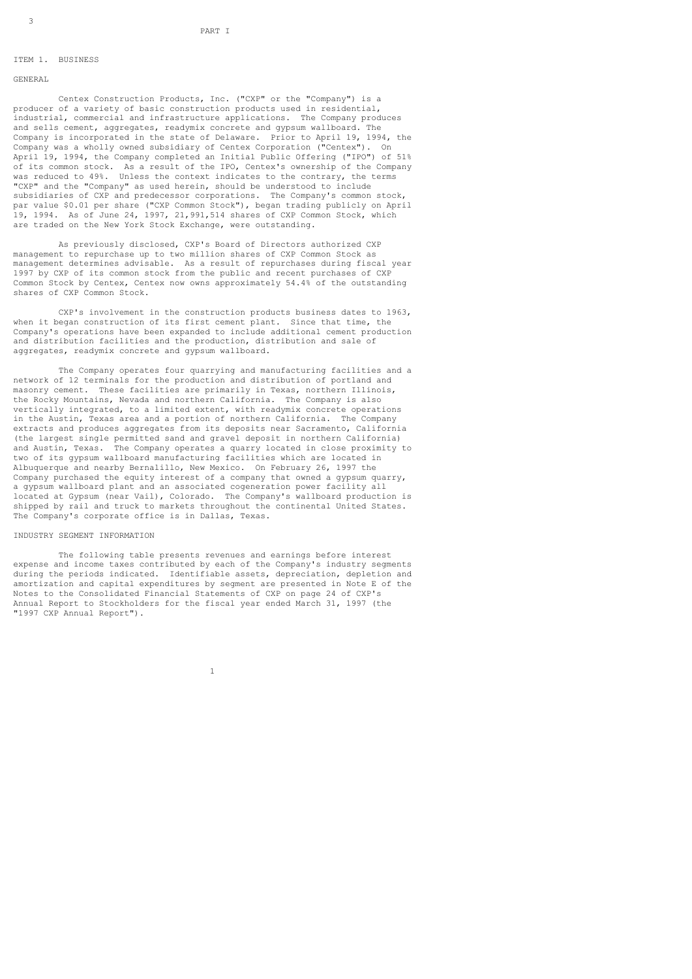### ITEM 1. BUSINESS

### GENERAL

 Centex Construction Products, Inc. ("CXP" or the "Company") is a producer of a variety of basic construction products used in residential, industrial, commercial and infrastructure applications. The Company produces and sells cement, aggregates, readymix concrete and gypsum wallboard. The Company is incorporated in the state of Delaware. Prior to April 19, 1994, the Company was a wholly owned subsidiary of Centex Corporation ("Centex"). On April 19, 1994, the Company completed an Initial Public Offering ("IPO") of 51% of its common stock. As a result of the IPO, Centex's ownership of the Company was reduced to 49%. Unless the context indicates to the contrary, the terms "CXP" and the "Company" as used herein, should be understood to include subsidiaries of CXP and predecessor corporations. The Company's common stock, par value \$0.01 per share ("CXP Common Stock"), began trading publicly on April 19, 1994. As of June 24, 1997, 21,991,514 shares of CXP Common Stock, which are traded on the New York Stock Exchange, were outstanding.

 As previously disclosed, CXP's Board of Directors authorized CXP management to repurchase up to two million shares of CXP Common Stock as management determines advisable. As a result of repurchases during fiscal year 1997 by CXP of its common stock from the public and recent purchases of CXP Common Stock by Centex, Centex now owns approximately 54.4% of the outstanding shares of CXP Common Stock.

 CXP's involvement in the construction products business dates to 1963, when it began construction of its first cement plant. Since that time, the Company's operations have been expanded to include additional cement production and distribution facilities and the production, distribution and sale of aggregates, readymix concrete and gypsum wallboard.

 The Company operates four quarrying and manufacturing facilities and a network of 12 terminals for the production and distribution of portland and masonry cement. These facilities are primarily in Texas, northern Illinois, the Rocky Mountains, Nevada and northern California. The Company is also vertically integrated, to a limited extent, with readymix concrete operations in the Austin, Texas area and a portion of northern California. The Company extracts and produces aggregates from its deposits near Sacramento, California (the largest single permitted sand and gravel deposit in northern California) and Austin, Texas. The Company operates a quarry located in close proximity to two of its gypsum wallboard manufacturing facilities which are located in Albuquerque and nearby Bernalillo, New Mexico. On February 26, 1997 the Company purchased the equity interest of a company that owned a gypsum quarry, a gypsum wallboard plant and an associated cogeneration power facility all located at Gypsum (near Vail), Colorado. The Company's wallboard production is shipped by rail and truck to markets throughout the continental United States. The Company's corporate office is in Dallas, Texas.

#### INDUSTRY SEGMENT INFORMATION

1

 The following table presents revenues and earnings before interest expense and income taxes contributed by each of the Company's industry segments during the periods indicated. Identifiable assets, depreciation, depletion and amortization and capital expenditures by segment are presented in Note E of the Notes to the Consolidated Financial Statements of CXP on page 24 of CXP's Annual Report to Stockholders for the fiscal year ended March 31, 1997 (the "1997 CXP Annual Report").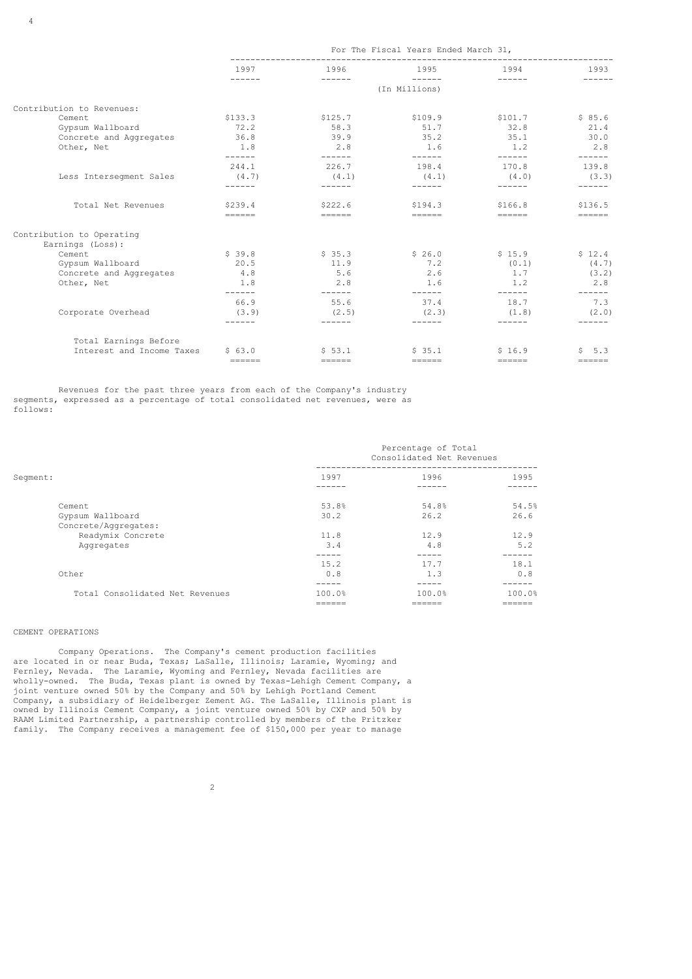|                           | For The Fiscal Years Ended March 31,                                                                                                                                                                                                                                                                                                                                                                                                                                                                                               |               |               |                         |                 |
|---------------------------|------------------------------------------------------------------------------------------------------------------------------------------------------------------------------------------------------------------------------------------------------------------------------------------------------------------------------------------------------------------------------------------------------------------------------------------------------------------------------------------------------------------------------------|---------------|---------------|-------------------------|-----------------|
|                           | 1997                                                                                                                                                                                                                                                                                                                                                                                                                                                                                                                               | 1996          | 1995          | 1994                    | 1993<br>------  |
|                           | $\begin{array}{cccccccccc} \multicolumn{2}{c}{} & \multicolumn{2}{c}{} & \multicolumn{2}{c}{} & \multicolumn{2}{c}{} & \multicolumn{2}{c}{} & \multicolumn{2}{c}{} & \multicolumn{2}{c}{} & \multicolumn{2}{c}{} & \multicolumn{2}{c}{} & \multicolumn{2}{c}{} & \multicolumn{2}{c}{} & \multicolumn{2}{c}{} & \multicolumn{2}{c}{} & \multicolumn{2}{c}{} & \multicolumn{2}{c}{} & \multicolumn{2}{c}{} & \multicolumn{2}{c}{} & \multicolumn{2}{c}{} & \multicolumn{2}{c}{} & \mult$<br>$- - - - - -$<br>------<br>(In Millions) |               |               |                         |                 |
| Contribution to Revenues: |                                                                                                                                                                                                                                                                                                                                                                                                                                                                                                                                    |               |               |                         |                 |
| Cement                    | \$133.3                                                                                                                                                                                                                                                                                                                                                                                                                                                                                                                            | \$125.7       | \$109.9       | \$101.7                 | \$85.6          |
| Gypsum Wallboard          | 72.2                                                                                                                                                                                                                                                                                                                                                                                                                                                                                                                               | 58.3          | 51.7          | 32.8                    | 21.4            |
| Concrete and Aggregates   | 36.8                                                                                                                                                                                                                                                                                                                                                                                                                                                                                                                               | 39.9          | 35.2          | 35.1                    | 30.0            |
| Other, Net                | 1.8<br>-------                                                                                                                                                                                                                                                                                                                                                                                                                                                                                                                     | 2.8<br>------ | 1.6<br>------ | 1.2<br>------           | 2.8             |
|                           | 244.1                                                                                                                                                                                                                                                                                                                                                                                                                                                                                                                              | 226.7         | 198.4         | 170.8                   | ------<br>139.8 |
| Less Interseqment Sales   | (4.7)                                                                                                                                                                                                                                                                                                                                                                                                                                                                                                                              | (4.1)         | (4.1)         | (4.0)                   | (3.3)           |
|                           | ------                                                                                                                                                                                                                                                                                                                                                                                                                                                                                                                             |               |               | ------                  | ------          |
| Total Net Revenues        | \$239.4                                                                                                                                                                                                                                                                                                                                                                                                                                                                                                                            | \$222.6       | \$194.3       | \$166.8                 | \$136.5         |
|                           | $=$                                                                                                                                                                                                                                                                                                                                                                                                                                                                                                                                | $=$           | $======$      | $======$                | $======$        |
| Contribution to Operating |                                                                                                                                                                                                                                                                                                                                                                                                                                                                                                                                    |               |               |                         |                 |
| Earnings (Loss):          |                                                                                                                                                                                                                                                                                                                                                                                                                                                                                                                                    |               |               |                         |                 |
| Cement                    | \$39.8                                                                                                                                                                                                                                                                                                                                                                                                                                                                                                                             | \$35.3        | \$26.0        | \$15.9                  | \$12.4          |
| Gypsum Wallboard          | 20.5                                                                                                                                                                                                                                                                                                                                                                                                                                                                                                                               | 11.9          | 7.2           | (0.1)                   | (4.7)           |
| Concrete and Aggregates   | 4.8                                                                                                                                                                                                                                                                                                                                                                                                                                                                                                                                | 5.6           | 2.6           | 1.7                     | (3.2)           |
| Other, Net                | 1.8                                                                                                                                                                                                                                                                                                                                                                                                                                                                                                                                | 2.8           | 1.6           | 1.2                     | 2.8             |
|                           | $- - - - - -$                                                                                                                                                                                                                                                                                                                                                                                                                                                                                                                      | ------        | ------        | ------                  | ------          |
|                           | 66.9                                                                                                                                                                                                                                                                                                                                                                                                                                                                                                                               | 55.6          | 37.4          | 18.7                    | 7.3             |
| Corporate Overhead        | (3.9)                                                                                                                                                                                                                                                                                                                                                                                                                                                                                                                              | (2.5)         | (2, 3)        | (1.8)                   | (2.0)           |
|                           | -------                                                                                                                                                                                                                                                                                                                                                                                                                                                                                                                            | ------        |               | ------                  |                 |
| Total Earnings Before     |                                                                                                                                                                                                                                                                                                                                                                                                                                                                                                                                    |               |               |                         |                 |
| Interest and Income Taxes | \$63.0                                                                                                                                                                                                                                                                                                                                                                                                                                                                                                                             | \$53.1        | \$35.1        | \$16.9                  | \$5.3           |
|                           | $=$ $=$ $=$ $=$ $=$                                                                                                                                                                                                                                                                                                                                                                                                                                                                                                                | $=$           | $======$      | $=$ $=$ $=$ $=$ $=$ $=$ | $======$        |

 Revenues for the past three years from each of the Company's industry segments, expressed as a percentage of total consolidated net revenues, were as follows:

|                                 | Percentage of Total<br>Consolidated Net Revenues |        |        |
|---------------------------------|--------------------------------------------------|--------|--------|
| Segment:                        | 1997                                             | 1996   | 1995   |
|                                 |                                                  |        |        |
| Cement                          | 53.8%                                            | 54.8%  | 54.5%  |
| Gypsum Wallboard                | 30.2                                             | 26.2   | 26.6   |
| Concrete/Aggregates:            |                                                  |        |        |
| Readymix Concrete               | 11.8                                             | 12.9   | 12.9   |
| Aggregates                      | 3.4                                              | 4.8    | 5.2    |
|                                 |                                                  |        |        |
|                                 | 15.2                                             | 17.7   | 18.1   |
| Other                           | 0.8                                              | 1.3    | 0.8    |
|                                 |                                                  |        |        |
| Total Consolidated Net Revenues | 100.0%                                           | 100.0% | 100.0% |
|                                 | ------                                           | ------ | ------ |

# CEMENT OPERATIONS

4

 Company Operations. The Company's cement production facilities are located in or near Buda, Texas; LaSalle, Illinois; Laramie, Wyoming; and Fernley, Nevada. The Laramie, Wyoming and Fernley, Nevada facilities are wholly-owned. The Buda, Texas plant is owned by Texas-Lehigh Cement Company, a joint venture owned 50% by the Company and 50% by Lehigh Portland Cement Company, a subsidiary of Heidelberger Zement AG. The LaSalle, Illinois plant is owned by Illinois Cement Company, a joint venture owned 50% by CXP and 50% by RAAM Limited Partnership, a partnership controlled by members of the Pritzker family. The Company receives a management fee of \$150,000 per year to manage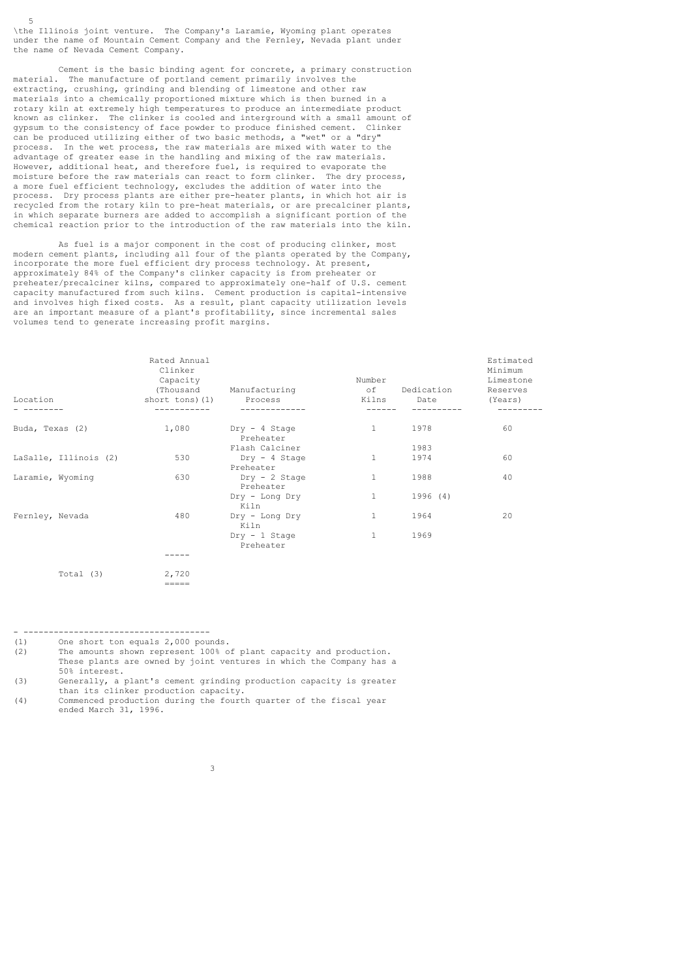\the Illinois joint venture. The Company's Laramie, Wyoming plant operates under the name of Mountain Cement Company and the Fernley, Nevada plant under the name of Nevada Cement Company.

5

 Cement is the basic binding agent for concrete, a primary construction material. The manufacture of portland cement primarily involves the extracting, crushing, grinding and blending of limestone and other raw materials into a chemically proportioned mixture which is then burned in a rotary kiln at extremely high temperatures to produce an intermediate product known as clinker. The clinker is cooled and interground with a small amount of gypsum to the consistency of face powder to produce finished cement. Clinker can be produced utilizing either of two basic methods, a "wet" or a "dry" process. In the wet process, the raw materials are mixed with water to the advantage of greater ease in the handling and mixing of the raw materials. However, additional heat, and therefore fuel, is required to evaporate the moisture before the raw materials can react to form clinker. The dry process, a more fuel efficient technology, excludes the addition of water into the process. Dry process plants are either pre-heater plants, in which hot air is recycled from the rotary kiln to pre-heat materials, or are precalciner plants, in which separate burners are added to accomplish a significant portion of the chemical reaction prior to the introduction of the raw materials into the kiln.

 As fuel is a major component in the cost of producing clinker, most modern cement plants, including all four of the plants operated by the Company, incorporate the more fuel efficient dry process technology. At present, approximately 84% of the Company's clinker capacity is from preheater or preheater/precalciner kilns, compared to approximately one-half of U.S. cement capacity manufactured from such kilns. Cement production is capital-intensive and involves high fixed costs. As a result, plant capacity utilization levels are an important measure of a plant's profitability, since incremental sales volumes tend to generate increasing profit margins.

| Location              | Rated Annual<br>Clinker<br>Capacity<br>short tons) (1) | (Thousand Manufacturing<br>Process  | Number<br>of | Dedication<br>Kilns Date | Estimated<br>Minimum<br>Limestone<br>Reserves<br>(Years) |
|-----------------------|--------------------------------------------------------|-------------------------------------|--------------|--------------------------|----------------------------------------------------------|
| Buda, Texas (2)       | 1,080                                                  | Dry - 4 Stage<br>Preheater          | $\mathbf{1}$ | 1978                     | 60                                                       |
|                       |                                                        | Flash Calciner                      |              | 1983                     |                                                          |
| LaSalle, Illinois (2) | 530                                                    | $Dry - 4$ Stage<br>Preheater        | $\mathbf{1}$ | 1974                     | 60                                                       |
| Laramie, Wyoming      | 630                                                    | $Dry - 2$ Stage<br>Preheater        | $\mathbf{1}$ | 1988                     | 40                                                       |
|                       |                                                        | Dry - Long Dry<br>Kiln              |              | 1996 (4)                 |                                                          |
| Fernley, Nevada       | 480                                                    | Dry - Long Dry<br>Kiln              | 1            | 1964                     | 20                                                       |
|                       |                                                        | $\text{Drv} - 1$ Stage<br>Preheater | $\mathbf{1}$ | 1969                     |                                                          |
|                       |                                                        |                                     |              |                          |                                                          |
| Total (3)             | 2,720                                                  |                                     |              |                          |                                                          |
|                       |                                                        |                                     |              |                          |                                                          |

- -------------------------------------

=====

(1) One short ton equals 2,000 pounds.

(2) The amounts shown represent 100% of plant capacity and production. These plants are owned by joint ventures in which the Company has a 50% interest.<br>(3) Generally, a

Generally, a plant's cement grinding production capacity is greater than its clinker production capacity.

(4) Commenced production during the fourth quarter of the fiscal year ended March 31, 1996.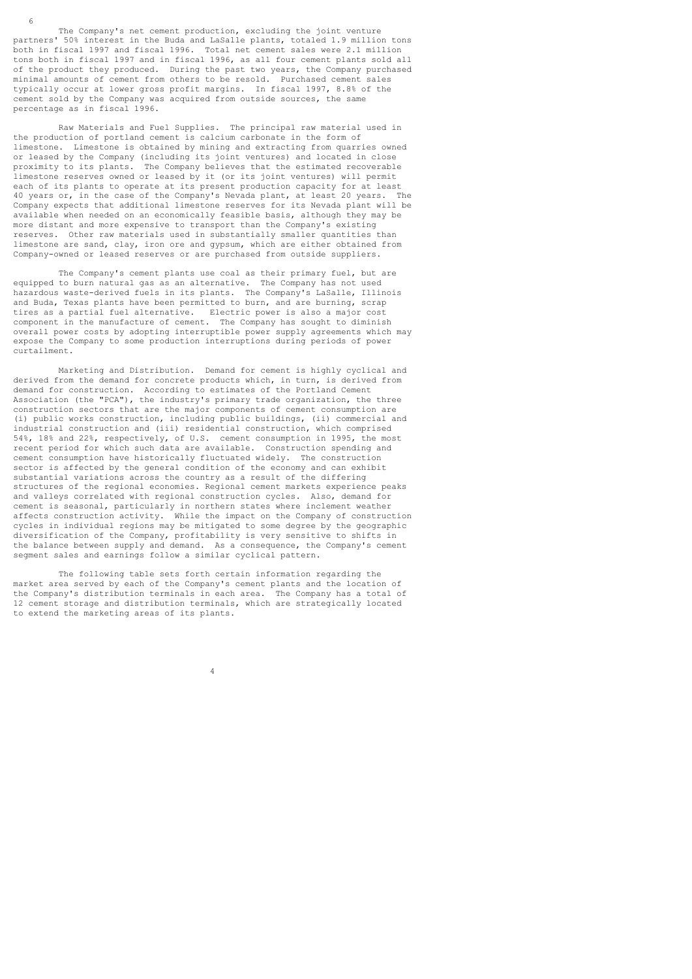The Company's net cement production, excluding the joint venture partners' 50% interest in the Buda and LaSalle plants, totaled 1.9 million tons both in fiscal 1997 and fiscal 1996. Total net cement sales were 2.1 million tons both in fiscal 1997 and in fiscal 1996, as all four cement plants sold all of the product they produced. During the past two years, the Company purchased minimal amounts of cement from others to be resold. Purchased cement sales typically occur at lower gross profit margins. In fiscal 1997, 8.8% of the cement sold by the Company was acquired from outside sources, the same percentage as in fiscal 1996.

 Raw Materials and Fuel Supplies. The principal raw material used in the production of portland cement is calcium carbonate in the form of limestone. Limestone is obtained by mining and extracting from quarries owned or leased by the Company (including its joint ventures) and located in close proximity to its plants. The Company believes that the estimated recoverable limestone reserves owned or leased by it (or its joint ventures) will permit each of its plants to operate at its present production capacity for at least 40 years or, in the case of the Company's Nevada plant, at least 20 years. The Company expects that additional limestone reserves for its Nevada plant will be available when needed on an economically feasible basis, although they may be more distant and more expensive to transport than the Company's existing reserves. Other raw materials used in substantially smaller quantities than limestone are sand, clay, iron ore and gypsum, which are either obtained from Company-owned or leased reserves or are purchased from outside suppliers.

The Company's cement plants use coal as their primary fuel, but are equipped to burn natural gas as an alternative. The Company has not used hazardous waste-derived fuels in its plants. The Company's LaSalle, Illinois and Buda, Texas plants have been permitted to burn, and are burning, scrap tires as a partial fuel alternative. Electric power is also a major cost component in the manufacture of cement. The Company has sought to diminish overall power costs by adopting interruptible power supply agreements which may expose the Company to some production interruptions during periods of power curtailment.

 Marketing and Distribution. Demand for cement is highly cyclical and derived from the demand for concrete products which, in turn, is derived from demand for construction. According to estimates of the Portland Cement Association (the "PCA"), the industry's primary trade organization, the three construction sectors that are the major components of cement consumption are (i) public works construction, including public buildings, (ii) commercial and industrial construction and (iii) residential construction, which comprised 54%, 18% and 22%, respectively, of U.S. cement consumption in 1995, the most recent period for which such data are available. Construction spending and cement consumption have historically fluctuated widely. The construction sector is affected by the general condition of the economy and can exhibit substantial variations across the country as a result of the differing structures of the regional economies. Regional cement markets experience peaks and valleys correlated with regional construction cycles. Also, demand for cement is seasonal, particularly in northern states where inclement weather affects construction activity. While the impact on the Company of construction cycles in individual regions may be mitigated to some degree by the geographic diversification of the Company, profitability is very sensitive to shifts in the balance between supply and demand. As a consequence, the Company's cement segment sales and earnings follow a similar cyclical pattern.

 The following table sets forth certain information regarding the market area served by each of the Company's cement plants and the location of the Company's distribution terminals in each area. The Company has a total of the Company's distribution terminals in each area. 12 cement storage and distribution terminals, which are strategically located to extend the marketing areas of its plants.

4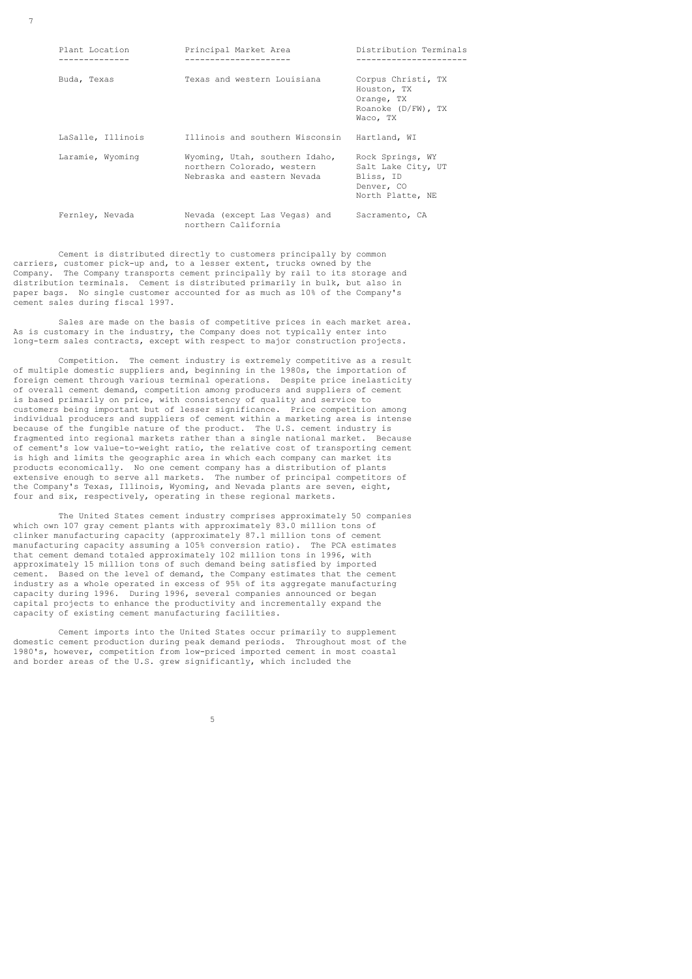7

| Plant Location<br>. <u>.</u> | Principal Market Area<br>---------------------                                              | Distribution Terminals<br>-----------------                                           |
|------------------------------|---------------------------------------------------------------------------------------------|---------------------------------------------------------------------------------------|
| Buda, Texas                  | Texas and western Louisiana                                                                 | Corpus Christi, TX<br>Houston, TX<br>Orange, TX<br>Roanoke $(D/FW)$ , TX<br>Waco, TX  |
| LaSalle, Illinois            | Illinois and southern Wisconsin                                                             | Hartland, WI                                                                          |
| Laramie, Wyoming             | Wyoming, Utah, southern Idaho,<br>northern Colorado, western<br>Nebraska and eastern Nevada | Rock Springs, WY<br>Salt Lake City, UT<br>Bliss, ID<br>Denver, CO<br>North Platte, NE |
| Fernley, Nevada              | Nevada (except Las Vegas) and<br>northern California                                        | Sacramento, CA                                                                        |

 Cement is distributed directly to customers principally by common carriers, customer pick-up and, to a lesser extent, trucks owned by the Company. The Company transports cement principally by rail to its storage and distribution terminals. Cement is distributed primarily in bulk, but also in paper bags. No single customer accounted for as much as 10% of the Company's cement sales during fiscal 1997.

 Sales are made on the basis of competitive prices in each market area. As is customary in the industry, the Company does not typically enter into long-term sales contracts, except with respect to major construction projects.

 Competition. The cement industry is extremely competitive as a result of multiple domestic suppliers and, beginning in the 1980s, the importation of foreign cement through various terminal operations. Despite price inelasticity of overall cement demand, competition among producers and suppliers of cement is based primarily on price, with consistency of quality and service to customers being important but of lesser significance. Price competition among individual producers and suppliers of cement within a marketing area is intense because of the fungible nature of the product. The U.S. cement industry is fragmented into regional markets rather than a single national market. Because of cement's low value-to-weight ratio, the relative cost of transporting cement is high and limits the geographic area in which each company can market its products economically. No one cement company has a distribution of plants extensive enough to serve all markets. The number of principal competitors of the Company's Texas, Illinois, Wyoming, and Nevada plants are seven, eight, four and six, respectively, operating in these regional markets.

 The United States cement industry comprises approximately 50 companies which own 107 gray cement plants with approximately 83.0 million tons of clinker manufacturing capacity (approximately 87.1 million tons of cement manufacturing capacity assuming a 105% conversion ratio). The PCA estimates that cement demand totaled approximately 102 million tons in 1996, with approximately 15 million tons of such demand being satisfied by imported cement. Based on the level of demand, the Company estimates that the cement industry as a whole operated in excess of 95% of its aggregate manufacturing capacity during 1996. During 1996, several companies announced or began capital projects to enhance the productivity and incrementally expand the capacity of existing cement manufacturing facilities.

 Cement imports into the United States occur primarily to supplement domestic cement production during peak demand periods. Throughout most of the 1980's, however, competition from low-priced imported cement in most coastal and border areas of the U.S. grew significantly, which included the

 $5<sub>5</sub>$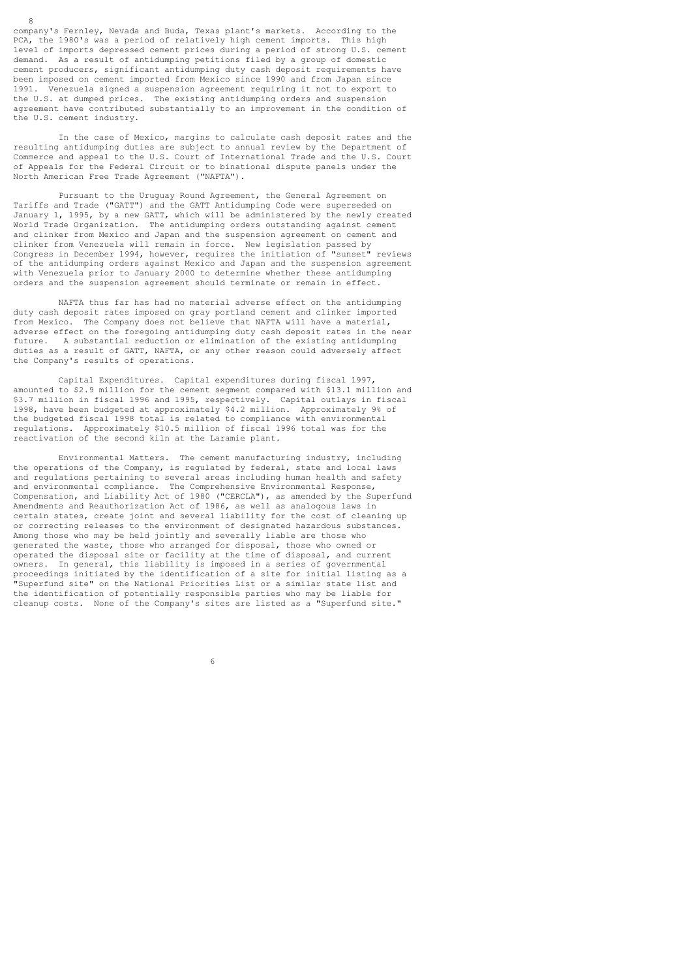company's Fernley, Nevada and Buda, Texas plant's markets. According to the PCA, the 1980's was a period of relatively high cement imports. This high level of imports depressed cement prices during a period of strong U.S. cement demand. As a result of antidumping petitions filed by a group of domestic cement producers, significant antidumping duty cash deposit requirements have been imposed on cement imported from Mexico since 1990 and from Japan since 1991. Venezuela signed a suspension agreement requiring it not to export to the U.S. at dumped prices. The existing antidumping orders and suspension agreement have contributed substantially to an improvement in the condition of the U.S. cement industry.

8

 In the case of Mexico, margins to calculate cash deposit rates and the resulting antidumping duties are subject to annual review by the Department of Commerce and appeal to the U.S. Court of International Trade and the U.S. Court of Appeals for the Federal Circuit or to binational dispute panels under the North American Free Trade Agreement ("NAFTA").

 Pursuant to the Uruguay Round Agreement, the General Agreement on Tariffs and Trade ("GATT") and the GATT Antidumping Code were superseded on January 1, 1995, by a new GATT, which will be administered by the newly created World Trade Organization. The antidumping orders outstanding against cement and clinker from Mexico and Japan and the suspension agreement on cement and clinker from Venezuela will remain in force. New legislation passed by Congress in December 1994, however, requires the initiation of "sunset" reviews of the antidumping orders against Mexico and Japan and the suspension agreement with Venezuela prior to January 2000 to determine whether these antidumping orders and the suspension agreement should terminate or remain in effect.

 NAFTA thus far has had no material adverse effect on the antidumping duty cash deposit rates imposed on gray portland cement and clinker imported from Mexico. The Company does not believe that NAFTA will have a material, adverse effect on the foregoing antidumping duty cash deposit rates in the near future. A substantial reduction or elimination of the existing antidumping duties as a result of GATT, NAFTA, or any other reason could adversely affect the Company's results of operations.

 Capital Expenditures. Capital expenditures during fiscal 1997, amounted to \$2.9 million for the cement segment compared with \$13.1 million and \$3.7 million in fiscal 1996 and 1995, respectively. Capital outlays in fiscal 1998, have been budgeted at approximately \$4.2 million. Approximately 9% of the budgeted fiscal 1998 total is related to compliance with environmental regulations. Approximately \$10.5 million of fiscal 1996 total was for the reactivation of the second kiln at the Laramie plant.

 Environmental Matters. The cement manufacturing industry, including the operations of the Company, is regulated by federal, state and local laws and regulations pertaining to several areas including human health and safety and environmental compliance. The Comprehensive Environmental Response, Compensation, and Liability Act of 1980 ("CERCLA"), as amended by the Superfund Amendments and Reauthorization Act of 1986, as well as analogous laws in certain states, create joint and several liability for the cost of cleaning up or correcting releases to the environment of designated hazardous substances. Among those who may be held jointly and severally liable are those who generated the waste, those who arranged for disposal, those who owned or operated the disposal site or facility at the time of disposal, and current owners. In general, this liability is imposed in a series of governmental proceedings initiated by the identification of a site for initial listing as a "Superfund site" on the National Priorities List or a similar state list and the identification of potentially responsible parties who may be liable for cleanup costs. None of the Company's sites are listed as a "Superfund site."

 $\sim$  6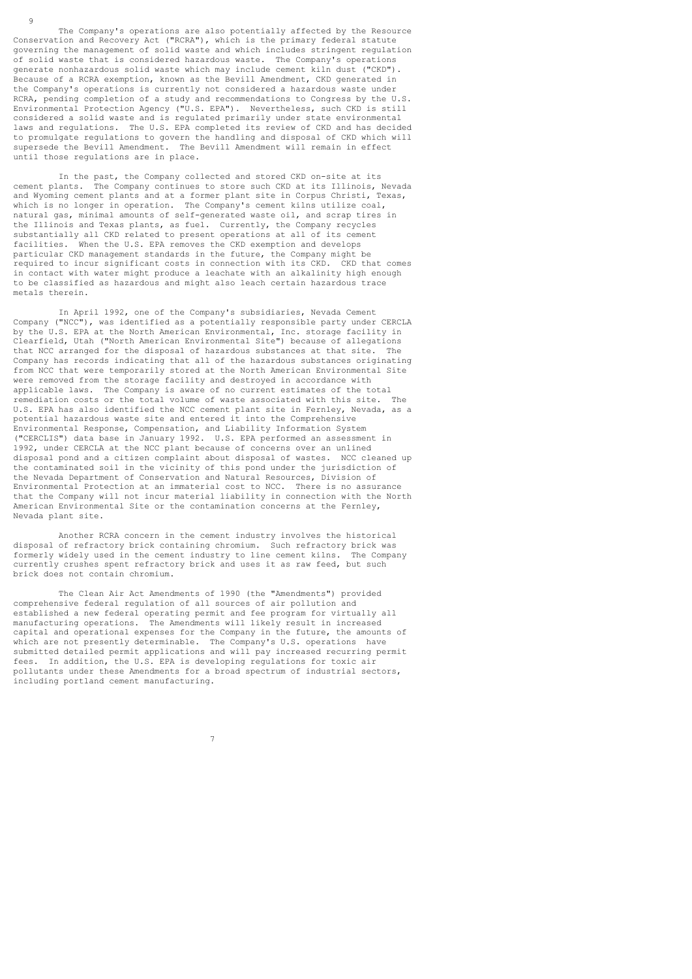The Company's operations are also potentially affected by the Resource Conservation and Recovery Act ("RCRA"), which is the primary federal statute governing the management of solid waste and which includes stringent regulation of solid waste that is considered hazardous waste. The Company's operations generate nonhazardous solid waste which may include cement kiln dust ("CKD"). Because of a RCRA exemption, known as the Bevill Amendment, CKD generated in the Company's operations is currently not considered a hazardous waste under RCRA, pending completion of a study and recommendations to Congress by the U.S. Environmental Protection Agency ("U.S. EPA"). Nevertheless, such CKD is still considered a solid waste and is regulated primarily under state environmental laws and regulations. The U.S. EPA completed its review of CKD and has decided to promulgate regulations to govern the handling and disposal of CKD which will supersede the Bevill Amendment. The Bevill Amendment will remain in effect until those regulations are in place.

 In the past, the Company collected and stored CKD on-site at its cement plants. The Company continues to store such CKD at its Illinois, Nevada and Wyoming cement plants and at a former plant site in Corpus Christi, Texas, which is no longer in operation. The Company's cement kilns utilize coal, natural gas, minimal amounts of self-generated waste oil, and scrap tires in the Illinois and Texas plants, as fuel. Currently, the Company recycles substantially all CKD related to present operations at all of its cement facilities. When the U.S. EPA removes the CKD exemption and develops particular CKD management standards in the future, the Company might be required to incur significant costs in connection with its CKD. CKD that comes in contact with water might produce a leachate with an alkalinity high enough to be classified as hazardous and might also leach certain hazardous trace metals therein.

 In April 1992, one of the Company's subsidiaries, Nevada Cement Company ("NCC"), was identified as a potentially responsible party under CERCLA by the U.S. EPA at the North American Environmental, Inc. storage facility in Clearfield, Utah ("North American Environmental Site") because of allegations that NCC arranged for the disposal of hazardous substances at that site. The Company has records indicating that all of the hazardous substances originating from NCC that were temporarily stored at the North American Environmental Site were removed from the storage facility and destroyed in accordance with applicable laws. The Company is aware of no current estimates of the total remediation costs or the total volume of waste associated with this site. The U.S. EPA has also identified the NCC cement plant site in Fernley, Nevada, as a potential hazardous waste site and entered it into the Comprehensive Environmental Response, Compensation, and Liability Information System ("CERCLIS") data base in January 1992. U.S. EPA performed an assessment in 1992, under CERCLA at the NCC plant because of concerns over an unlined disposal pond and a citizen complaint about disposal of wastes. NCC cleaned up the contaminated soil in the vicinity of this pond under the jurisdiction of the Nevada Department of Conservation and Natural Resources, Division of Environmental Protection at an immaterial cost to NCC. There is no assurance that the Company will not incur material liability in connection with the North American Environmental Site or the contamination concerns at the Fernley, Nevada plant site.

 Another RCRA concern in the cement industry involves the historical disposal of refractory brick containing chromium. Such refractory brick was<br>formerly widely used in the cement industry to line cement kilns. The Company formerly widely used in the cement industry to line cement kilns. currently crushes spent refractory brick and uses it as raw feed, but such brick does not contain chromium.

 The Clean Air Act Amendments of 1990 (the "Amendments") provided comprehensive federal regulation of all sources of air pollution and established a new federal operating permit and fee program for virtually all manufacturing operations. The Amendments will likely result in increased capital and operational expenses for the Company in the future, the amounts of which are not presently determinable. The Company's U.S. operations have submitted detailed permit applications and will pay increased recurring permit fees. In addition, the U.S. EPA is developing regulations for toxic air pollutants under these Amendments for a broad spectrum of industrial sectors, including portland cement manufacturing.

9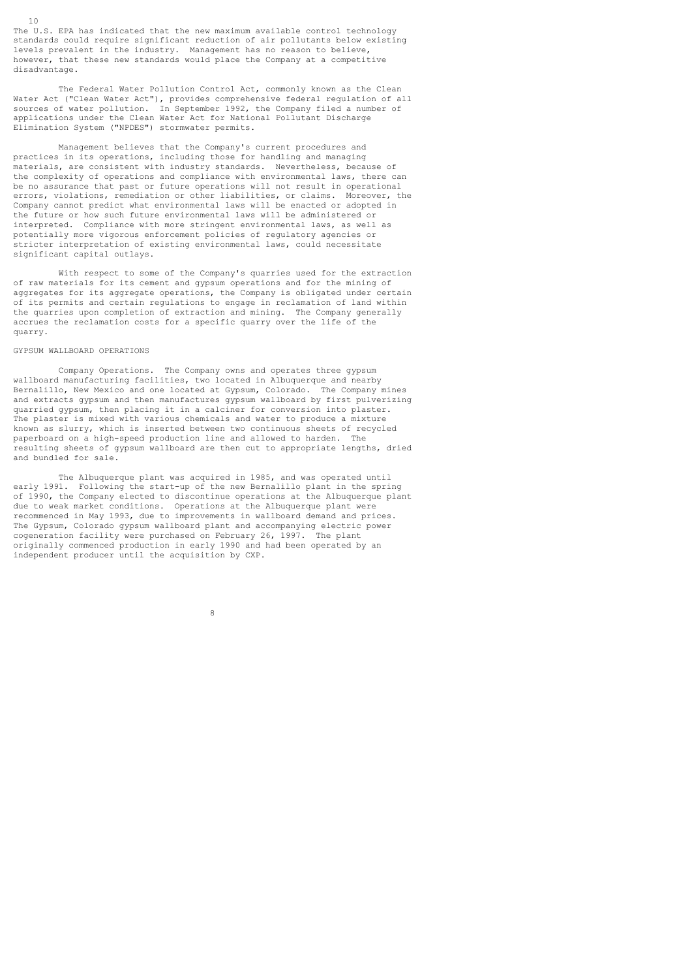The U.S. EPA has indicated that the new maximum available control technology standards could require significant reduction of air pollutants below existing levels prevalent in the industry. Management has no reason to believe, however, that these new standards would place the Company at a competitive disadvantage.

 The Federal Water Pollution Control Act, commonly known as the Clean Water Act ("Clean Water Act"), provides comprehensive federal regulation of all sources of water pollution. In September 1992, the Company filed a number of applications under the Clean Water Act for National Pollutant Discharge Elimination System ("NPDES") stormwater permits.

 Management believes that the Company's current procedures and practices in its operations, including those for handling and managing materials, are consistent with industry standards. Nevertheless, because of the complexity of operations and compliance with environmental laws, there can be no assurance that past or future operations will not result in operational errors, violations, remediation or other liabilities, or claims. Moreover, the Company cannot predict what environmental laws will be enacted or adopted in the future or how such future environmental laws will be administered or interpreted. Compliance with more stringent environmental laws, as well as potentially more vigorous enforcement policies of regulatory agencies or stricter interpretation of existing environmental laws, could necessitate significant capital outlays.

 With respect to some of the Company's quarries used for the extraction of raw materials for its cement and gypsum operations and for the mining of aggregates for its aggregate operations, the Company is obligated under certain of its permits and certain regulations to engage in reclamation of land within the quarries upon completion of extraction and mining. The Company generally accrues the reclamation costs for a specific quarry over the life of the quarry.

### GYPSUM WALLBOARD OPERATIONS

10

 Company Operations. The Company owns and operates three gypsum wallboard manufacturing facilities, two located in Albuquerque and nearby Bernalillo, New Mexico and one located at Gypsum, Colorado. The Company mines and extracts gypsum and then manufactures gypsum wallboard by first pulverizing quarried gypsum, then placing it in a calciner for conversion into plaster. The plaster is mixed with various chemicals and water to produce a mixture known as slurry, which is inserted between two continuous sheets of recycled paperboard on a high-speed production line and allowed to harden. The resulting sheets of gypsum wallboard are then cut to appropriate lengths, dried and bundled for sale.

 The Albuquerque plant was acquired in 1985, and was operated until early 1991. Following the start-up of the new Bernalillo plant in the spring of 1990, the Company elected to discontinue operations at the Albuquerque plant due to weak market conditions. Operations at the Albuquerque plant were recommenced in May 1993, due to improvements in wallboard demand and prices. The Gypsum, Colorado gypsum wallboard plant and accompanying electric power<br>cogeneration facility were purchased on February 26, 1997. The plant cogeneration facility were purchased on February 26, 1997. originally commenced production in early 1990 and had been operated by an independent producer until the acquisition by CXP.

8 and 20 and 20 and 20 and 20 and 20 and 20 and 20 and 20 and 20 and 20 and 20 and 20 and 20 and 20 and 20 and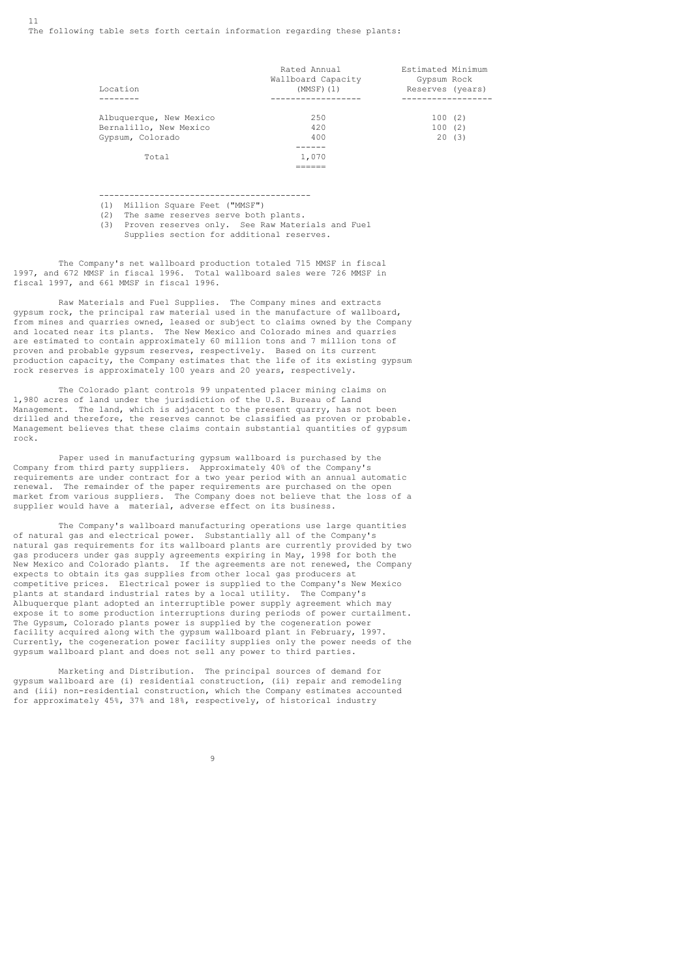| Location                                                              | Rated Annual<br>Wallboard Capacity<br>(MMSF) (1) | Estimated Minimum<br>Gypsum Rock<br>Reserves (years) |
|-----------------------------------------------------------------------|--------------------------------------------------|------------------------------------------------------|
| Albuquerque, New Mexico<br>Bernalillo, New Mexico<br>Gypsum, Colorado | 2.50<br>420<br>400                               | 100(2)<br>100(2)<br>20(3)                            |
| Total                                                                 | 1,070                                            |                                                      |

------------------------------------------

(1) Million Square Feet ("MMSF")<br>(2) The same reserves serve both

======

- The same reserves serve both plants.
- (3) Proven reserves only. See Raw Materials and Fuel Supplies section for additional reserves.

 The Company's net wallboard production totaled 715 MMSF in fiscal 1997, and 672 MMSF in fiscal 1996. Total wallboard sales were 726 MMSF in fiscal 1997, and 661 MMSF in fiscal 1996.

 Raw Materials and Fuel Supplies. The Company mines and extracts gypsum rock, the principal raw material used in the manufacture of wallboard, from mines and quarries owned, leased or subject to claims owned by the Company and located near its plants. The New Mexico and Colorado mines and quarries are estimated to contain approximately 60 million tons and 7 million tons of proven and probable gypsum reserves, respectively. Based on its current production capacity, the Company estimates that the life of its existing gypsum rock reserves is approximately 100 years and 20 years, respectively.

 The Colorado plant controls 99 unpatented placer mining claims on 1,980 acres of land under the jurisdiction of the U.S. Bureau of Land Management. The land, which is adjacent to the present quarry, has not been drilled and therefore, the reserves cannot be classified as proven or probable. Management believes that these claims contain substantial quantities of gypsum rock.

 Paper used in manufacturing gypsum wallboard is purchased by the Company from third party suppliers. Approximately 40% of the Company's requirements are under contract for a two year period with an annual automatic renewal. The remainder of the paper requirements are purchased on the open market from various suppliers. The Company does not believe that the loss of a supplier would have a material, adverse effect on its business.

 The Company's wallboard manufacturing operations use large quantities of natural gas and electrical power. Substantially all of the Company's natural gas requirements for its wallboard plants are currently provided by two gas producers under gas supply agreements expiring in May, 1998 for both the New Mexico and Colorado plants. If the agreements are not renewed, the Company expects to obtain its gas supplies from other local gas producers at competitive prices. Electrical power is supplied to the Company's New Mexico plants at standard industrial rates by a local utility. The Company's Albuquerque plant adopted an interruptible power supply agreement which may expose it to some production interruptions during periods of power curtailment. The Gypsum, Colorado plants power is supplied by the cogeneration power facility acquired along with the gypsum wallboard plant in February, 1997. Currently, the cogeneration power facility supplies only the power needs of the gypsum wallboard plant and does not sell any power to third parties.

 Marketing and Distribution. The principal sources of demand for gypsum wallboard are (i) residential construction, (ii) repair and remodeling and (iii) non-residential construction, which the Company estimates accounted for approximately 45%, 37% and 18%, respectively, of historical industry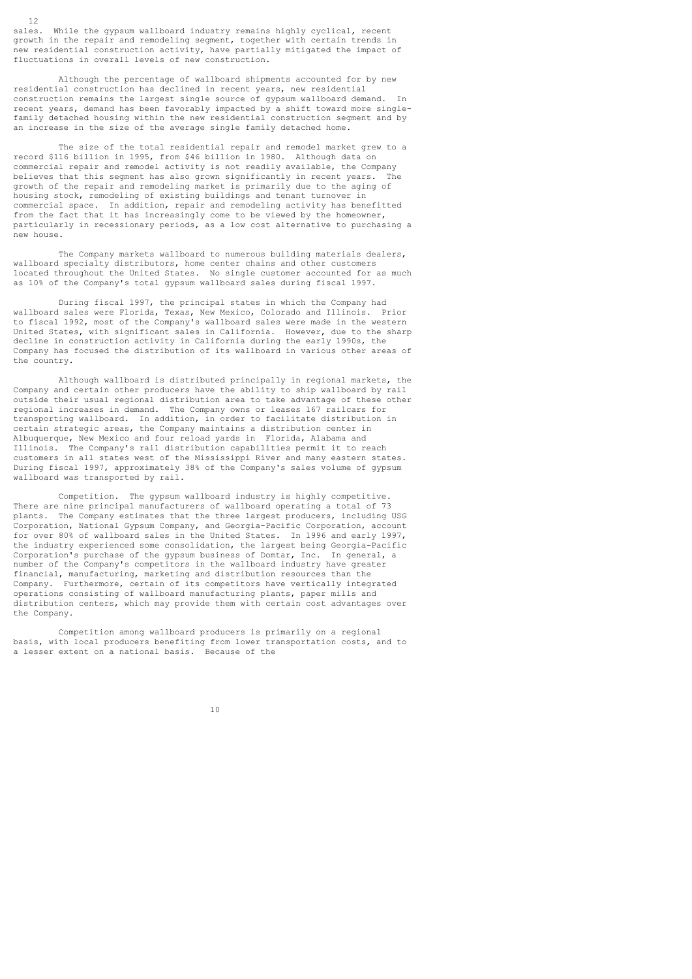sales. While the gypsum wallboard industry remains highly cyclical, recent growth in the repair and remodeling segment, together with certain trends in new residential construction activity, have partially mitigated the impact of fluctuations in overall levels of new construction.

 Although the percentage of wallboard shipments accounted for by new residential construction has declined in recent years, new residential construction remains the largest single source of gypsum wallboard demand. In recent years, demand has been favorably impacted by a shift toward more singlefamily detached housing within the new residential construction segment and by an increase in the size of the average single family detached home.

 The size of the total residential repair and remodel market grew to a record \$116 billion in 1995, from \$46 billion in 1980. Although data on commercial repair and remodel activity is not readily available, the Company believes that this segment has also grown significantly in recent years. growth of the repair and remodeling market is primarily due to the aging of housing stock, remodeling of existing buildings and tenant turnover in commercial space. In addition, repair and remodeling activity has benefitted from the fact that it has increasingly come to be viewed by the homeowner, particularly in recessionary periods, as a low cost alternative to purchasing a new house.

 The Company markets wallboard to numerous building materials dealers, wallboard specialty distributors, home center chains and other customers located throughout the United States. No single customer accounted for as much as 10% of the Company's total gypsum wallboard sales during fiscal 1997.

 During fiscal 1997, the principal states in which the Company had wallboard sales were Florida, Texas, New Mexico, Colorado and Illinois. Prior to fiscal 1992, most of the Company's wallboard sales were made in the western United States, with significant sales in California. However, due to the sharp decline in construction activity in California during the early 1990s, the Company has focused the distribution of its wallboard in various other areas of the country.

 Although wallboard is distributed principally in regional markets, the Company and certain other producers have the ability to ship wallboard by rail outside their usual regional distribution area to take advantage of these other regional increases in demand. The Company owns or leases 167 railcars for transporting wallboard. In addition, in order to facilitate distribution in certain strategic areas, the Company maintains a distribution center in Albuquerque, New Mexico and four reload yards in Florida, Alabama and Illinois. The Company's rail distribution capabilities permit it to reach customers in all states west of the Mississippi River and many eastern states. During fiscal 1997, approximately 38% of the Company's sales volume of gypsum wallboard was transported by rail.

 Competition. The gypsum wallboard industry is highly competitive. There are nine principal manufacturers of wallboard operating a total of 73 plants. The Company estimates that the three largest producers, including USG Corporation, National Gypsum Company, and Georgia-Pacific Corporation, account for over 80% of wallboard sales in the United States. In 1996 and early 1997, the industry experienced some consolidation, the largest being Georgia-Pacific<br>Corporation's purchase of the gypsum business of Domtar, Inc. In general, a Corporation's purchase of the gypsum business of Domtar, Inc. number of the Company's competitors in the wallboard industry have greater financial, manufacturing, marketing and distribution resources than the Company. Furthermore, certain of its competitors have vertically integrated operations consisting of wallboard manufacturing plants, paper mills and distribution centers, which may provide them with certain cost advantages over the Company.

 Competition among wallboard producers is primarily on a regional basis, with local producers benefiting from lower transportation costs, and to a lesser extent on a national basis. Because of the a lesser extent on a national basis.

10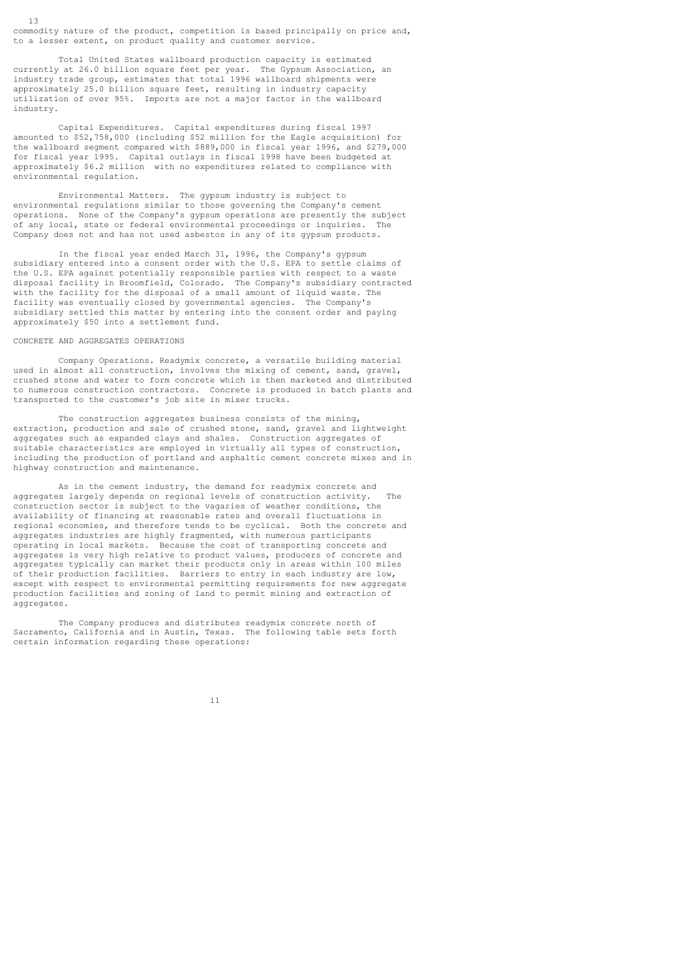commodity nature of the product, competition is based principally on price and, to a lesser extent, on product quality and customer service.

 Total United States wallboard production capacity is estimated currently at 26.0 billion square feet per year. The Gypsum Association, an industry trade group, estimates that total 1996 wallboard shipments were approximately 25.0 billion square feet, resulting in industry capacity utilization of over 95%. Imports are not a major factor in the wallboard industry.

 Capital Expenditures. Capital expenditures during fiscal 1997 amounted to  $$52,758,000$  (including  $$52$  million for the Eagle acquisition) for the wallboard segment compared with \$889,000 in fiscal year 1996, and \$279,000 for fiscal year 1995. Capital outlays in fiscal 1998 have been budgeted at approximately \$6.2 million with no expenditures related to compliance with environmental regulation.

 Environmental Matters. The gypsum industry is subject to environmental regulations similar to those governing the Company's cement operations. None of the Company's gypsum operations are presently the subject of any local, state or federal environmental proceedings or inquiries. The Company does not and has not used asbestos in any of its gypsum products.

 In the fiscal year ended March 31, 1996, the Company's gypsum subsidiary entered into a consent order with the U.S. EPA to settle claims of the U.S. EPA against potentially responsible parties with respect to a waste disposal facility in Broomfield, Colorado. The Company's subsidiary contracted with the facility for the disposal of a small amount of liquid waste. The facility was eventually closed by governmental agencies. The Company's subsidiary settled this matter by entering into the consent order and paying approximately \$50 into a settlement fund.

CONCRETE AND AGGREGATES OPERATIONS

13

 Company Operations. Readymix concrete, a versatile building material used in almost all construction, involves the mixing of cement, sand, gravel, crushed stone and water to form concrete which is then marketed and distributed to numerous construction contractors. Concrete is produced in batch plants and transported to the customer's job site in mixer trucks.

 The construction aggregates business consists of the mining, extraction, production and sale of crushed stone, sand, gravel and lightweight aggregates such as expanded clays and shales. Construction aggregates of suitable characteristics are employed in virtually all types of construction, including the production of portland and asphaltic cement concrete mixes and in highway construction and maintenance.

 As in the cement industry, the demand for readymix concrete and aggregates largely depends on regional levels of construction activity. The construction sector is subject to the vagaries of weather conditions, the availability of financing at reasonable rates and overall fluctuations in regional economies, and therefore tends to be cyclical. Both the concrete and aggregates industries are highly fragmented, with numerous participants operating in local markets. Because the cost of transporting concrete and aggregates is very high relative to product values, producers of concrete and aggregates typically can market their products only in areas within 100 miles of their production facilities. Barriers to entry in each industry are low, except with respect to environmental permitting requirements for new aggregate production facilities and zoning of land to permit mining and extraction of aggregates.

 The Company produces and distributes readymix concrete north of Sacramento, California and in Austin, Texas. The following table sets forth certain information regarding these operations: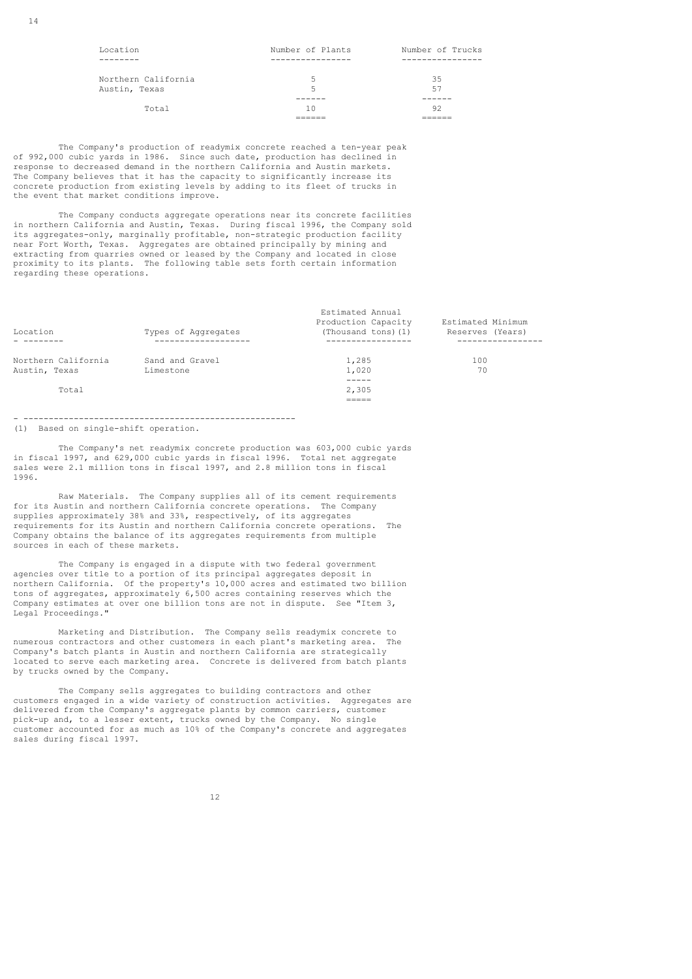14

| Location            | Number of Plants | Number of Trucks |
|---------------------|------------------|------------------|
|                     |                  |                  |
|                     |                  |                  |
| Northern California | 5                | 35               |
| Austin, Texas       | 5                | 57               |
|                     |                  |                  |
| Total               | 10               | 92               |
|                     |                  |                  |

 The Company's production of readymix concrete reached a ten-year peak of 992,000 cubic yards in 1986. Since such date, production has declined in response to decreased demand in the northern California and Austin markets. The Company believes that it has the capacity to significantly increase its concrete production from existing levels by adding to its fleet of trucks in the event that market conditions improve.

 The Company conducts aggregate operations near its concrete facilities in northern California and Austin, Texas. During fiscal 1996, the Company sold its aggregates-only, marginally profitable, non-strategic production facility near Fort Worth, Texas. Aggregates are obtained principally by mining and extracting from quarries owned or leased by the Company and located in close proximity to its plants. The following table sets forth certain information regarding these operations.

| Location            | Types of Aqqreqates             | Estimated Annual<br>Production Capacity<br>(Thousand tons) (1) | Estimated Minimum<br>Reserves (Years) |
|---------------------|---------------------------------|----------------------------------------------------------------|---------------------------------------|
|                     | . _ _ _ _ _ _ _ _ _ _ _ _ _ _ _ | -------------                                                  | ----------                            |
| Northern California | Sand and Gravel                 | 1,285                                                          | 100                                   |
| Austin, Texas       | Limestone                       | 1,020                                                          | 70                                    |
|                     |                                 |                                                                |                                       |
| Total               |                                 | 2,305                                                          |                                       |
|                     |                                 |                                                                |                                       |

# - ------------------------------------------------------

(1) Based on single-shift operation.

 The Company's net readymix concrete production was 603,000 cubic yards in fiscal 1997, and 629,000 cubic yards in fiscal 1996. Total net aggregate sales were 2.1 million tons in fiscal 1997, and 2.8 million tons in fiscal 1996.

 Raw Materials. The Company supplies all of its cement requirements for its Austin and northern California concrete operations. The Company supplies approximately 38% and 33%, respectively, of its aggregates requirements for its Austin and northern California concrete operations. The Company obtains the balance of its aggregates requirements from multiple sources in each of these markets.

 The Company is engaged in a dispute with two federal government agencies over title to a portion of its principal aggregates deposit in northern California. Of the property's 10,000 acres and estimated two billion tons of aggregates, approximately  $6,500$  acres containing reserves which the Company estimates at over one billion tons are not in dispute. See "Item 3, Legal Proceedings."

 Marketing and Distribution. The Company sells readymix concrete to numerous contractors and other customers in each plant's marketing area. The Company's batch plants in Austin and northern California are strategically located to serve each marketing area. Concrete is delivered from batch plants by trucks owned by the Company.

 The Company sells aggregates to building contractors and other customers engaged in a wide variety of construction activities. Aggregates are delivered from the Company's aggregate plants by common carriers, customer pick-up and, to a lesser extent, trucks owned by the Company. No single customer accounted for as much as 10% of the Company's concrete and aggregates sales during fiscal 1997.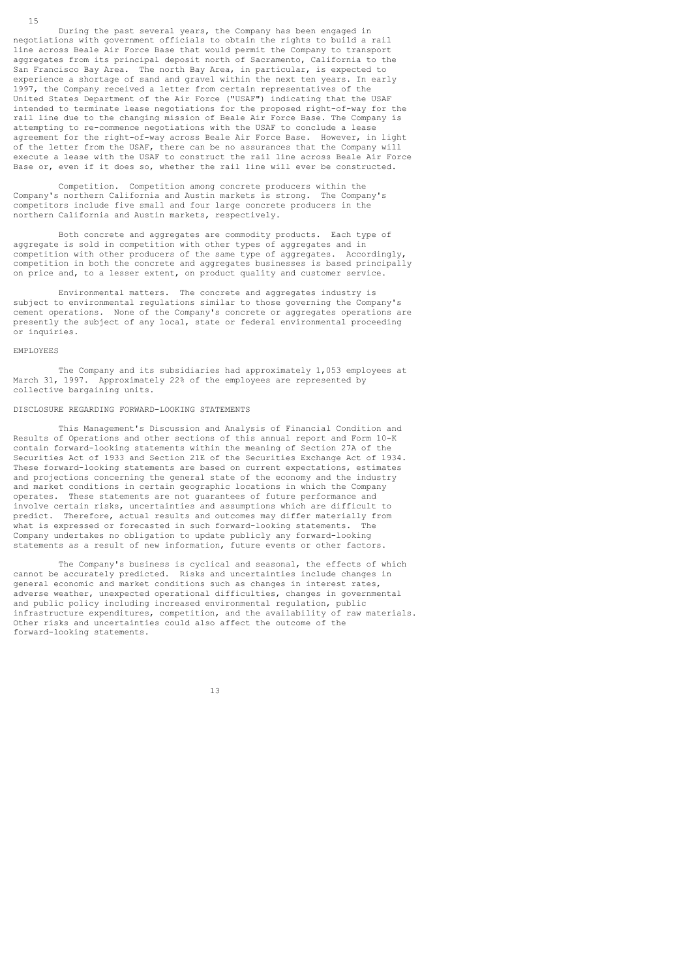During the past several years, the Company has been engaged in negotiations with government officials to obtain the rights to build a rail line across Beale Air Force Base that would permit the Company to transport aggregates from its principal deposit north of Sacramento, California to the San Francisco Bay Area. The north Bay Area, in particular, is expected to experience a shortage of sand and gravel within the next ten years. In early 1997, the Company received a letter from certain representatives of the United States Department of the Air Force ("USAF") indicating that the USAF intended to terminate lease negotiations for the proposed right-of-way for the rail line due to the changing mission of Beale Air Force Base. The Company is attempting to re-commence negotiations with the USAF to conclude a lease agreement for the right-of-way across Beale Air Force Base. However, in light of the letter from the USAF, there can be no assurances that the Company will execute a lease with the USAF to construct the rail line across Beale Air Force Base or, even if it does so, whether the rail line will ever be constructed.

 Competition. Competition among concrete producers within the Company's northern California and Austin markets is strong. The Company's competitors include five small and four large concrete producers in the northern California and Austin markets, respectively.

 Both concrete and aggregates are commodity products. Each type of aggregate is sold in competition with other types of aggregates and in competition with other producers of the same type of aggregates. Accordingly, competition in both the concrete and aggregates businesses is based principally on price and, to a lesser extent, on product quality and customer service.

 Environmental matters. The concrete and aggregates industry is subject to environmental regulations similar to those governing the Company's cement operations. None of the Company's concrete or aggregates operations are presently the subject of any local, state or federal environmental proceeding or inquiries.

#### EMPLOYEES

15

 The Company and its subsidiaries had approximately 1,053 employees at March 31, 1997. Approximately 22% of the employees are represented by collective bargaining units.

# DISCLOSURE REGARDING FORWARD-LOOKING STATEMENTS

 This Management's Discussion and Analysis of Financial Condition and Results of Operations and other sections of this annual report and Form 10-K contain forward-looking statements within the meaning of Section 27A of the Securities Act of 1933 and Section 21E of the Securities Exchange Act of 1934. These forward-looking statements are based on current expectations, estimates and projections concerning the general state of the economy and the industry and market conditions in certain geographic locations in which the Company operates. These statements are not guarantees of future performance and involve certain risks, uncertainties and assumptions which are difficult to predict. Therefore, actual results and outcomes may differ materially from what is expressed or forecasted in such forward-looking statements. Company undertakes no obligation to update publicly any forward-looking statements as a result of new information, future events or other factors.

The Company's business is cyclical and seasonal, the effects of which cannot be accurately predicted. Risks and uncertainties include changes in general economic and market conditions such as changes in interest rates, adverse weather, unexpected operational difficulties, changes in governmental and public policy including increased environmental regulation, public infrastructure expenditures, competition, and the availability of raw materials. Other risks and uncertainties could also affect the outcome of the forward-looking statements.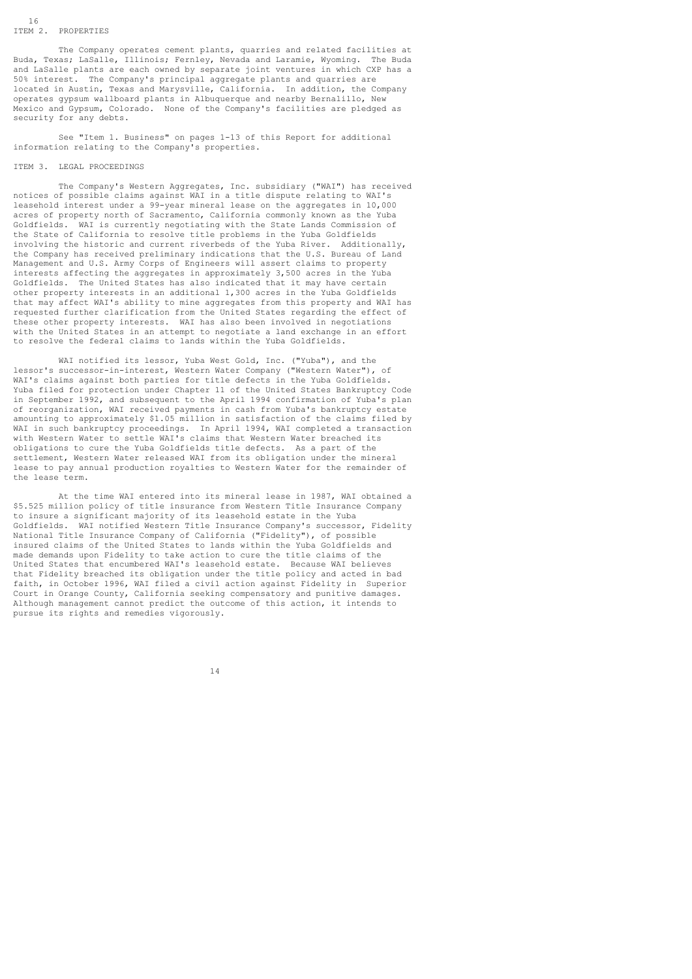The Company operates cement plants, quarries and related facilities at Buda, Texas; LaSalle, Illinois; Fernley, Nevada and Laramie, Wyoming. The Buda and LaSalle plants are each owned by separate joint ventures in which CXP has a 50% interest. The Company's principal aggregate plants and quarries are located in Austin, Texas and Marysville, California. In addition, the Company operates gypsum wallboard plants in Albuquerque and nearby Bernalillo, New Mexico and Gypsum, Colorado. None of the Company's facilities are pledged as security for any debts.

 See "Item 1. Business" on pages 1-13 of this Report for additional information relating to the Company's properties.

#### ITEM 3. LEGAL PROCEEDINGS

 The Company's Western Aggregates, Inc. subsidiary ("WAI") has received notices of possible claims against WAI in a title dispute relating to WAI's leasehold interest under a 99-year mineral lease on the aggregates in 10,000 acres of property north of Sacramento, California commonly known as the Yuba Goldfields. WAI is currently negotiating with the State Lands Commission of the State of California to resolve title problems in the Yuba Goldfields involving the historic and current riverbeds of the Yuba River. Additionally, the Company has received preliminary indications that the U.S. Bureau of Land Management and U.S. Army Corps of Engineers will assert claims to property interests affecting the aggregates in approximately 3,500 acres in the Yuba Goldfields. The United States has also indicated that it may have certain other property interests in an additional 1,300 acres in the Yuba Goldfields that may affect WAI's ability to mine aggregates from this property and WAI has requested further clarification from the United States regarding the effect of these other property interests. WAI has also been involved in negotiations with the United States in an attempt to negotiate a land exchange in an effort to resolve the federal claims to lands within the Yuba Goldfields.

 WAI notified its lessor, Yuba West Gold, Inc. ("Yuba"), and the lessor's successor-in-interest, Western Water Company ("Western Water"), of WAI's claims against both parties for title defects in the Yuba Goldfields. Yuba filed for protection under Chapter 11 of the United States Bankruptcy Code in September 1992, and subsequent to the April 1994 confirmation of Yuba's plan of reorganization, WAI received payments in cash from Yuba's bankruptcy estate amounting to approximately \$1.05 million in satisfaction of the claims filed by WAI in such bankruptcy proceedings. In April 1994, WAI completed a transaction with Western Water to settle WAI's claims that Western Water breached its obligations to cure the Yuba Goldfields title defects. As a part of the settlement, Western Water released WAI from its obligation under the mineral lease to pay annual production royalties to Western Water for the remainder of the lease term.

 At the time WAI entered into its mineral lease in 1987, WAI obtained a \$5.525 million policy of title insurance from Western Title Insurance Company to insure a significant majority of its leasehold estate in the Yuba Goldfields. WAI notified Western Title Insurance Company's successor, Fidelity National Title Insurance Company of California ("Fidelity"), of possible insured claims of the United States to lands within the Yuba Goldfields and made demands upon Fidelity to take action to cure the title claims of the United States that encumbered WAI's leasehold estate. Because WAI believes that Fidelity breached its obligation under the title policy and acted in bad faith, in October 1996, WAI filed a civil action against Fidelity in Superior Court in Orange County, California seeking compensatory and punitive damages. Although management cannot predict the outcome of this action, it intends to pursue its rights and remedies vigorously.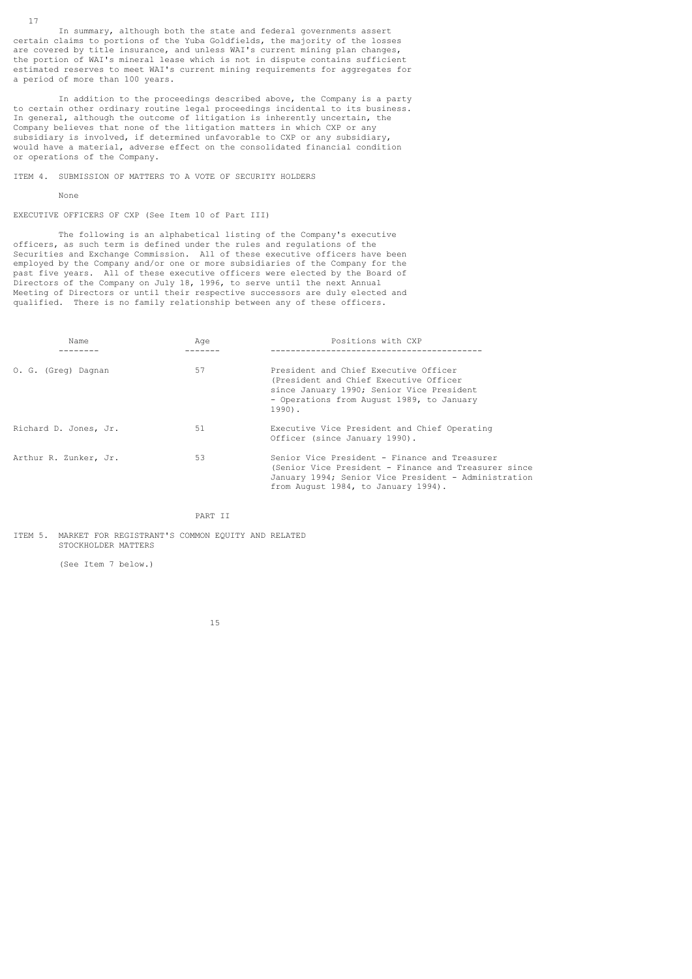In summary, although both the state and federal governments assert certain claims to portions of the Yuba Goldfields, the majority of the losses are covered by title insurance, and unless WAI's current mining plan changes, the portion of WAI's mineral lease which is not in dispute contains sufficient estimated reserves to meet WAI's current mining requirements for aggregates for a period of more than 100 years.

 In addition to the proceedings described above, the Company is a party to certain other ordinary routine legal proceedings incidental to its business. In general, although the outcome of litigation is inherently uncertain, the Company believes that none of the litigation matters in which CXP or any subsidiary is involved, if determined unfavorable to CXP or any subsidiary, would have a material, adverse effect on the consolidated financial condition or operations of the Company.

ITEM 4. SUBMISSION OF MATTERS TO A VOTE OF SECURITY HOLDERS

#### None

17

EXECUTIVE OFFICERS OF CXP (See Item 10 of Part III)

 The following is an alphabetical listing of the Company's executive officers, as such term is defined under the rules and regulations of the Securities and Exchange Commission. All of these executive officers have been employed by the Company and/or one or more subsidiaries of the Company for the past five years. All of these executive officers were elected by the Board of Directors of the Company on July 18, 1996, to serve until the next Annual Meeting of Directors or until their respective successors are duly elected and qualified. There is no family relationship between any of these officers.

| Name                  | Age | Positions with CXP                                                                                                                                                                                   |
|-----------------------|-----|------------------------------------------------------------------------------------------------------------------------------------------------------------------------------------------------------|
| O. G. (Greg) Dagnan   | 57  | President and Chief Executive Officer<br>(President and Chief Executive Officer<br>since January 1990; Senior Vice President<br>- Operations from August 1989, to January<br>$1990$ .                |
| Richard D. Jones, Jr. | 51  | Executive Vice President and Chief Operating<br>Officer (since January 1990).                                                                                                                        |
| Arthur R. Zunker, Jr. | 53  | Senior Vice President - Finance and Treasurer<br>(Senior Vice President - Finance and Treasurer since<br>January 1994; Senior Vice President - Administration<br>from August 1984, to January 1994). |

PART II

ITEM 5. MARKET FOR REGISTRANT'S COMMON EQUITY AND RELATED STOCKHOLDER MATTERS

(See Item 7 below.)

15 and 20 and 20 and 20 and 20 and 20 and 20 and 20 and 20 and 20 and 20 and 20 and 20 and 20 and 20 and 20 an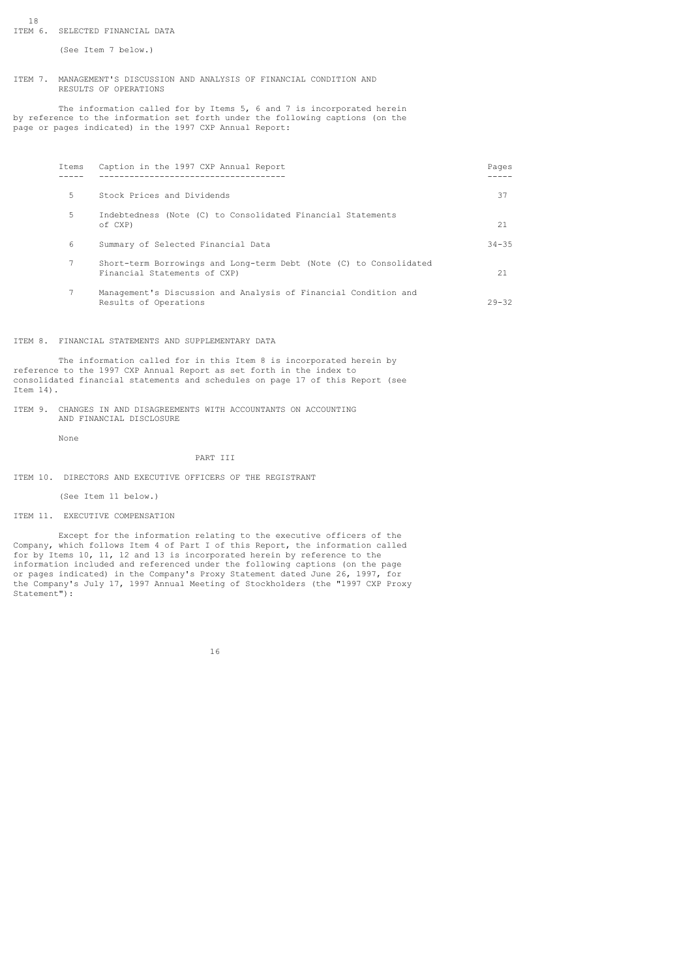#### 18 ITEM 6. SELECTED FINANCIAL DATA

(See Item 7 below.)

#### ITEM 7. MANAGEMENT'S DISCUSSION AND ANALYSIS OF FINANCIAL CONDITION AND RESULTS OF OPERATIONS

 The information called for by Items 5, 6 and 7 is incorporated herein by reference to the information set forth under the following captions (on the page or pages indicated) in the 1997 CXP Annual Report:

| Items | Caption in the 1997 CXP Annual Report                                                              | Pages     |
|-------|----------------------------------------------------------------------------------------------------|-----------|
| 5.    | Stock Prices and Dividends                                                                         | 37        |
| 5     | Indebtedness (Note (C) to Consolidated Financial Statements<br>of CXP)                             | 21        |
| 6     | Summary of Selected Financial Data                                                                 | $34 - 35$ |
| 7     | Short-term Borrowings and Long-term Debt (Note (C) to Consolidated<br>Financial Statements of CXP) | 21        |
|       | Management's Discussion and Analysis of Financial Condition and<br>Results of Operations           | $29 - 32$ |

ITEM 8. FINANCIAL STATEMENTS AND SUPPLEMENTARY DATA

 The information called for in this Item 8 is incorporated herein by reference to the 1997 CXP Annual Report as set forth in the index to consolidated financial statements and schedules on page 17 of this Report (see Item 14).

ITEM 9. CHANGES IN AND DISAGREEMENTS WITH ACCOUNTANTS ON ACCOUNTING AND FINANCIAL DISCLOSURE

None

### PART III

ITEM 10. DIRECTORS AND EXECUTIVE OFFICERS OF THE REGISTRANT

(See Item 11 below.)

ITEM 11. EXECUTIVE COMPENSATION

 Except for the information relating to the executive officers of the Company, which follows Item 4 of Part I of this Report, the information called for by Items 10, 11, 12 and 13 is incorporated herein by reference to the information included and referenced under the following captions (on the page<br>or pages indicated) in the Company's Proxy Statement dated June 26, 1997, for or pages indicated) in the Company's Proxy Statement dated June 26, 1997, the Company's July 17, 1997 Annual Meeting of Stockholders (the "1997 CXP Proxy Statement"):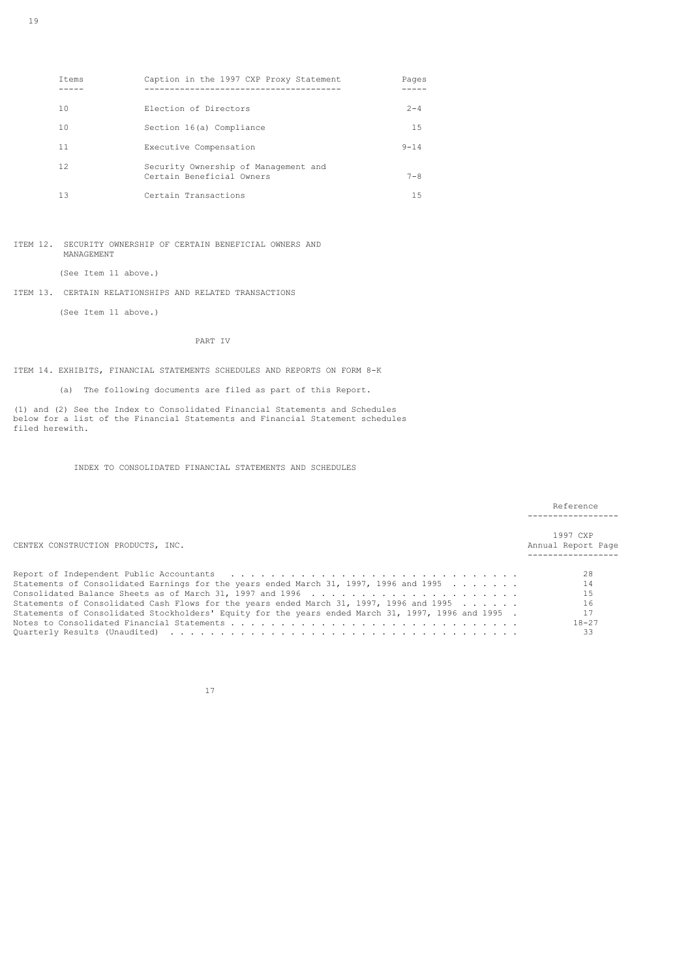| Items | Caption in the 1997 CXP Proxy Statement                           | Pages    |
|-------|-------------------------------------------------------------------|----------|
| 10    | Election of Directors                                             | $2 - 4$  |
| 10    | Section 16(a) Compliance                                          | 15       |
| 11    | Executive Compensation                                            | $9 - 14$ |
| 12.   | Security Ownership of Management and<br>Certain Beneficial Owners | $7 - 8$  |
| 13    | Certain Transactions                                              | 1.5      |

ITEM 12. SECURITY OWNERSHIP OF CERTAIN BENEFICIAL OWNERS AND MANAGEMENT

(See Item 11 above.)

# ITEM 13. CERTAIN RELATIONSHIPS AND RELATED TRANSACTIONS

(See Item 11 above.)

PART IV

ITEM 14. EXHIBITS, FINANCIAL STATEMENTS SCHEDULES AND REPORTS ON FORM 8-K

(a) The following documents are filed as part of this Report.

(1) and (2) See the Index to Consolidated Financial Statements and Schedules below for a list of the Financial Statements and Financial Statement schedules filed herewith.

INDEX TO CONSOLIDATED FINANCIAL STATEMENTS AND SCHEDULES

|                                                                                                       | Reference                      |
|-------------------------------------------------------------------------------------------------------|--------------------------------|
| CENTEX CONSTRUCTION PRODUCTS, INC.                                                                    | 1997 CXP<br>Annual Report Page |
|                                                                                                       | 28                             |
| Statements of Consolidated Earnings for the years ended March 31, 1997, 1996 and 1995 $\ldots \ldots$ | 14                             |
|                                                                                                       | 15                             |
| Statements of Consolidated Cash Flows for the years ended March 31, 1997, 1996 and 1995               | 16                             |
| Statements of Consolidated Stockholders' Equity for the years ended March 31, 1997, 1996 and 1995.    | 17                             |
|                                                                                                       | $18 - 27$                      |
|                                                                                                       | 33                             |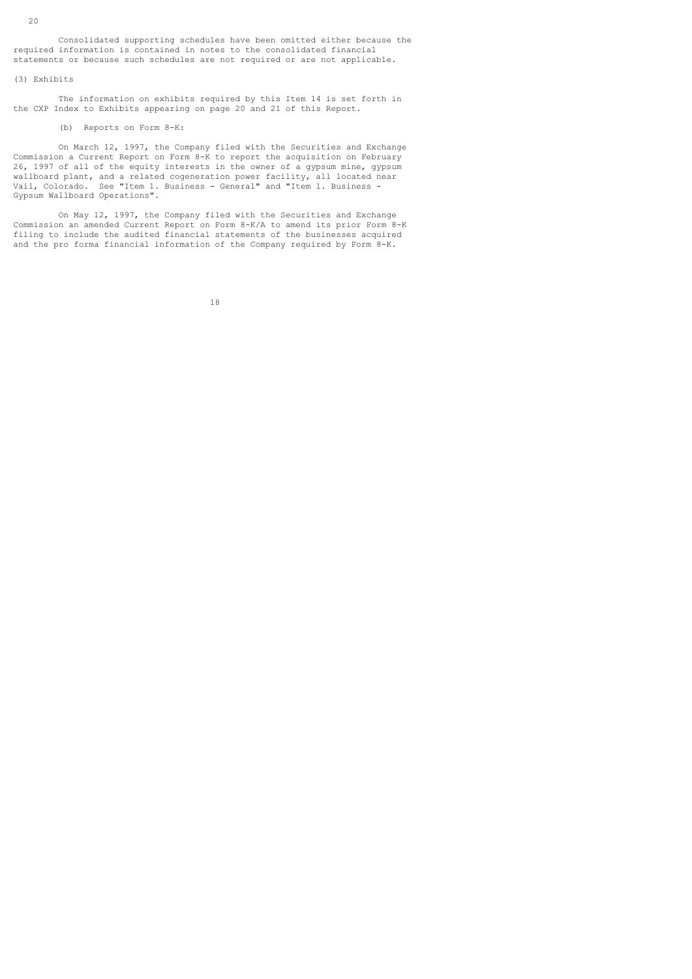Consolidated supporting schedules have been omitted either because the required information is contained in notes to the consolidated financial statements or because such schedules are not required or are not applicable.

### (3) Exhibits

 The information on exhibits required by this Item 14 is set forth in the CXP Index to Exhibits appearing on page 20 and 21 of this Report.

### (b) Reports on Form 8-K:

 On March 12, 1997, the Company filed with the Securities and Exchange Commission a Current Report on Form 8-K to report the acquisition on February 26, 1997 of all of the equity interests in the owner of a gypsum mine, gypsum wallboard plant, and a related cogeneration power facility, all located near Vail, Colorado. See "Item 1. Business - General" and "Item 1. Business - Gypsum Wallboard Operations".

 On May 12, 1997, the Company filed with the Securities and Exchange Commission an amended Current Report on Form 8-K/A to amend its prior Form 8-K filing to include the audited financial statements of the businesses acquired and the pro forma financial information of the Company required by Form 8-K.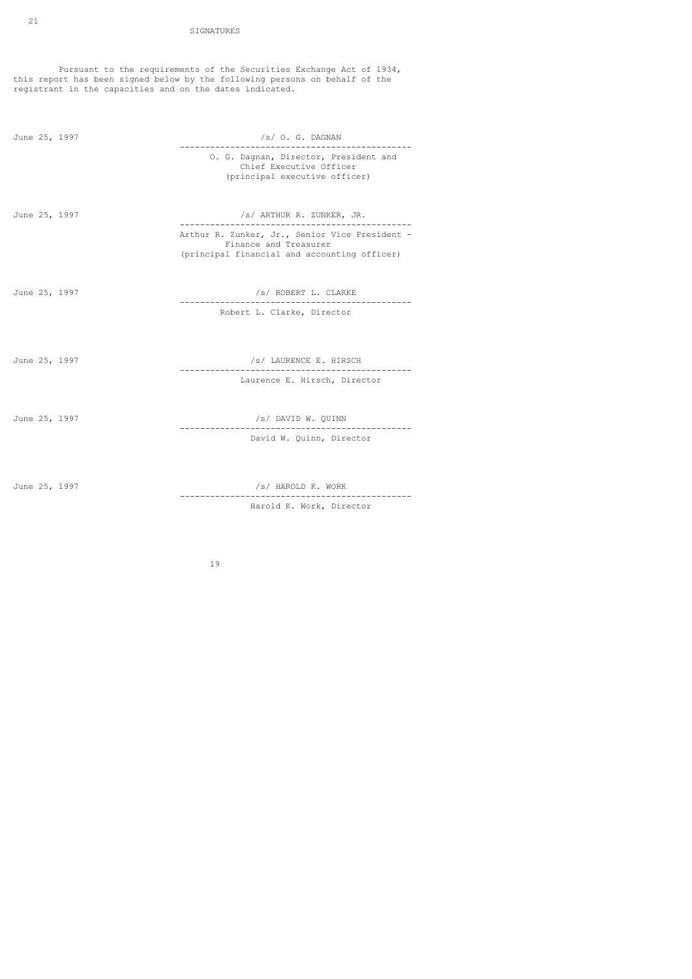Pursuant to the requirements of the Securities Exchange Act of 1934, this report has been signed below by the following persons on behalf of the registrant in the capacities and on the dates indicated.

| June 25, 1997 | /s/ O. G. DAGNAN                                                                                                        |  |  |
|---------------|-------------------------------------------------------------------------------------------------------------------------|--|--|
|               | O. G. Dagnan, Director, President and<br>Chief Executive Officer<br>(principal executive officer)                       |  |  |
| June 25, 1997 | /s/ ARTHUR R. ZUNKER, JR.                                                                                               |  |  |
|               | Arthur R. Zunker, Jr., Senior Vice President -<br>Finance and Treasurer<br>(principal financial and accounting officer) |  |  |
| June 25, 1997 | /s/ ROBERT L. CLARKE                                                                                                    |  |  |
|               | Robert L. Clarke, Director                                                                                              |  |  |
|               |                                                                                                                         |  |  |
| June 25, 1997 | /s/ LAURENCE E. HIRSCH                                                                                                  |  |  |
|               | Laurence E. Hirsch, Director                                                                                            |  |  |
| June 25, 1997 | /s/ DAVID W. QUINN                                                                                                      |  |  |
|               | David W. Quinn, Director                                                                                                |  |  |
|               |                                                                                                                         |  |  |
| June 25, 1997 | /s/ HAROLD K. WORK                                                                                                      |  |  |

Harold K. Work, Director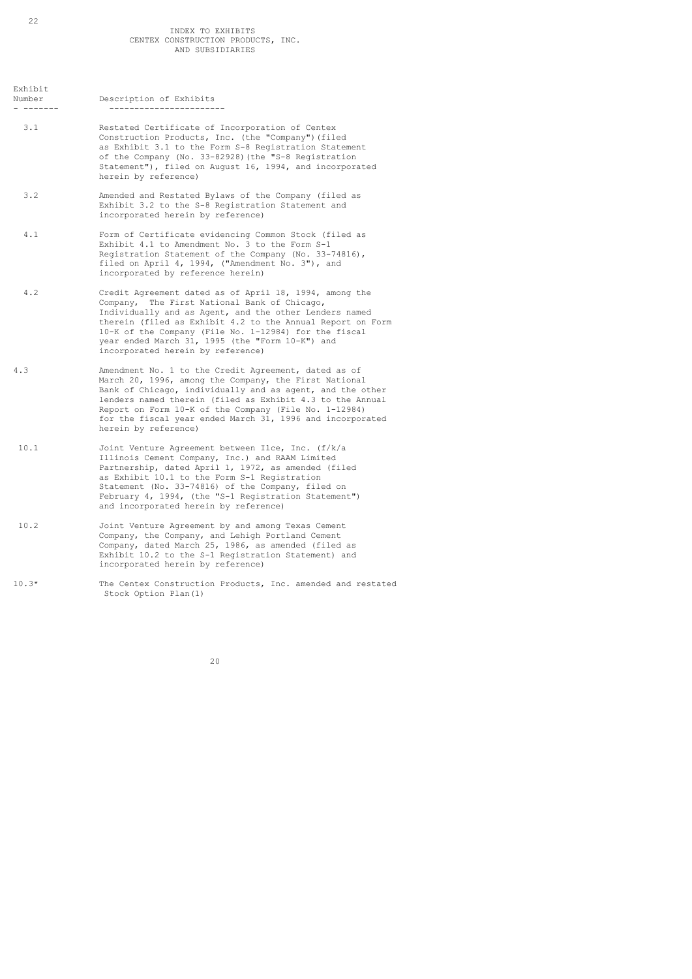| Number | Description of Exhibits |  |  |
|--------|-------------------------|--|--|
|        |                         |  |  |

- 3.1 Restated Certificate of Incorporation of Centex Construction Products, Inc. (the "Company")(filed as Exhibit 3.1 to the Form S-8 Registration Statement of the Company (No. 33-82928)(the "S-8 Registration Statement"), filed on August 16, 1994, and incorporated herein by reference)
- 3.2 Amended and Restated Bylaws of the Company (filed as Exhibit 3.2 to the S-8 Registration Statement and incorporated herein by reference)
- 4.1 Form of Certificate evidencing Common Stock (filed as Exhibit 4.1 to Amendment No. 3 to the Form S-1 Registration Statement of the Company (No. 33-74816), filed on April 4, 1994, ("Amendment No. 3"), and incorporated by reference herein)
- 4.2 Credit Agreement dated as of April 18, 1994, among the Company, The First National Bank of Chicago, Individually and as Agent, and the other Lenders named therein (filed as Exhibit 4.2 to the Annual Report on Form 10-K of the Company (File No. 1-12984) for the fiscal year ended March 31, 1995 (the "Form 10-K") and incorporated herein by reference)
- 4.3 Amendment No. 1 to the Credit Agreement, dated as of March 20, 1996, among the Company, the First National Bank of Chicago, individually and as agent, and the other lenders named therein (filed as Exhibit 4.3 to the Annual Report on Form 10-K of the Company (File No. 1-12984) for the fiscal year ended March 31, 1996 and incorporated herein by reference)
- 10.1 Joint Venture Agreement between Ilce, Inc. (f/k/a Illinois Cement Company, Inc.) and RAAM Limited Partnership, dated April 1, 1972, as amended (filed as Exhibit 10.1 to the Form S-1 Registration Statement (No. 33-74816) of the Company, filed on February 4, 1994, (the "S-1 Registration Statement") and incorporated herein by reference)
- 10.2 Joint Venture Agreement by and among Texas Cement Company, the Company, and Lehigh Portland Cement Company, dated March 25, 1986, as amended (filed as Exhibit 10.2 to the S-1 Registration Statement) and incorporated herein by reference)
- 10.3\* The Centex Construction Products, Inc. amended and restated Stock Option Plan(1)

Exhibit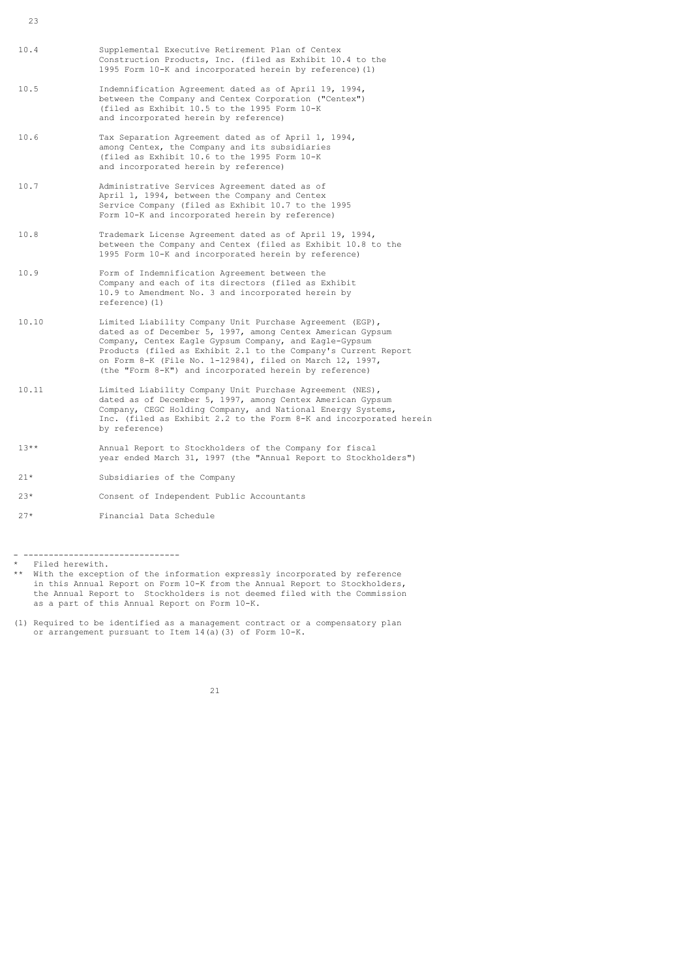- 10.4 Supplemental Executive Retirement Plan of Centex Construction Products, Inc. (filed as Exhibit 10.4 to the 1995 Form 10-K and incorporated herein by reference)(1)
- 10.5 Indemnification Agreement dated as of April 19, 1994, between the Company and Centex Corporation ("Centex") (filed as Exhibit 10.5 to the 1995 Form 10-K and incorporated herein by reference)
- 10.6 Tax Separation Agreement dated as of April 1, 1994, among Centex, the Company and its subsidiaries (filed as Exhibit 10.6 to the 1995 Form 10-K and incorporated herein by reference)
- 10.7 Administrative Services Agreement dated as of April 1, 1994, between the Company and Centex Service Company (filed as Exhibit 10.7 to the 1995 Form 10-K and incorporated herein by reference)
- 10.8 Trademark License Agreement dated as of April 19, 1994, between the Company and Centex (filed as Exhibit 10.8 to the 1995 Form 10-K and incorporated herein by reference)
- 10.9 Form of Indemnification Agreement between the Company and each of its directors (filed as Exhibit 10.9 to Amendment No. 3 and incorporated herein by reference)(1)
- 10.10 Limited Liability Company Unit Purchase Agreement (EGP), dated as of December 5, 1997, among Centex American Gypsum Company, Centex Eagle Gypsum Company, and Eagle-Gypsum Products (filed as Exhibit 2.1 to the Company's Current Report on Form 8-K (File No. 1-12984), filed on March 12, 1997, (the "Form 8-K") and incorporated herein by reference)
- 10.11 Limited Liability Company Unit Purchase Agreement (NES), dated as of December 5, 1997, among Centex American Gypsum Company, CEGC Holding Company, and National Energy Systems, Inc. (filed as Exhibit 2.2 to the Form 8-K and incorporated herein by reference)
- 13\*\* Annual Report to Stockholders of the Company for fiscal year ended March 31, 1997 (the "Annual Report to Stockholders")
- 21\* Subsidiaries of the Company
- 23\* Consent of Independent Public Accountants
- 27\* Financial Data Schedule



<sup>- -------------------------------</sup>

<sup>\*</sup> Filed herewith. With the exception of the information expressly incorporated by reference in this Annual Report on Form 10-K from the Annual Report to Stockholders, the Annual Report to Stockholders is not deemed filed with the Commission as a part of this Annual Report on Form 10-K.

<sup>(1)</sup> Required to be identified as a management contract or a compensatory plan or arrangement pursuant to Item 14(a)(3) of Form 10-K.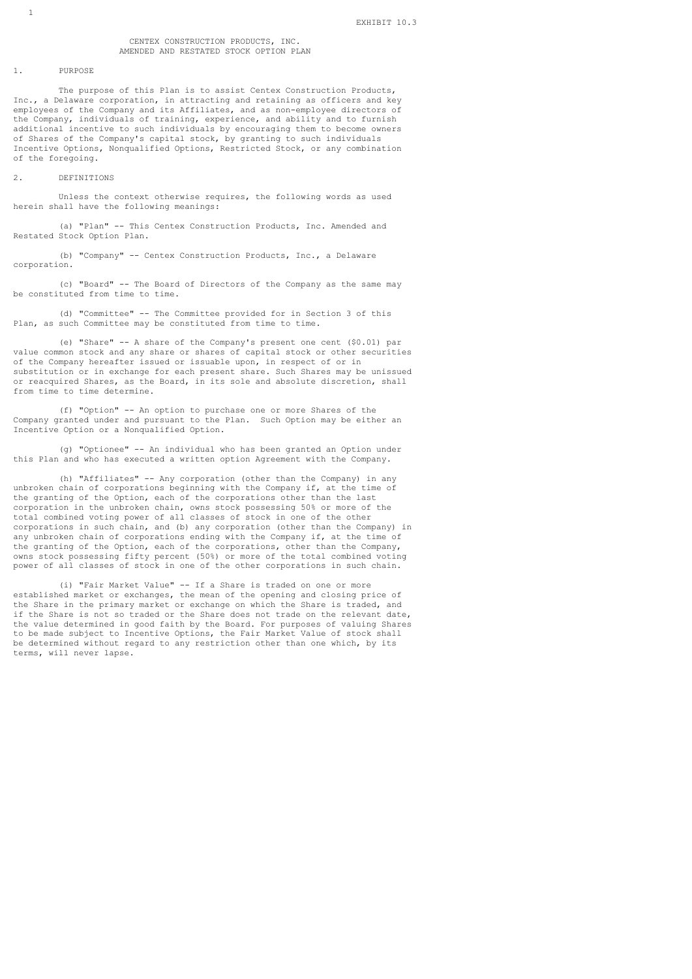### CENTEX CONSTRUCTION PRODUCTS, INC. AMENDED AND RESTATED STOCK OPTION PLAN

#### 1. PURPOSE

 The purpose of this Plan is to assist Centex Construction Products, Inc., a Delaware corporation, in attracting and retaining as officers and key employees of the Company and its Affiliates, and as non-employee directors of the Company, individuals of training, experience, and ability and to furnish additional incentive to such individuals by encouraging them to become owners of Shares of the Company's capital stock, by granting to such individuals Incentive Options, Nonqualified Options, Restricted Stock, or any combination of the foregoing.

### 2. DEFINITIONS

 Unless the context otherwise requires, the following words as used herein shall have the following meanings:

 (a) "Plan" -- This Centex Construction Products, Inc. Amended and Restated Stock Option Plan.

 (b) "Company" -- Centex Construction Products, Inc., a Delaware corporation.

 (c) "Board" -- The Board of Directors of the Company as the same may be constituted from time to time.

 (d) "Committee" -- The Committee provided for in Section 3 of this Plan, as such Committee may be constituted from time to time.

 (e) "Share" -- A share of the Company's present one cent (\$0.01) par value common stock and any share or shares of capital stock or other securities of the Company hereafter issued or issuable upon, in respect of or in substitution or in exchange for each present share. Such Shares may be unissued or reacquired Shares, as the Board, in its sole and absolute discretion, shall from time to time determine.

 (f) "Option" -- An option to purchase one or more Shares of the Company granted under and pursuant to the Plan. Such Option may be either an Incentive Option or a Nonqualified Option.

 (g) "Optionee" -- An individual who has been granted an Option under this Plan and who has executed a written option Agreement with the Company.

 (h) "Affiliates" -- Any corporation (other than the Company) in any unbroken chain of corporations beginning with the Company if, at the time of the granting of the Option, each of the corporations other than the last corporation in the unbroken chain, owns stock possessing 50% or more of the total combined voting power of all classes of stock in one of the other corporations in such chain, and (b) any corporation (other than the Company) in any unbroken chain of corporations ending with the Company if, at the time of the granting of the Option, each of the corporations, other than the Company, owns stock possessing fifty percent (50%) or more of the total combined voting power of all classes of stock in one of the other corporations in such chain.

 (i) "Fair Market Value" -- If a Share is traded on one or more established market or exchanges, the mean of the opening and closing price of the Share in the primary market or exchange on which the Share is traded, and if the Share is not so traded or the Share does not trade on the relevant date, the value determined in good faith by the Board. For purposes of valuing Shares to be made subject to Incentive Options, the Fair Market Value of stock shall be determined without regard to any restriction other than one which, by its terms, will never lapse.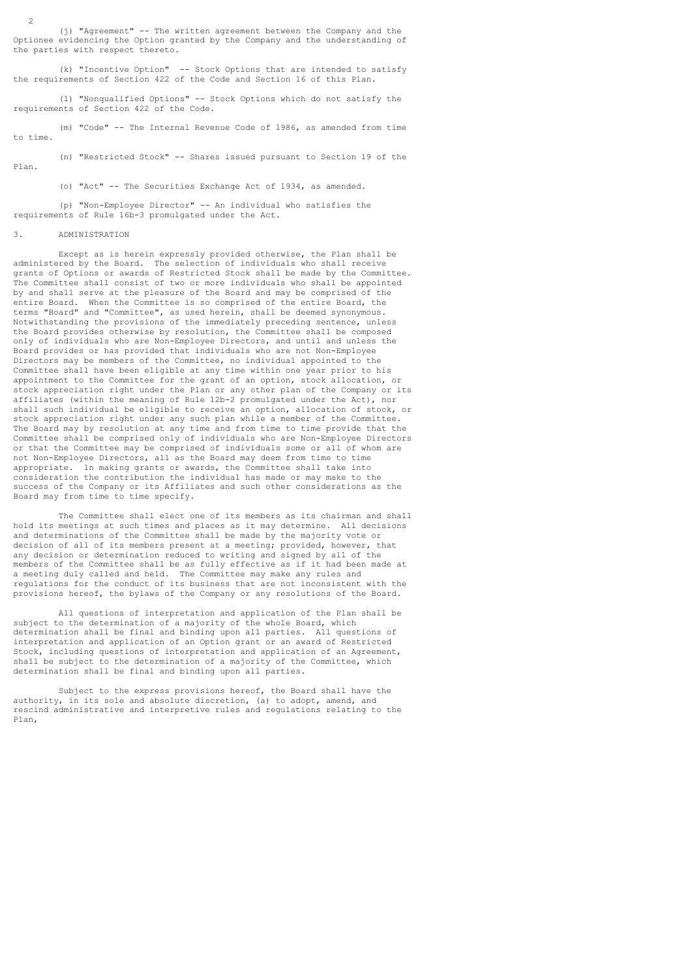(j) "Agreement" -- The written agreement between the Company and the Optionee evidencing the Option granted by the Company and the understanding of the parties with respect thereto.

 (k) "Incentive Option" -- Stock Options that are intended to satisfy the requirements of Section 422 of the Code and Section 16 of this Plan.

 (l) "Nonqualified Options" -- Stock Options which do not satisfy the requirements of Section 422 of the Code.

 (m) "Code" -- The Internal Revenue Code of 1986, as amended from time to time.

 (n) "Restricted Stock" -- Shares issued pursuant to Section 19 of the Plan.

(o) "Act" -- The Securities Exchange Act of 1934, as amended.

 (p) "Non-Employee Director" -- An individual who satisfies the requirements of Rule 16b-3 promulgated under the Act.

### 3. ADMINISTRATION

 Except as is herein expressly provided otherwise, the Plan shall be administered by the Board. The selection of individuals who shall receive grants of Options or awards of Restricted Stock shall be made by the Committee. The Committee shall consist of two or more individuals who shall be appointed by and shall serve at the pleasure of the Board and may be comprised of the entire Board. When the Committee is so comprised of the entire Board, the terms "Board" and "Committee", as used herein, shall be deemed synonymous. Notwithstanding the provisions of the immediately preceding sentence, unless the Board provides otherwise by resolution, the Committee shall be composed only of individuals who are Non-Employee Directors, and until and unless the Board provides or has provided that individuals who are not Non-Employee Directors may be members of the Committee, no individual appointed to the Committee shall have been eligible at any time within one year prior to his appointment to the Committee for the grant of an option, stock allocation, or stock appreciation right under the Plan or any other plan of the Company or its affiliates (within the meaning of Rule 12b-2 promulgated under the Act), nor shall such individual be eligible to receive an option, allocation of stock, or stock appreciation right under any such plan while a member of the Committee. The Board may by resolution at any time and from time to time provide that the Committee shall be comprised only of individuals who are Non-Employee Directors or that the Committee may be comprised of individuals some or all of whom are not Non-Employee Directors, all as the Board may deem from time to time appropriate. ln making grants or awards, the Committee shall take into consideration the contribution the individual has made or may make to the success of the Company or its Affiliates and such other considerations as the Board may from time to time specify.

 The Committee shall elect one of its members as its chairman and shall hold its meetings at such times and places as it may determine. All decisions and determinations of the Committee shall be made by the majority vote or decision of all of its members present at a meeting; provided, however, that any decision or determination reduced to writing and signed by all of the members of the Committee shall be as fully effective as if it had been made at a meeting duly called and held. The Committee may make any rules and regulations for the conduct of its business that are not inconsistent with the provisions hereof, the bylaws of the Company or any resolutions of the Board.

 All questions of interpretation and application of the Plan shall be subject to the determination of a majority of the whole Board, which determination shall be final and binding upon all parties. All questions of interpretation and application of an Option grant or an award of Restricted Stock, including questions of interpretation and application of an Agreement, shall be subject to the determination of a majority of the Committee, which determination shall be final and binding upon all parties.

 Subject to the express provisions hereof, the Board shall have the authority, in its sole and absolute discretion, (a) to adopt, amend, and rescind administrative and interpretive rules and regulations relating to the Plan,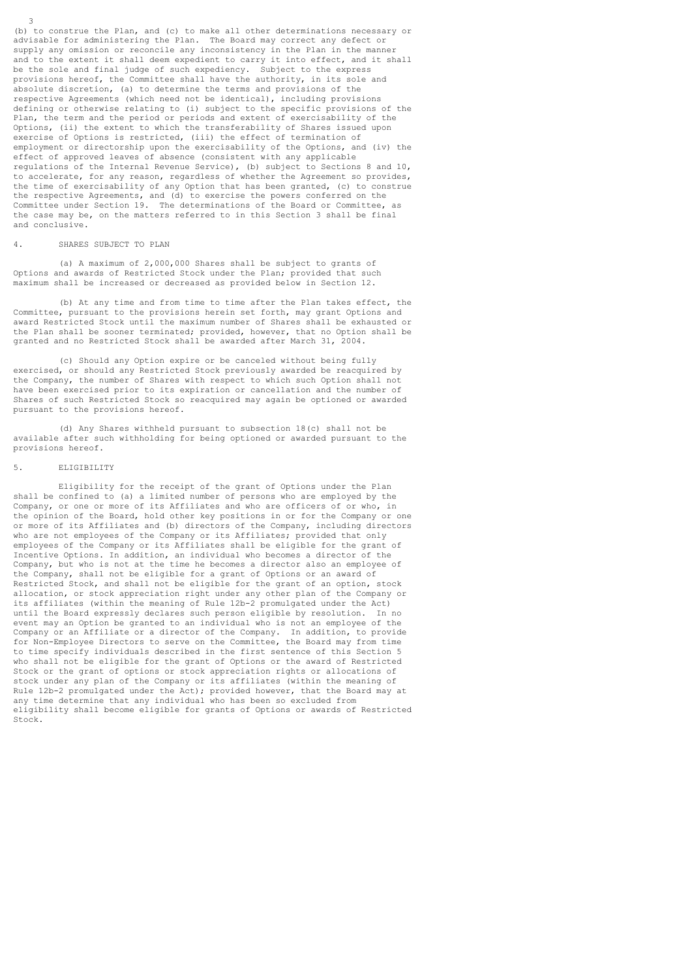(b) to construe the Plan, and (c) to make all other determinations necessary or advisable for administering the Plan. The Board may correct any defect or supply any omission or reconcile any inconsistency in the Plan in the manner and to the extent it shall deem expedient to carry it into effect, and it shall be the sole and final judge of such expediency. Subject to the express provisions hereof, the Committee shall have the authority, in its sole and absolute discretion, (a) to determine the terms and provisions of the respective Agreements (which need not be identical), including provisions defining or otherwise relating to (i) subject to the specific provisions of the Plan, the term and the period or periods and extent of exercisability of the Options, (ii) the extent to which the transferability of Shares issued upon exercise of Options is restricted, (iii) the effect of termination of employment or directorship upon the exercisability of the Options, and (iv) the effect of approved leaves of absence (consistent with any applicable regulations of the Internal Revenue Service), (b) subject to Sections 8 and 10, to accelerate, for any reason, regardless of whether the Agreement so provides, the time of exercisability of any Option that has been granted, (c) to construe the respective Agreements, and (d) to exercise the powers conferred on the Committee under Section 19. The determinations of the Board or Committee, as the case may be, on the matters referred to in this Section 3 shall be final and conclusive.

### 4. SHARES SUBJECT TO PLAN

3

 (a) A maximum of 2,000,000 Shares shall be subject to grants of Options and awards of Restricted Stock under the Plan; provided that such maximum shall be increased or decreased as provided below in Section 12.

 (b) At any time and from time to time after the Plan takes effect, the Committee, pursuant to the provisions herein set forth, may grant Options and award Restricted Stock until the maximum number of Shares shall be exhausted or the Plan shall be sooner terminated; provided, however, that no Option shall be granted and no Restricted Stock shall be awarded after March 31, 2004.

 (c) Should any Option expire or be canceled without being fully exercised, or should any Restricted Stock previously awarded be reacquired by the Company, the number of Shares with respect to which such Option shall not have been exercised prior to its expiration or cancellation and the number of Shares of such Restricted Stock so reacquired may again be optioned or awarded pursuant to the provisions hereof.

 (d) Any Shares withheld pursuant to subsection 18(c) shall not be available after such withholding for being optioned or awarded pursuant to the provisions hereof.

#### 5. ELIGIBILITY

 Eligibility for the receipt of the grant of Options under the Plan shall be confined to (a) a limited number of persons who are employed by the Company, or one or more of its Affiliates and who are officers of or who, in the opinion of the Board, hold other key positions in or for the Company or one or more of its Affiliates and (b) directors of the Company, including directors who are not employees of the Company or its Affiliates; provided that only employees of the Company or its Affiliates shall be eligible for the grant of Incentive Options. In addition, an individual who becomes a director of the Company, but who is not at the time he becomes a director also an employee of the Company, shall not be eligible for a grant of Options or an award of Restricted Stock, and shall not be eligible for the grant of an option, stock allocation, or stock appreciation right under any other plan of the Company or its affiliates (within the meaning of Rule 12b-2 promulgated under the Act) until the Board expressly declares such person eligible by resolution. In no event may an Option be granted to an individual who is not an employee of the Company or an Affiliate or a director of the Company. In addition, to provide for Non-Employee Directors to serve on the Committee, the Board may from time to time specify individuals described in the first sentence of this Section 5 who shall not be eligible for the grant of Options or the award of Restricted Stock or the grant of options or stock appreciation rights or allocations of stock under any plan of the Company or its affiliates (within the meaning of Rule 12b-2 promulgated under the Act); provided however, that the Board may at any time determine that any individual who has been so excluded from eligibility shall become eligible for grants of Options or awards of Restricted Stock.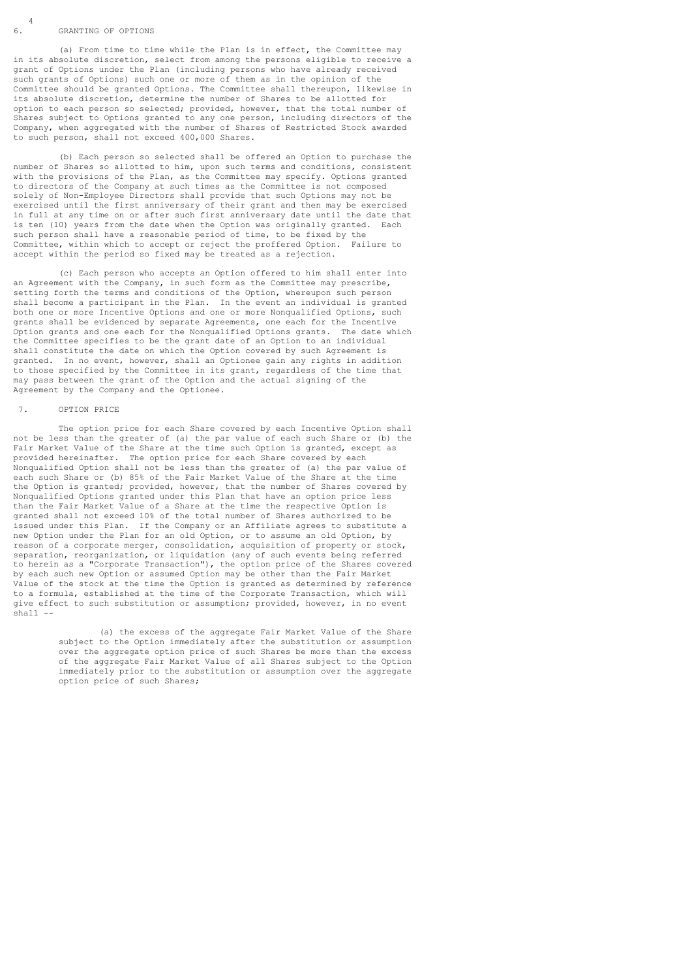#### 6. GRANTING OF OPTIONS

 (a) From time to time while the Plan is in effect, the Committee may in its absolute discretion, select from among the persons eligible to receive a grant of Options under the Plan (including persons who have already received such grants of Options) such one or more of them as in the opinion of the Committee should be granted Options. The Committee shall thereupon, likewise in its absolute discretion, determine the number of Shares to be allotted for option to each person so selected; provided, however, that the total number of Shares subject to Options granted to any one person, including directors of the Company, when aggregated with the number of Shares of Restricted Stock awarded to such person, shall not exceed 400,000 Shares.

 (b) Each person so selected shall be offered an Option to purchase the number of Shares so allotted to him, upon such terms and conditions, consistent with the provisions of the Plan, as the Committee may specify. Options granted to directors of the Company at such times as the Committee is not composed solely of Non-Employee Directors shall provide that such Options may not be exercised until the first anniversary of their grant and then may be exercised in full at any time on or after such first anniversary date until the date that is ten (10) years from the date when the Option was originally granted. Each such person shall have a reasonable period of time, to be fixed by the Committee, within which to accept or reject the proffered Option. Failure to accept within the period so fixed may be treated as a rejection.

 (c) Each person who accepts an Option offered to him shall enter into an Agreement with the Company, in such form as the Committee may prescribe, setting forth the terms and conditions of the Option, whereupon such person shall become a participant in the Plan. In the event an individual is granted both one or more Incentive Options and one or more Nonqualified Options, such grants shall be evidenced by separate Agreements, one each for the Incentive Option grants and one each for the Nonqualified Options grants. The date which the Committee specifies to be the grant date of an Option to an individual shall constitute the date on which the Option covered by such Agreement is granted. In no event, however, shall an Optionee gain any rights in addition to those specified by the Committee in its grant, regardless of the time that may pass between the grant of the Option and the actual signing of the Agreement by the Company and the Optionee.

### 7. OPTION PRICE

The option price for each Share covered by each Incentive Option shall not be less than the greater of (a) the par value of each such Share or (b) the Fair Market Value of the Share at the time such Option is granted, except as provided hereinafter. The option price for each Share covered by each Nonqualified Option shall not be less than the greater of (a) the par value of each such Share or (b) 85% of the Fair Market Value of the Share at the time the Option is granted; provided, however, that the number of Shares covered by Nonqualified Options granted under this Plan that have an option price less than the Fair Market Value of a Share at the time the respective Option is granted shall not exceed 10% of the total number of Shares authorized to be issued under this Plan. If the Company or an Affiliate agrees to substitute a new Option under the Plan for an old Option, or to assume an old Option, by reason of a corporate merger, consolidation, acquisition of property or stock, separation, reorganization, or liquidation (any of such events being referred to herein as a "Corporate Transaction"), the option price of the Shares covered by each such new Option or assumed Option may be other than the Fair Market Value of the stock at the time the Option is granted as determined by reference to a formula, established at the time of the Corporate Transaction, which will give effect to such substitution or assumption; provided, however, in no event shall -

> (a) the excess of the aggregate Fair Market Value of the Share subject to the Option immediately after the substitution or assumption over the aggregate option price of such Shares be more than the excess of the aggregate Fair Market Value of all Shares subject to the Option immediately prior to the substitution or assumption over the aggregate option price of such Shares;

 $6\frac{4}{5}$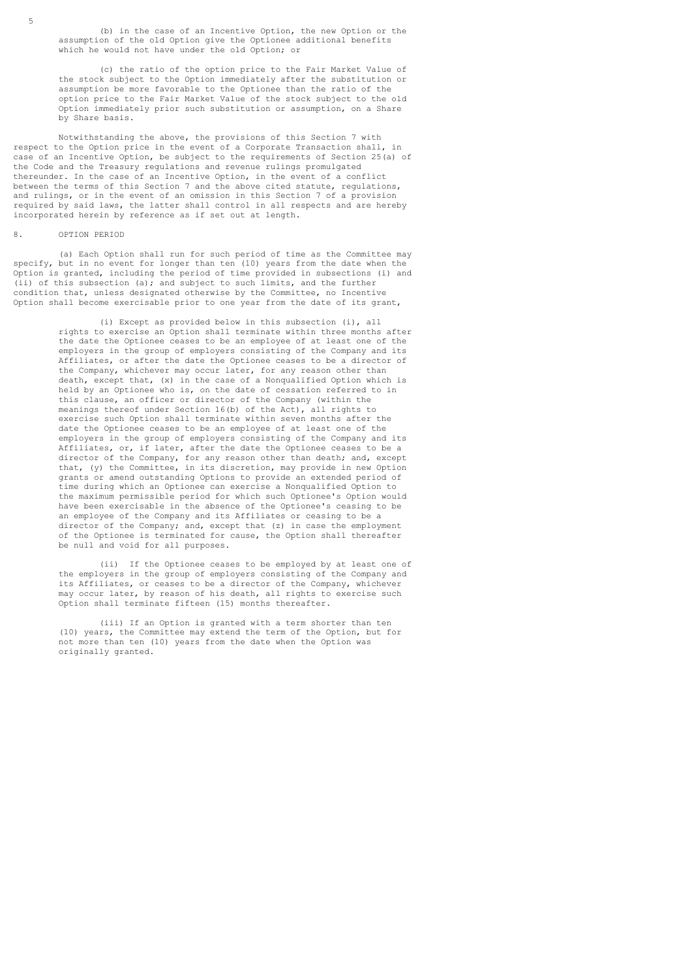(b) in the case of an Incentive Option, the new Option or the assumption of the old Option give the Optionee additional benefits which he would not have under the old Option; or

 (c) the ratio of the option price to the Fair Market Value of the stock subject to the Option immediately after the substitution or assumption be more favorable to the Optionee than the ratio of the option price to the Fair Market Value of the stock subject to the old Option immediately prior such substitution or assumption, on a Share by Share basis.

 Notwithstanding the above, the provisions of this Section 7 with respect to the Option price in the event of a Corporate Transaction shall, in case of an Incentive Option, be subject to the requirements of Section 25(a) of the Code and the Treasury regulations and revenue rulings promulgated thereunder. In the case of an Incentive Option, in the event of a conflict between the terms of this Section 7 and the above cited statute, regulations, and rulings, or in the event of an omission in this Section 7 of a provision required by said laws, the latter shall control in all respects and are hereby incorporated herein by reference as if set out at length.

### 8. OPTION PERIOD

 (a) Each Option shall run for such period of time as the Committee may specify, but in no event for longer than ten (10) years from the date when the Option is granted, including the period of time provided in subsections (i) and (ii) of this subsection (a); and subject to such limits, and the further condition that, unless designated otherwise by the Committee, no Incentive Option shall become exercisable prior to one year from the date of its grant,

> (i) Except as provided below in this subsection (i), all rights to exercise an Option shall terminate within three months after the date the Optionee ceases to be an employee of at least one of the employers in the group of employers consisting of the Company and its Affiliates, or after the date the Optionee ceases to be a director of the Company, whichever may occur later, for any reason other than death, except that, (x) in the case of a Nonqualified Option which is held by an Optionee who is, on the date of cessation referred to in this clause, an officer or director of the Company (within the meanings thereof under Section 16(b) of the Act), all rights to exercise such Option shall terminate within seven months after the date the Optionee ceases to be an employee of at least one of the employers in the group of employers consisting of the Company and its Affiliates, or, if later, after the date the Optionee ceases to be a director of the Company, for any reason other than death; and, except that, (y) the Committee, in its discretion, may provide in new Option grants or amend outstanding Options to provide an extended period of time during which an Optionee can exercise a Nonqualified Option to the maximum permissible period for which such Optionee's Option would have been exercisable in the absence of the Optionee's ceasing to be an employee of the Company and its Affiliates or ceasing to be a director of the Company; and, except that (z) in case the employment of the Optionee is terminated for cause, the Option shall thereafter be null and void for all purposes.

> (ii) If the Optionee ceases to be employed by at least one of the employers in the group of employers consisting of the Company and its Affiliates, or ceases to be a director of the Company, whichever may occur later, by reason of his death, all rights to exercise such Option shall terminate fifteen (15) months thereafter.

 (iii) If an Option is granted with a term shorter than ten (10) years, the Committee may extend the term of the Option, but for not more than ten (10) years from the date when the Option was originally granted.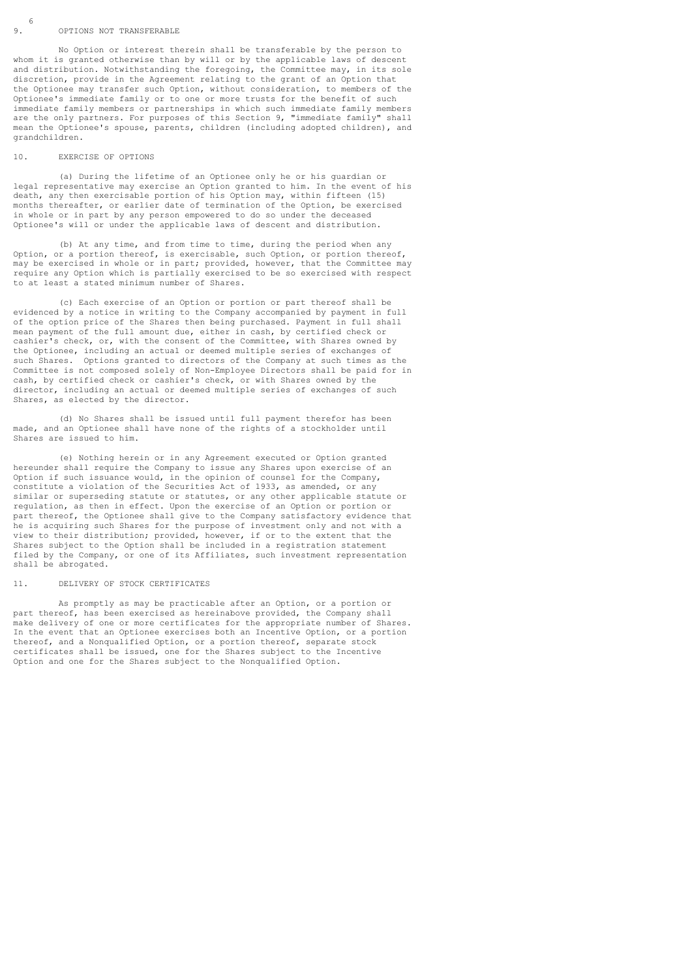#### 9. OPTIONS NOT TRANSFERABLE

 No Option or interest therein shall be transferable by the person to whom it is granted otherwise than by will or by the applicable laws of descent and distribution. Notwithstanding the foregoing, the Committee may, in its sole discretion, provide in the Agreement relating to the grant of an Option that the Optionee may transfer such Option, without consideration, to members of the Optionee's immediate family or to one or more trusts for the benefit of such immediate family members or partnerships in which such immediate family members are the only partners. For purposes of this Section 9, "immediate family" shall mean the Optionee's spouse, parents, children (including adopted children), and grandchildren.

#### 10. EXERCISE OF OPTIONS

 (a) During the lifetime of an Optionee only he or his guardian or legal representative may exercise an Option granted to him. In the event of his death, any then exercisable portion of his Option may, within fifteen (15) months thereafter, or earlier date of termination of the Option, be exercised in whole or in part by any person empowered to do so under the deceased Optionee's will or under the applicable laws of descent and distribution.

 (b) At any time, and from time to time, during the period when any Option, or a portion thereof, is exercisable, such Option, or portion thereof, may be exercised in whole or in part; provided, however, that the Committee may require any Option which is partially exercised to be so exercised with respect to at least a stated minimum number of Shares.

 (c) Each exercise of an Option or portion or part thereof shall be evidenced by a notice in writing to the Company accompanied by payment in full of the option price of the Shares then being purchased. Payment in full shall mean payment of the full amount due, either in cash, by certified check or cashier's check, or, with the consent of the Committee, with Shares owned by the Optionee, including an actual or deemed multiple series of exchanges of such Shares. Options granted to directors of the Company at such times as the Committee is not composed solely of Non-Employee Directors shall be paid for in cash, by certified check or cashier's check, or with Shares owned by the director, including an actual or deemed multiple series of exchanges of such Shares, as elected by the director.

 (d) No Shares shall be issued until full payment therefor has been made, and an Optionee shall have none of the rights of a stockholder until Shares are issued to him.

 (e) Nothing herein or in any Agreement executed or Option granted hereunder shall require the Company to issue any Shares upon exercise of an Option if such issuance would, in the opinion of counsel for the Company, constitute a violation of the Securities Act of 1933, as amended, or any similar or superseding statute or statutes, or any other applicable statute or regulation, as then in effect. Upon the exercise of an Option or portion or part thereof, the Optionee shall give to the Company satisfactory evidence that he is acquiring such Shares for the purpose of investment only and not with a view to their distribution; provided, however, if or to the extent that the Shares subject to the Option shall be included in a registration statement filed by the Company, or one of its Affiliates, such investment representation shall be abrogated.

#### 11. DELIVERY OF STOCK CERTIFICATES

 As promptly as may be practicable after an Option, or a portion or part thereof, has been exercised as hereinabove provided, the Company shall make delivery of one or more certificates for the appropriate number of Shares. In the event that an Optionee exercises both an Incentive Option, or a portion thereof, and a Nonqualified Option, or a portion thereof, separate stock certificates shall be issued, one for the Shares subject to the Incentive Option and one for the Shares subject to the Nonqualified Option.

 $9<sup>6</sup>$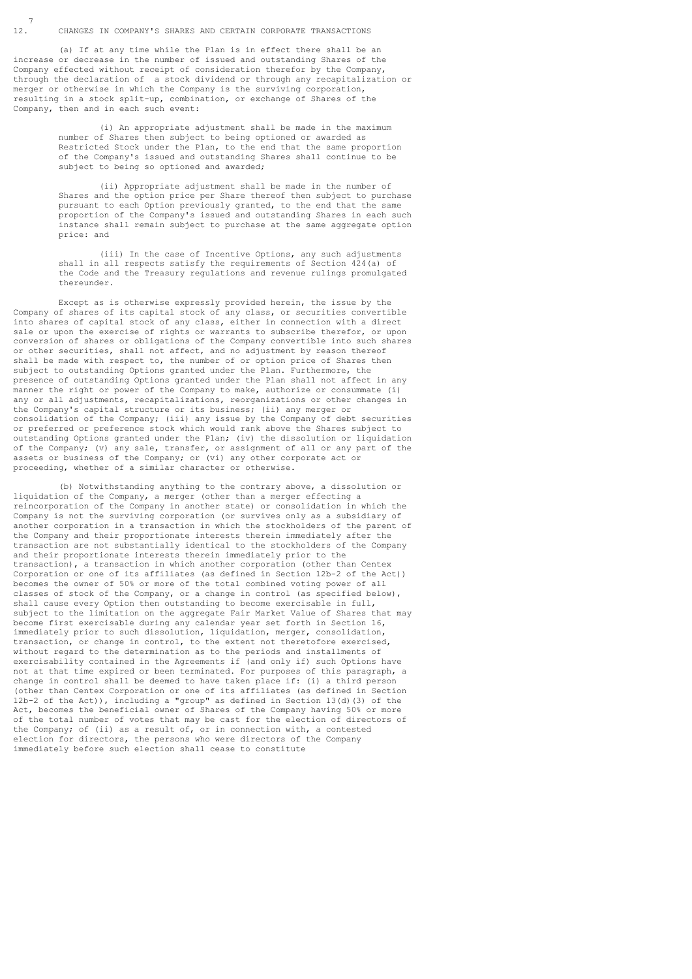#### 12. CHANGES IN COMPANY'S SHARES AND CERTAIN CORPORATE TRANSACTIONS

 (a) If at any time while the Plan is in effect there shall be an increase or decrease in the number of issued and outstanding Shares of the Company effected without receipt of consideration therefor by the Company, through the declaration of a stock dividend or through any recapitalization or merger or otherwise in which the Company is the surviving corporation, resulting in a stock split-up, combination, or exchange of Shares of the Company, then and in each such event:

> (i) An appropriate adjustment shall be made in the maximum number of Shares then subject to being optioned or awarded as Restricted Stock under the Plan, to the end that the same proportion of the Company's issued and outstanding Shares shall continue to be subject to being so optioned and awarded;

 (ii) Appropriate adjustment shall be made in the number of Shares and the option price per Share thereof then subject to purchase pursuant to each Option previously granted, to the end that the same proportion of the Company's issued and outstanding Shares in each such instance shall remain subject to purchase at the same aggregate option price: and

 (iii) In the case of Incentive Options, any such adjustments shall in all respects satisfy the requirements of Section 424(a) of the Code and the Treasury regulations and revenue rulings promulgated thereunder.

 Except as is otherwise expressly provided herein, the issue by the Company of shares of its capital stock of any class, or securities convertible into shares of capital stock of any class, either in connection with a direct sale or upon the exercise of rights or warrants to subscribe therefor, or upon conversion of shares or obligations of the Company convertible into such shares or other securities, shall not affect, and no adjustment by reason thereof shall be made with respect to, the number of or option price of Shares then subject to outstanding Options granted under the Plan. Furthermore, the presence of outstanding Options granted under the Plan shall not affect in any manner the right or power of the Company to make, authorize or consummate (i) any or all adjustments, recapitalizations, reorganizations or other changes in the Company's capital structure or its business; (ii) any merger or consolidation of the Company; (iii) any issue by the Company of debt securities or preferred or preference stock which would rank above the Shares subject to outstanding Options granted under the Plan; (iv) the dissolution or liquidation of the Company; (v) any sale, transfer, or assignment of all or any part of the assets or business of the Company; or (vi) any other corporate act or proceeding, whether of a similar character or otherwise.

 (b) Notwithstanding anything to the contrary above, a dissolution or liquidation of the Company, a merger (other than a merger effecting a reincorporation of the Company in another state) or consolidation in which the Company is not the surviving corporation (or survives only as a subsidiary of another corporation in a transaction in which the stockholders of the parent of the Company and their proportionate interests therein immediately after the transaction are not substantially identical to the stockholders of the Company and their proportionate interests therein immediately prior to the transaction), a transaction in which another corporation (other than Centex Corporation or one of its affiliates (as defined in Section 12b-2 of the Act)) becomes the owner of 50% or more of the total combined voting power of all classes of stock of the Company, or a change in control (as specified below), shall cause every Option then outstanding to become exercisable in full, subject to the limitation on the aggregate Fair Market Value of Shares that may become first exercisable during any calendar year set forth in Section 16, immediately prior to such dissolution, liquidation, merger, consolidation, transaction, or change in control, to the extent not theretofore exercised, without regard to the determination as to the periods and installments of exercisability contained in the Agreements if (and only if) such Options have not at that time expired or been terminated. For purposes of this paragraph, a change in control shall be deemed to have taken place if: (i) a third person (other than Centex Corporation or one of its affiliates (as defined in Section 12b-2 of the Act)), including a "group" as defined in Section 13(d)(3) of the Act, becomes the beneficial owner of Shares of the Company having 50% or more of the total number of votes that may be cast for the election of directors of the Company; of (ii) as a result of, or in connection with, a contested election for directors, the persons who were directors of the Company immediately before such election shall cease to constitute

 $12<sup>7</sup>$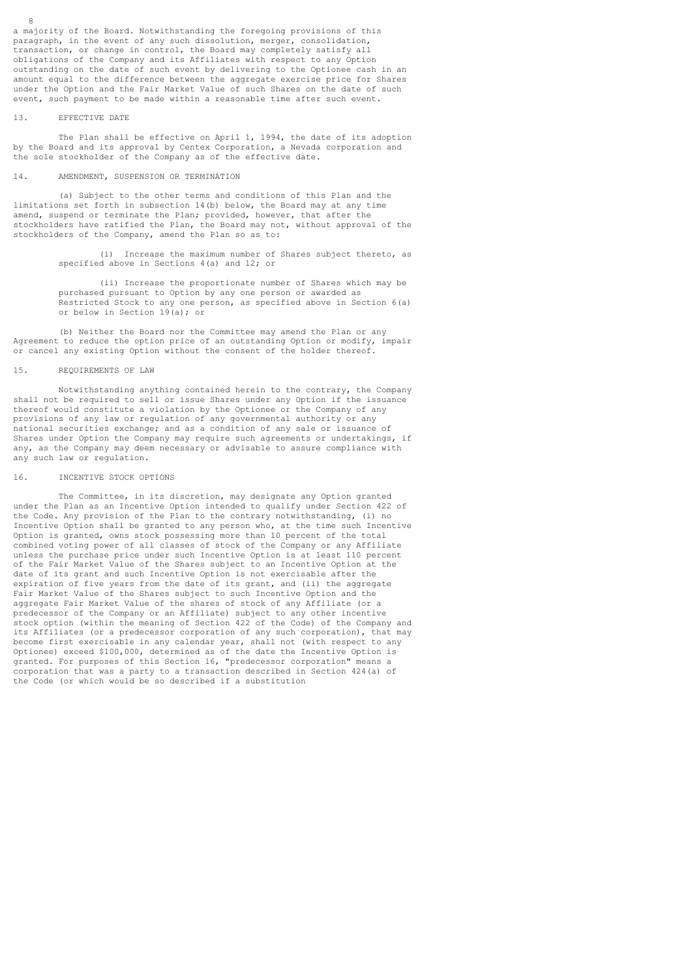a majority of the Board. Notwithstanding the foregoing provisions of this paragraph, in the event of any such dissolution, merger, consolidation, transaction, or change in control, the Board may completely satisfy all obligations of the Company and its Affiliates with respect to any Option outstanding on the date of such event by delivering to the Optionee cash in an amount equal to the difference between the aggregate exercise price for Shares under the Option and the Fair Market Value of such Shares on the date of such event, such payment to be made within a reasonable time after such event.

#### 13. EFFECTIVE DATE

 The Plan shall be effective on April 1, 1994, the date of its adoption by the Board and its approval by Centex Corporation, a Nevada corporation and the sole stockholder of the Company as of the effective date.

#### 14. AMENDMENT, SUSPENSION OR TERMINATION

 (a) Subject to the other terms and conditions of this Plan and the limitations set forth in subsection 14(b) below, the Board may at any time amend, suspend or terminate the Plan; provided, however, that after the stockholders have ratified the Plan, the Board may not, without approval of the stockholders of the Company, amend the Plan so as to:

> (i) Increase the maximum number of Shares subject thereto, as specified above in Sections 4(a) and 12; or

> (ii) Increase the proportionate number of Shares which may be purchased pursuant to Option by any one person or awarded as Restricted Stock to any one person, as specified above in Section 6(a) or below in Section 19(a); or

 (b) Neither the Board nor the Committee may amend the Plan or any Agreement to reduce the option price of an outstanding Option or modify, impair or cancel any existing Option without the consent of the holder thereof.

#### 15. REQUIREMENTS OF LAW

 Notwithstanding anything contained herein to the contrary, the Company shall not be required to sell or issue Shares under any Option if the issuance thereof would constitute a violation by the Optionee or the Company of any provisions of any law or regulation of any governmental authority or any national securities exchange; and as a condition of any sale or issuance of Shares under Option the Company may require such agreements or undertakings, if any, as the Company may deem necessary or advisable to assure compliance with any such law or regulation.

### 16. INCENTIVE STOCK OPTIONS

 The Committee, in its discretion, may designate any Option granted under the Plan as an Incentive Option intended to qualify under Section 422 of the Code. Any provision of the Plan to the contrary notwithstanding, (i) no Incentive Option shall be granted to any person who, at the time such Incentive Option is granted, owns stock possessing more than 10 percent of the total combined voting power of all classes of stock of the Company or any Affiliate unless the purchase price under such Incentive Option is at least 110 percent of the Fair Market Value of the Shares subject to an Incentive Option at the date of its grant and such Incentive Option is not exercisable after the expiration of five years from the date of its grant, and (ii) the aggregate Fair Market Value of the Shares subject to such Incentive Option and the aggregate Fair Market Value of the shares of stock of any Affiliate (or a predecessor of the Company or an Affiliate) subject to any other incentive stock option (within the meaning of Section 422 of the Code) of the Company and its Affiliates (or a predecessor corporation of any such corporation), that may become first exercisable in any calendar year, shall not (with respect to any Optionee) exceed \$100,000, determined as of the date the Incentive Option is granted. For purposes of this Section 16, "predecessor corporation" means a corporation that was a party to a transaction described in Section 424(a) of the Code (or which would be so described if a substitution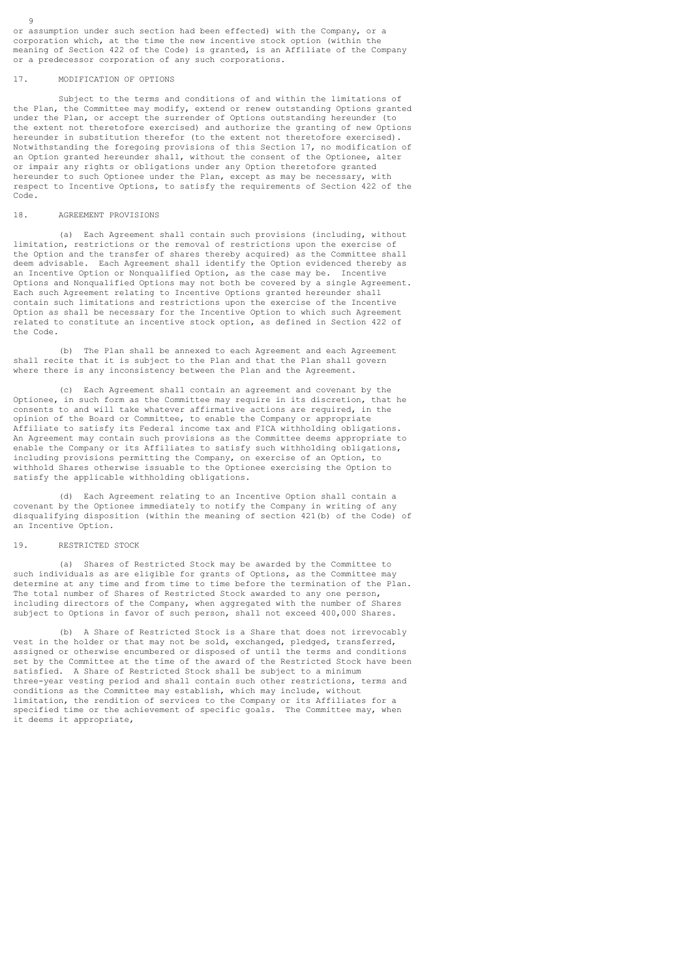or assumption under such section had been effected) with the Company, or a corporation which, at the time the new incentive stock option (within the meaning of Section 422 of the Code) is granted, is an Affiliate of the Company or a predecessor corporation of any such corporations.

#### 17. MODIFICATION OF OPTIONS

 $Q$ 

 Subject to the terms and conditions of and within the limitations of the Plan, the Committee may modify, extend or renew outstanding Options granted under the Plan, or accept the surrender of Options outstanding hereunder (to the extent not theretofore exercised) and authorize the granting of new Options hereunder in substitution therefor (to the extent not theretofore exercised). Notwithstanding the foregoing provisions of this Section 17, no modification of an Option granted hereunder shall, without the consent of the Optionee, alter or impair any rights or obligations under any Option theretofore granted hereunder to such Optionee under the Plan, except as may be necessary, with respect to Incentive Options, to satisfy the requirements of Section 422 of the Code.

### 18. AGREEMENT PROVISIONS

 (a) Each Agreement shall contain such provisions (including, without limitation, restrictions or the removal of restrictions upon the exercise of the Option and the transfer of shares thereby acquired) as the Committee shall deem advisable. Each Agreement shall identify the Option evidenced thereby as an Incentive Option or Nonqualified Option, as the case may be. Incentive Options and Nonqualified Options may not both be covered by a single Agreement. Each such Agreement relating to Incentive Options granted hereunder shall contain such limitations and restrictions upon the exercise of the Incentive Option as shall be necessary for the Incentive Option to which such Agreement related to constitute an incentive stock option, as defined in Section 422 of the Code.

 (b) The Plan shall be annexed to each Agreement and each Agreement shall recite that it is subject to the Plan and that the Plan shall govern where there is any inconsistency between the Plan and the Agreement.

 (c) Each Agreement shall contain an agreement and covenant by the Optionee, in such form as the Committee may require in its discretion, that he consents to and will take whatever affirmative actions are required, in the opinion of the Board or Committee, to enable the Company or appropriate Affiliate to satisfy its Federal income tax and FICA withholding obligations. An Agreement may contain such provisions as the Committee deems appropriate to enable the Company or its Affiliates to satisfy such withholding obligations, including provisions permitting the Company, on exercise of an Option, to withhold Shares otherwise issuable to the Optionee exercising the Option to satisfy the applicable withholding obligations.

 (d) Each Agreement relating to an Incentive Option shall contain a covenant by the Optionee immediately to notify the Company in writing of any disqualifying disposition (within the meaning of section 421(b) of the Code) of an Incentive Option.

# 19. RESTRICTED STOCK

 (a) Shares of Restricted Stock may be awarded by the Committee to such individuals as are eligible for grants of Options, as the Committee may determine at any time and from time to time before the termination of the Plan. The total number of Shares of Restricted Stock awarded to any one person, including directors of the Company, when aggregated with the number of Shares subject to Options in favor of such person, shall not exceed 400,000 Shares.

 (b) A Share of Restricted Stock is a Share that does not irrevocably vest in the holder or that may not be sold, exchanged, pledged, transferred, assigned or otherwise encumbered or disposed of until the terms and conditions set by the Committee at the time of the award of the Restricted Stock have been satisfied. A Share of Restricted Stock shall be subject to a minimum three-year vesting period and shall contain such other restrictions, terms and conditions as the Committee may establish, which may include, without limitation, the rendition of services to the Company or its Affiliates for a specified time or the achievement of specific goals. The Committee may, when it deems it appropriate,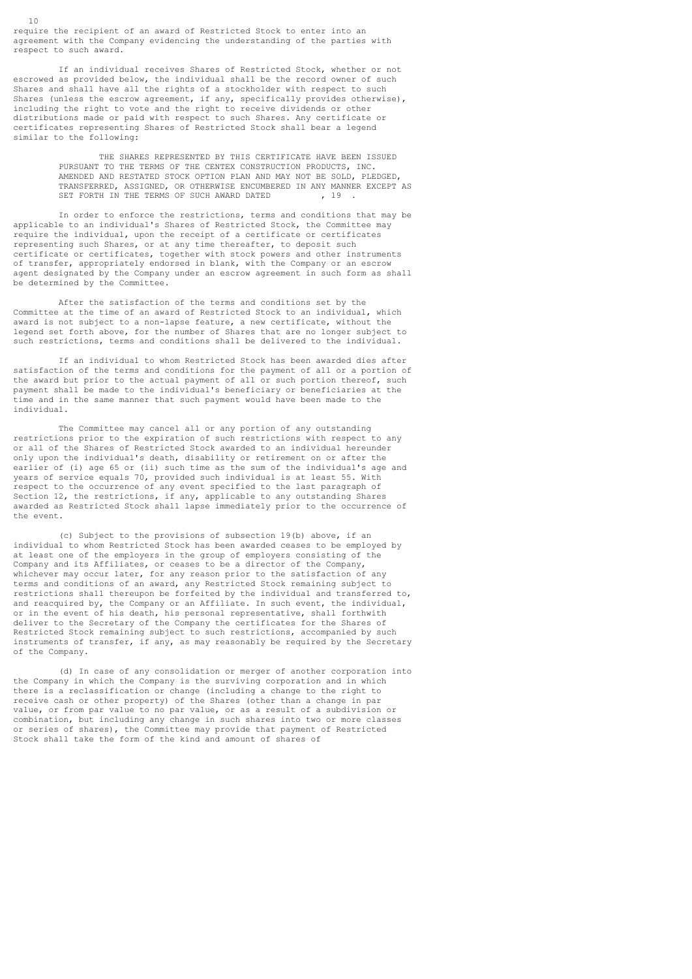require the recipient of an award of Restricted Stock to enter into an agreement with the Company evidencing the understanding of the parties with respect to such award.

 If an individual receives Shares of Restricted Stock, whether or not escrowed as provided below, the individual shall be the record owner of such Shares and shall have all the rights of a stockholder with respect to such Shares (unless the escrow agreement, if any, specifically provides otherwise), including the right to vote and the right to receive dividends or other distributions made or paid with respect to such Shares. Any certificate or certificates representing Shares of Restricted Stock shall bear a legend similar to the following:

> THE SHARES REPRESENTED BY THIS CERTIFICATE HAVE BEEN ISSUED PURSUANT TO THE TERMS OF THE CENTEX CONSTRUCTION PRODUCTS, INC. AMENDED AND RESTATED STOCK OPTION PLAN AND MAY NOT BE SOLD, PLEDGED, TRANSFERRED, ASSIGNED, OR OTHERWISE ENCUMBERED IN ANY MANNER EXCEPT AS SET FORTH IN THE TERMS OF SUCH AWARD DATED

 In order to enforce the restrictions, terms and conditions that may be applicable to an individual's Shares of Restricted Stock, the Committee may require the individual, upon the receipt of a certificate or certificates representing such Shares, or at any time thereafter, to deposit such certificate or certificates, together with stock powers and other instruments of transfer, appropriately endorsed in blank, with the Company or an escrow agent designated by the Company under an escrow agreement in such form as shall be determined by the Committee.

 After the satisfaction of the terms and conditions set by the Committee at the time of an award of Restricted Stock to an individual, which award is not subject to a non-lapse feature, a new certificate, without the legend set forth above, for the number of Shares that are no longer subject to such restrictions, terms and conditions shall be delivered to the individual.

 If an individual to whom Restricted Stock has been awarded dies after satisfaction of the terms and conditions for the payment of all or a portion of the award but prior to the actual payment of all or such portion thereof, such payment shall be made to the individual's beneficiary or beneficiaries at the time and in the same manner that such payment would have been made to the individual.

 The Committee may cancel all or any portion of any outstanding restrictions prior to the expiration of such restrictions with respect to any or all of the Shares of Restricted Stock awarded to an individual hereunder only upon the individual's death, disability or retirement on or after the earlier of (i) age 65 or (ii) such time as the sum of the individual's age and years of service equals 70, provided such individual is at least 55. With respect to the occurrence of any event specified to the last paragraph of Section 12, the restrictions, if any, applicable to any outstanding Shares awarded as Restricted Stock shall lapse immediately prior to the occurrence of the event.

 (c) Subject to the provisions of subsection 19(b) above, if an individual to whom Restricted Stock has been awarded ceases to be employed by at least one of the employers in the group of employers consisting of the Company and its Affiliates, or ceases to be a director of the Company, whichever may occur later, for any reason prior to the satisfaction of any terms and conditions of an award, any Restricted Stock remaining subject to restrictions shall thereupon be forfeited by the individual and transferred to, and reacquired by, the Company or an Affiliate. In such event, the individual, or in the event of his death, his personal representative, shall forthwith deliver to the Secretary of the Company the certificates for the Shares of Restricted Stock remaining subject to such restrictions, accompanied by such instruments of transfer, if any, as may reasonably be required by the Secretary of the Company.

 (d) In case of any consolidation or merger of another corporation into the Company in which the Company is the surviving corporation and in which there is a reclassification or change (including a change to the right to receive cash or other property) of the Shares (other than a change in par value, or from par value to no par value, or as a result of a subdivision or combination, but including any change in such shares into two or more classes or series of shares), the Committee may provide that payment of Restricted Stock shall take the form of the kind and amount of shares of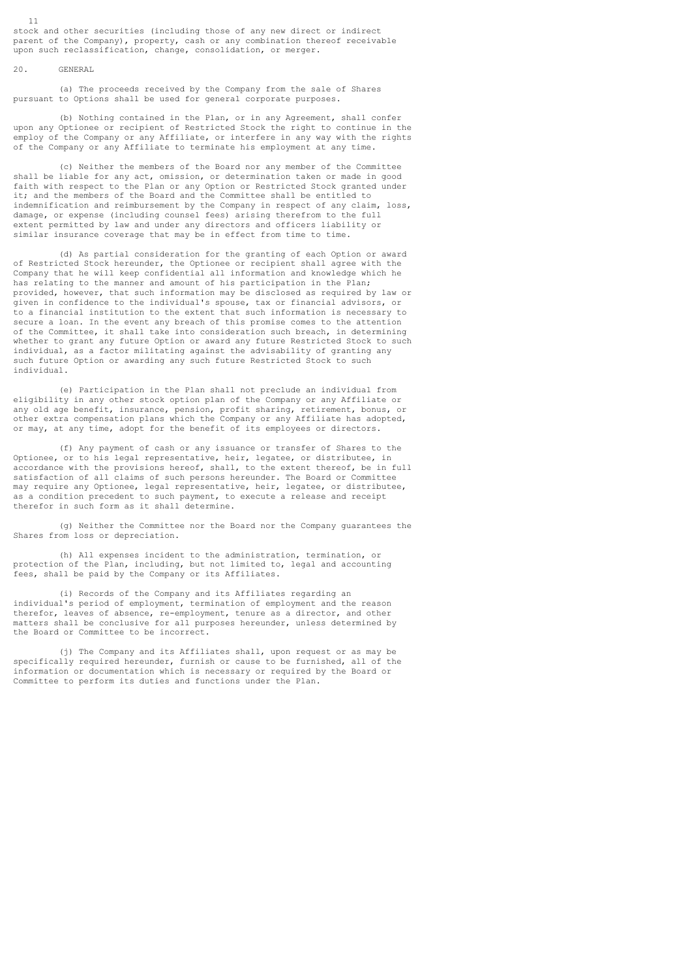stock and other securities (including those of any new direct or indirect parent of the Company), property, cash or any combination thereof receivable upon such reclassification, change, consolidation, or merger.

# 20. GENERAL

 (a) The proceeds received by the Company from the sale of Shares pursuant to Options shall be used for general corporate purposes.

 (b) Nothing contained in the Plan, or in any Agreement, shall confer upon any Optionee or recipient of Restricted Stock the right to continue in the employ of the Company or any Affiliate, or interfere in any way with the rights of the Company or any Affiliate to terminate his employment at any time.

 (c) Neither the members of the Board nor any member of the Committee shall be liable for any act, omission, or determination taken or made in good faith with respect to the Plan or any Option or Restricted Stock granted under it; and the members of the Board and the Committee shall be entitled to indemnification and reimbursement by the Company in respect of any claim, loss, damage, or expense (including counsel fees) arising therefrom to the full extent permitted by law and under any directors and officers liability or similar insurance coverage that may be in effect from time to time.

 (d) As partial consideration for the granting of each Option or award of Restricted Stock hereunder, the Optionee or recipient shall agree with the Company that he will keep confidential all information and knowledge which he has relating to the manner and amount of his participation in the Plan; provided, however, that such information may be disclosed as required by law or given in confidence to the individual's spouse, tax or financial advisors, or to a financial institution to the extent that such information is necessary to secure a loan. In the event any breach of this promise comes to the attention of the Committee, it shall take into consideration such breach, in determining whether to grant any future Option or award any future Restricted Stock to such individual, as a factor militating against the advisability of granting any such future Option or awarding any such future Restricted Stock to such individual.

 (e) Participation in the Plan shall not preclude an individual from eligibility in any other stock option plan of the Company or any Affiliate or any old age benefit, insurance, pension, profit sharing, retirement, bonus, or other extra compensation plans which the Company or any Affiliate has adopted, or may, at any time, adopt for the benefit of its employees or directors.

 (f) Any payment of cash or any issuance or transfer of Shares to the Optionee, or to his legal representative, heir, legatee, or distributee, in accordance with the provisions hereof, shall, to the extent thereof, be in full satisfaction of all claims of such persons hereunder. The Board or Committee may require any Optionee, legal representative, heir, legatee, or distributee, as a condition precedent to such payment, to execute a release and receipt therefor in such form as it shall determine.

 (g) Neither the Committee nor the Board nor the Company guarantees the Shares from loss or depreciation.

 (h) All expenses incident to the administration, termination, or protection of the Plan, including, but not limited to, legal and accounting fees, shall be paid by the Company or its Affiliates.

 (i) Records of the Company and its Affiliates regarding an individual's period of employment, termination of employment and the reason therefor, leaves of absence, re-employment, tenure as a director, and other matters shall be conclusive for all purposes hereunder, unless determined by the Board or Committee to be incorrect.

 (j) The Company and its Affiliates shall, upon request or as may be specifically required hereunder, furnish or cause to be furnished, all of the information or documentation which is necessary or required by the Board or Committee to perform its duties and functions under the Plan.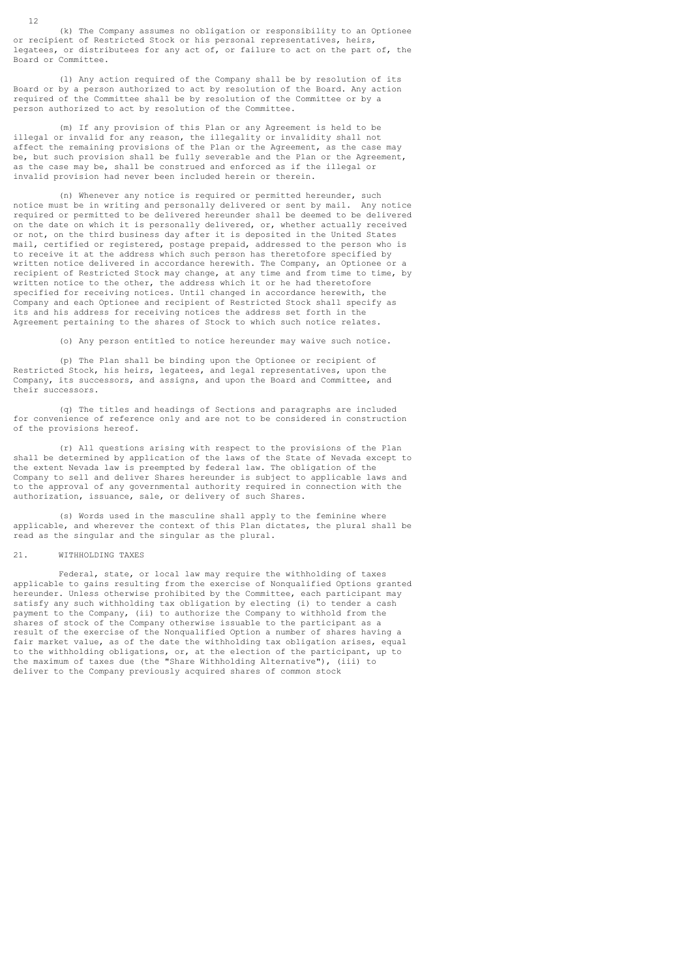(k) The Company assumes no obligation or responsibility to an Optionee or recipient of Restricted Stock or his personal representatives, heirs, legatees, or distributees for any act of, or failure to act on the part of, the Board or Committee.

 (l) Any action required of the Company shall be by resolution of its Board or by a person authorized to act by resolution of the Board. Any action required of the Committee shall be by resolution of the Committee or by a person authorized to act by resolution of the Committee.

 (m) If any provision of this Plan or any Agreement is held to be illegal or invalid for any reason, the illegality or invalidity shall not affect the remaining provisions of the Plan or the Agreement, as the case may be, but such provision shall be fully severable and the Plan or the Agreement, as the case may be, shall be construed and enforced as if the illegal or invalid provision had never been included herein or therein.

 (n) Whenever any notice is required or permitted hereunder, such notice must be in writing and personally delivered or sent by mail. Any notice required or permitted to be delivered hereunder shall be deemed to be delivered on the date on which it is personally delivered, or, whether actually received or not, on the third business day after it is deposited in the United States mail, certified or registered, postage prepaid, addressed to the person who is to receive it at the address which such person has theretofore specified by written notice delivered in accordance herewith. The Company, an Optionee or a recipient of Restricted Stock may change, at any time and from time to time, by written notice to the other, the address which it or he had theretofore specified for receiving notices. Until changed in accordance herewith, the Company and each Optionee and recipient of Restricted Stock shall specify as its and his address for receiving notices the address set forth in the Agreement pertaining to the shares of Stock to which such notice relates.

(o) Any person entitled to notice hereunder may waive such notice.

 (p) The Plan shall be binding upon the Optionee or recipient of Restricted Stock, his heirs, legatees, and legal representatives, upon the Company, its successors, and assigns, and upon the Board and Committee, and their successors.

 (q) The titles and headings of Sections and paragraphs are included for convenience of reference only and are not to be considered in construction of the provisions hereof.

 (r) All questions arising with respect to the provisions of the Plan shall be determined by application of the laws of the State of Nevada except to the extent Nevada law is preempted by federal law. The obligation of the Company to sell and deliver Shares hereunder is subject to applicable laws and to the approval of any governmental authority required in connection with the authorization, issuance, sale, or delivery of such Shares.

 (s) Words used in the masculine shall apply to the feminine where applicable, and wherever the context of this Plan dictates, the plural shall be read as the singular and the singular as the plural.

### 21. WITHHOLDING TAXES

 Federal, state, or local law may require the withholding of taxes applicable to gains resulting from the exercise of Nonqualified Options granted hereunder. Unless otherwise prohibited by the Committee, each participant may satisfy any such withholding tax obligation by electing (i) to tender a cash payment to the Company, (ii) to authorize the Company to withhold from the shares of stock of the Company otherwise issuable to the participant as a result of the exercise of the Nonqualified Option a number of shares having a fair market value, as of the date the withholding tax obligation arises, equal to the withholding obligations, or, at the election of the participant, up to the maximum of taxes due (the "Share Withholding Alternative"), (iii) to deliver to the Company previously acquired shares of common stock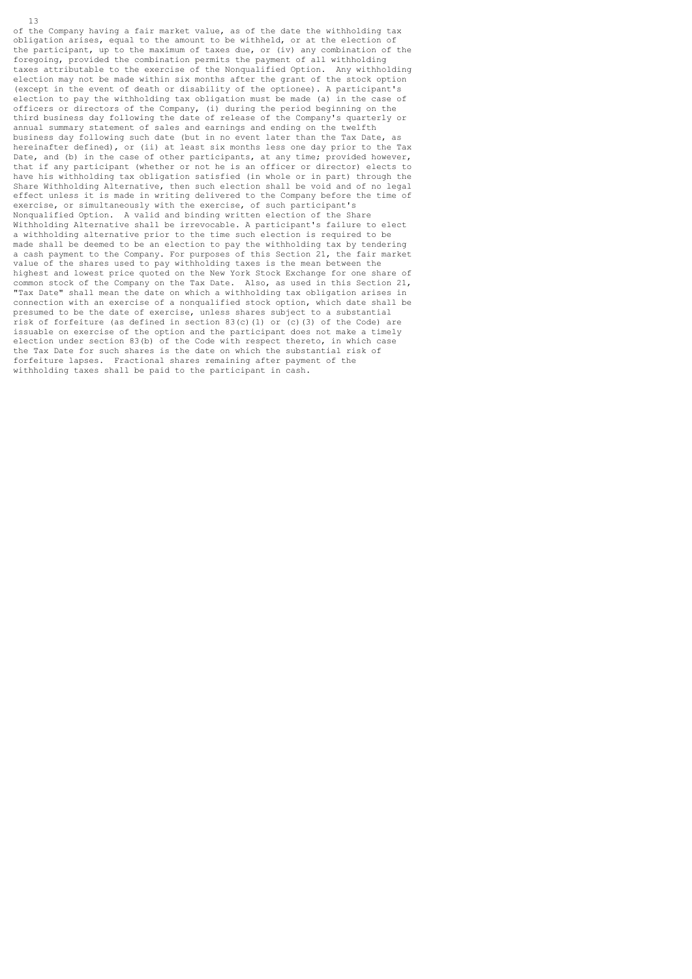of the Company having a fair market value, as of the date the withholding tax obligation arises, equal to the amount to be withheld, or at the election of the participant, up to the maximum of taxes due, or (iv) any combination of the foregoing, provided the combination permits the payment of all withholding taxes attributable to the exercise of the Nonqualified Option. Any withholding election may not be made within six months after the grant of the stock option (except in the event of death or disability of the optionee). A participant's election to pay the withholding tax obligation must be made (a) in the case of officers or directors of the Company, (i) during the period beginning on the third business day following the date of release of the Company's quarterly or annual summary statement of sales and earnings and ending on the twelfth business day following such date (but in no event later than the Tax Date, as hereinafter defined), or (ii) at least six months less one day prior to the Tax Date, and (b) in the case of other participants, at any time; provided however, that if any participant (whether or not he is an officer or director) elects to have his withholding tax obligation satisfied (in whole or in part) through the Share Withholding Alternative, then such election shall be void and of no legal effect unless it is made in writing delivered to the Company before the time of exercise, or simultaneously with the exercise, of such participant's Nonqualified Option. A valid and binding written election of the Share Withholding Alternative shall be irrevocable. A participant's failure to elect a withholding alternative prior to the time such election is required to be made shall be deemed to be an election to pay the withholding tax by tendering a cash payment to the Company. For purposes of this Section 21, the fair market value of the shares used to pay withholding taxes is the mean between the highest and lowest price quoted on the New York Stock Exchange for one share of common stock of the Company on the Tax Date. Also, as used in this Section 21, "Tax Date" shall mean the date on which a withholding tax obligation arises in connection with an exercise of a nonqualified stock option, which date shall be presumed to be the date of exercise, unless shares subject to a substantial risk of forfeiture (as defined in section 83(c)(1) or (c)(3) of the Code) are issuable on exercise of the option and the participant does not make a timely election under section 83(b) of the Code with respect thereto, in which case the Tax Date for such shares is the date on which the substantial risk of forfeiture lapses. Fractional shares remaining after payment of the withholding taxes shall be paid to the participant in cash.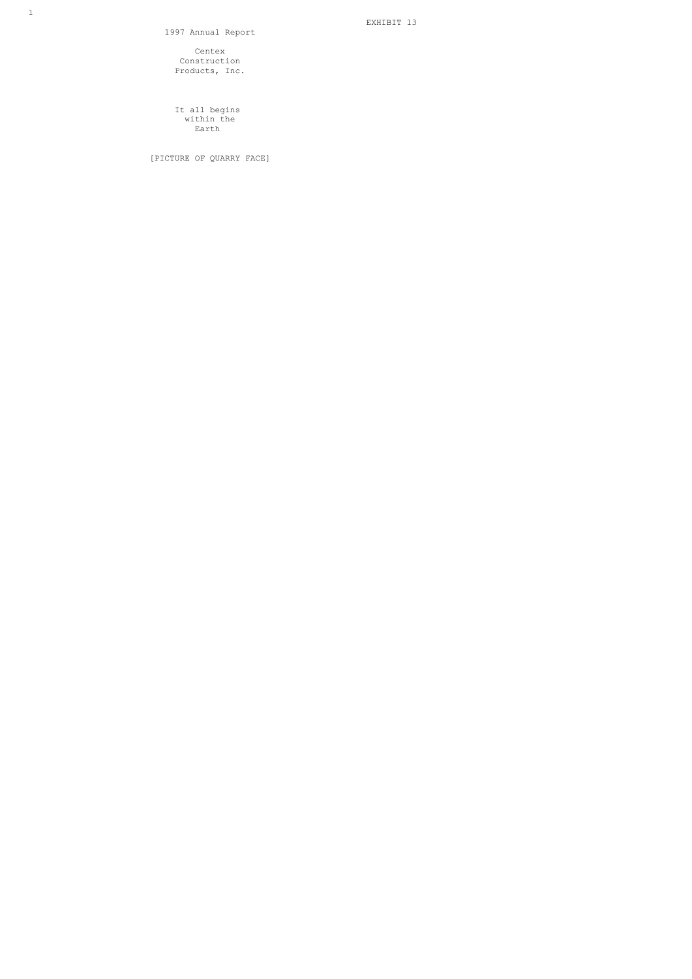1997 Annual Report

 Centex Construction Products, Inc.

 It all begins within the **Earth** Earth

[PICTURE OF QUARRY FACE]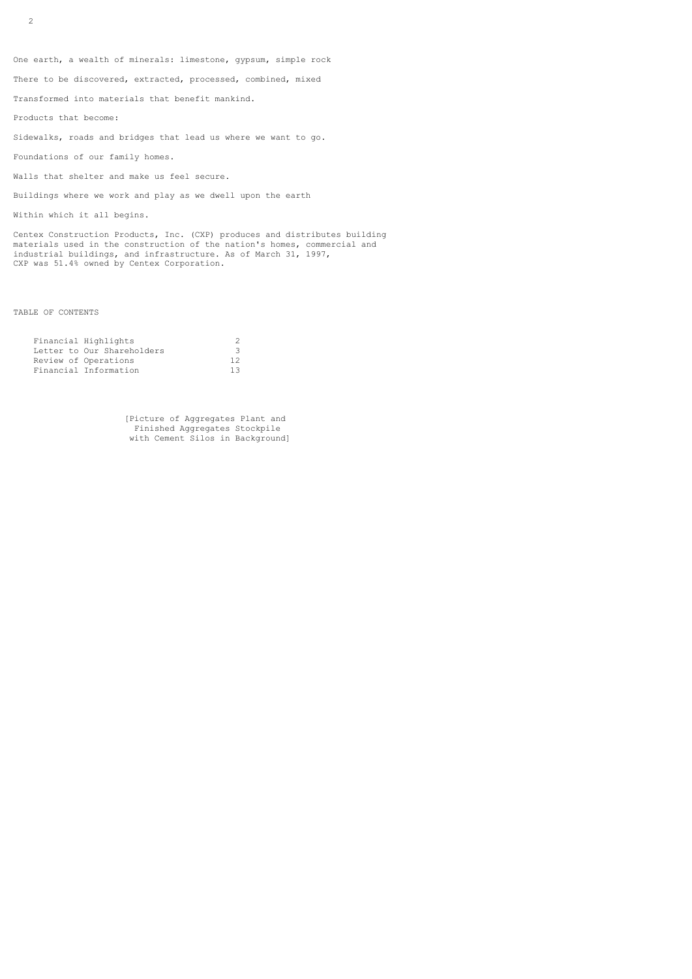One earth, a wealth of minerals: limestone, gypsum, simple rock

There to be discovered, extracted, processed, combined, mixed

Transformed into materials that benefit mankind.

Products that become:

Sidewalks, roads and bridges that lead us where we want to go.

Foundations of our family homes.

Walls that shelter and make us feel secure.

Buildings where we work and play as we dwell upon the earth

Within which it all begins.

Centex Construction Products, Inc. (CXP) produces and distributes building materials used in the construction of the nation's homes, commercial and industrial buildings, and infrastructure. As of March 31, 1997, CXP was 51.4% owned by Centex Corporation.

TABLE OF CONTENTS

| Financial Highlights       |    |
|----------------------------|----|
| Letter to Our Shareholders | 3  |
| Review of Operations       | 12 |
| Financial Information      | 13 |

 [Picture of Aggregates Plant and Finished Aggregates Stockpile with Cement Silos in Background]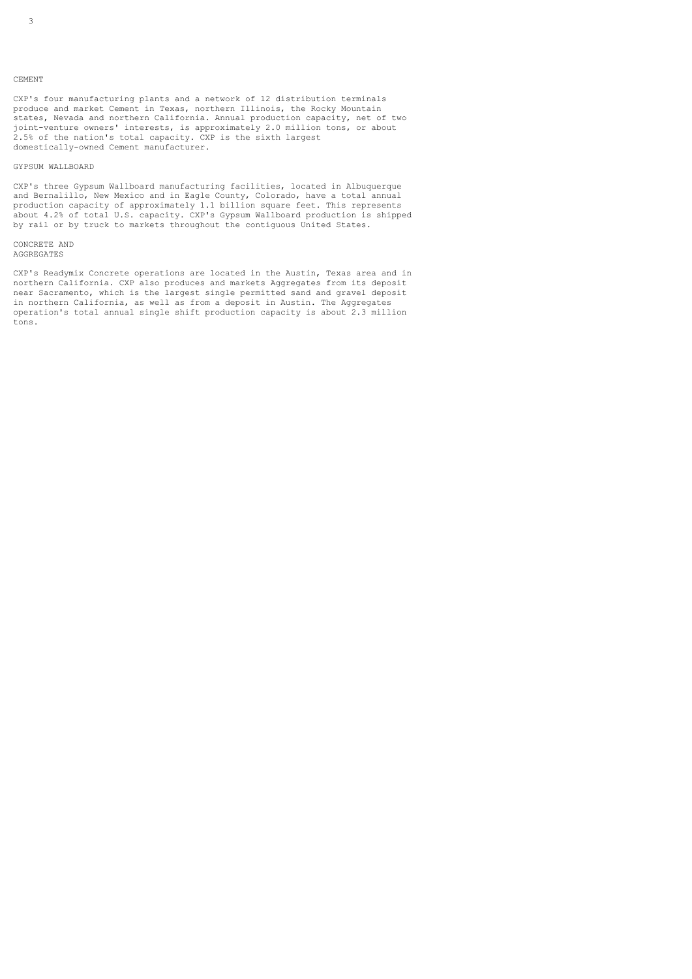CXP's four manufacturing plants and a network of 12 distribution terminals produce and market Cement in Texas, northern Illinois, the Rocky Mountain states, Nevada and northern California. Annual production capacity, net of two joint-venture owners' interests, is approximately 2.0 million tons, or about 2.5% of the nation's total capacity. CXP is the sixth largest domestically-owned Cement manufacturer.

### GYPSUM WALLBOARD

CXP's three Gypsum Wallboard manufacturing facilities, located in Albuquerque and Bernalillo, New Mexico and in Eagle County, Colorado, have a total annual production capacity of approximately 1.1 billion square feet. This represents about 4.2% of total U.S. capacity. CXP's Gypsum Wallboard production is shipped by rail or by truck to markets throughout the contiguous United States.

CONCRETE AND AGGREGATES

CXP's Readymix Concrete operations are located in the Austin, Texas area and in northern California. CXP also produces and markets Aggregates from its deposit near Sacramento, which is the largest single permitted sand and gravel deposit in northern California, as well as from a deposit in Austin. The Aggregates operation's total annual single shift production capacity is about 2.3 million tons.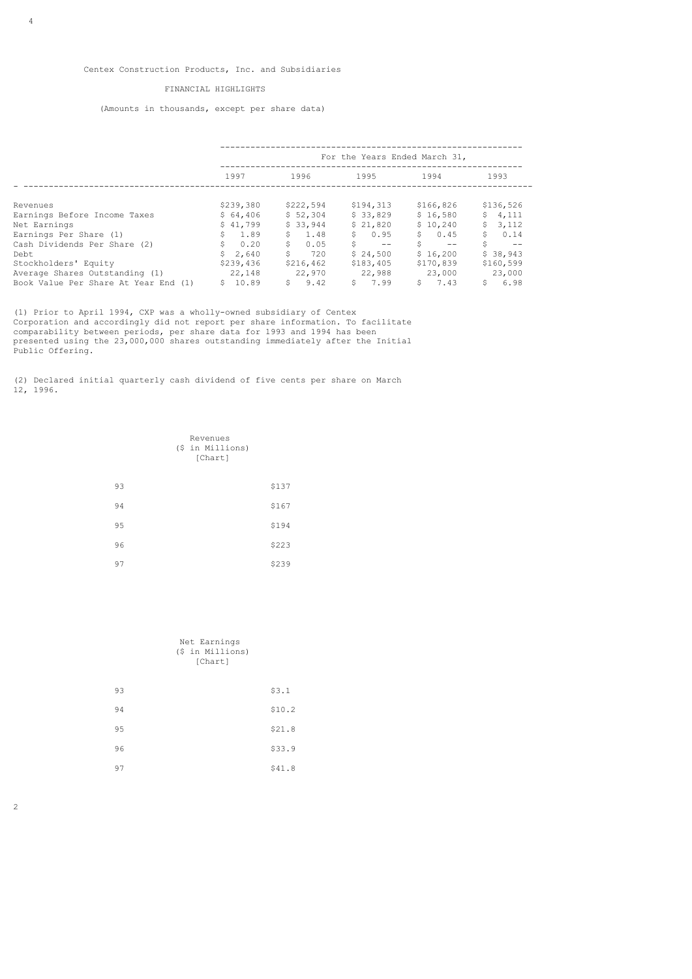## FINANCIAL HIGHLIGHTS

(Amounts in thousands, except per share data)

|                                      | For the Years Ended March 31, |            |                                     |                   |                   |
|--------------------------------------|-------------------------------|------------|-------------------------------------|-------------------|-------------------|
|                                      | 1997                          | 1996       | 1995                                | 1994              | 1993              |
| Revenues                             | \$239,380                     | \$222,594  | \$194,313                           | \$166,826         | \$136,526         |
| Earnings Before Income Taxes         | \$64,406                      | \$52,304   | \$33.829                            | \$16.580          | \$4,111           |
| Net Earnings                         | \$41.799                      | \$33,944   | \$21.820                            | \$10.240          | \$<br>3,112       |
| Earnings Per Share (1)               | \$1.89                        | \$1.48     | \$0.95                              | \$0.45            | \$<br>0.14        |
| Cash Dividends Per Share (2)         | \$0.20                        | Ŝ.<br>0.05 | S.<br>and the state of the state of | Ŝ.<br>$\sim$ $ -$ | \$<br>$\sim$ $ -$ |
| Debt                                 | \$2,640                       | Ŝ.<br>720  | \$24,500                            | \$16,200          | \$38,943          |
| Stockholders' Equity                 | \$239,436                     | \$216,462  | \$183,405                           | \$170,839         | \$160,599         |
| Average Shares Outstanding (1)       | 22,148                        | 22,970     | 22,988                              | 23,000            | 23,000            |
| Book Value Per Share At Year End (1) | \$10.89                       | 9.42<br>S. | 5, 7, 99                            | $5 \t 7.43$       | 6.98<br>Ŝ.        |

(1) Prior to April 1994, CXP was a wholly-owned subsidiary of Centex Corporation and accordingly did not report per share information. To facilitate comparability between periods, per share data for 1993 and 1994 has been presented using the 23,000,000 shares outstanding immediately after the Initial Public Offering.

(2) Declared initial quarterly cash dividend of five cents per share on March 12, 1996.

|    | Revenues<br>(\$ in Millions)<br>[Chart] |       |
|----|-----------------------------------------|-------|
| 93 |                                         | \$137 |
| 94 |                                         | \$167 |
| 95 |                                         | \$194 |
| 96 |                                         | \$223 |
| 97 |                                         | \$239 |

|    | Net Earnings<br>(\$ in Millions)<br>[Chart] |        |
|----|---------------------------------------------|--------|
| 93 |                                             | \$3.1  |
| 94 |                                             | \$10.2 |
| 95 |                                             | \$21.8 |
| 96 |                                             | \$33.9 |
| 97 |                                             | \$41.8 |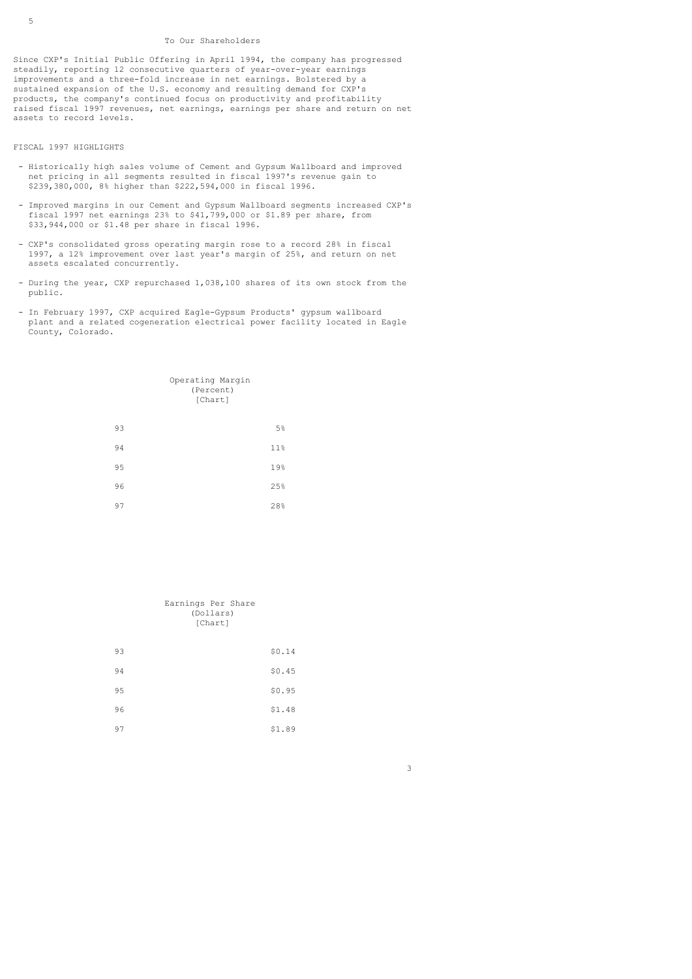#### To Our Shareholders

Since CXP's Initial Public Offering in April 1994, the company has progressed steadily, reporting 12 consecutive quarters of year-over-year earnings improvements and a three-fold increase in net earnings. Bolstered by a sustained expansion of the U.S. economy and resulting demand for CXP's products, the company's continued focus on productivity and profitability raised fiscal 1997 revenues, net earnings, earnings per share and return on net assets to record levels.

## FISCAL 1997 HIGHLIGHTS

- Historically high sales volume of Cement and Gypsum Wallboard and improved net pricing in all segments resulted in fiscal 1997's revenue gain to \$239,380,000, 8% higher than \$222,594,000 in fiscal 1996.
- Improved margins in our Cement and Gypsum Wallboard segments increased CXP's fiscal 1997 net earnings 23% to \$41,799,000 or \$1.89 per share, from \$33,944,000 or \$1.48 per share in fiscal 1996.
- CXP's consolidated gross operating margin rose to a record 28% in fiscal 1997, a 12% improvement over last year's margin of 25%, and return on net assets escalated concurrently.
- During the year, CXP repurchased 1,038,100 shares of its own stock from the public.
- In February 1997, CXP acquired Eagle-Gypsum Products' gypsum wallboard plant and a related cogeneration electrical power facility located in Eagle County, Colorado.

|    | Operating Margin<br>(Percent)<br>[Chart] |  |
|----|------------------------------------------|--|
| 93 | 5%                                       |  |
| 94 | 11%                                      |  |
| 95 | 19%                                      |  |
| 96 | 25%                                      |  |
| 97 | 28%                                      |  |

|    | Earnings Per Share<br>(Dollars)<br>[Chart] |
|----|--------------------------------------------|
| 93 | \$0.14                                     |
| 94 | \$0.45                                     |
| 95 | \$0.95                                     |
| 96 | \$1.48                                     |
| 97 | \$1.89                                     |

 $\sim$  3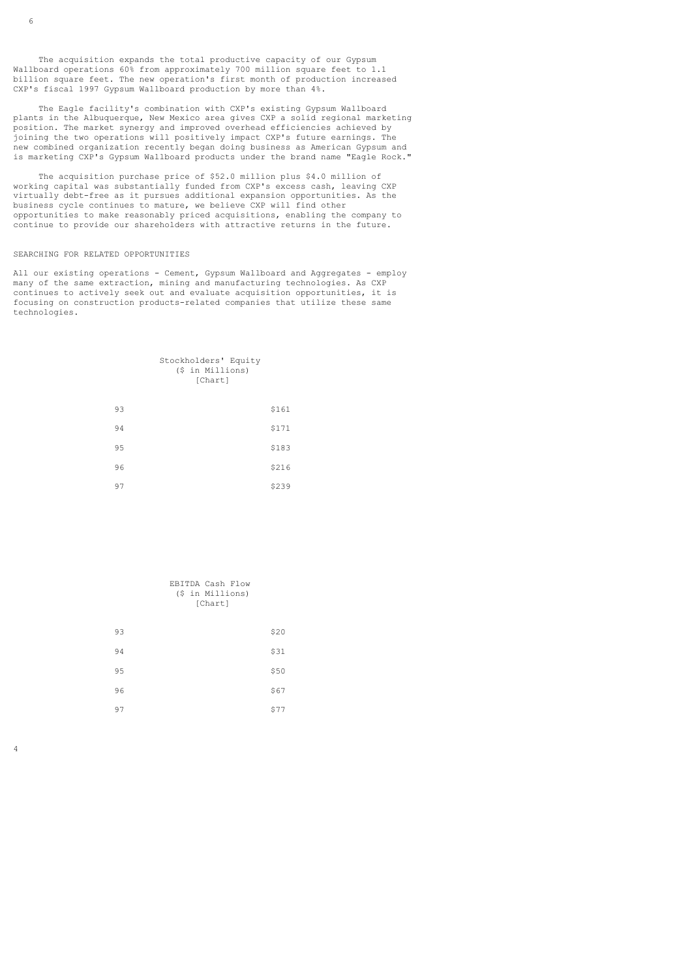The acquisition expands the total productive capacity of our Gypsum Wallboard operations 60% from approximately 700 million square feet to 1.1 billion square feet. The new operation's first month of production increased CXP's fiscal 1997 Gypsum Wallboard production by more than 4%.

 The Eagle facility's combination with CXP's existing Gypsum Wallboard plants in the Albuquerque, New Mexico area gives CXP a solid regional marketing position. The market synergy and improved overhead efficiencies achieved by joining the two operations will positively impact CXP's future earnings. The new combined organization recently began doing business as American Gypsum and is marketing CXP's Gypsum Wallboard products under the brand name "Eagle Rock."

 The acquisition purchase price of \$52.0 million plus \$4.0 million of working capital was substantially funded from CXP's excess cash, leaving CXP virtually debt-free as it pursues additional expansion opportunities. As the business cycle continues to mature, we believe CXP will find other opportunities to make reasonably priced acquisitions, enabling the company to continue to provide our shareholders with attractive returns in the future.

#### SEARCHING FOR RELATED OPPORTUNITIES

All our existing operations - Cement, Gypsum Wallboard and Aggregates - employ many of the same extraction, mining and manufacturing technologies. As CXP continues to actively seek out and evaluate acquisition opportunities, it is focusing on construction products-related companies that utilize these same technologies.

| Stockholders' Equity |  |
|----------------------|--|
| (\$ in Millions)     |  |
| [Chart]              |  |
|                      |  |
|                      |  |

| 93 | \$161 |
|----|-------|
| 94 | \$171 |
| 95 | \$183 |
| 96 | \$216 |
| 97 | \$239 |

|    | EBITDA Cash Flow<br>(\$ in Millions)<br>[Chart] |      |
|----|-------------------------------------------------|------|
| 93 |                                                 | \$20 |
| 94 |                                                 | \$31 |
| 95 |                                                 | \$50 |
| 96 |                                                 | \$67 |
| 97 |                                                 | \$77 |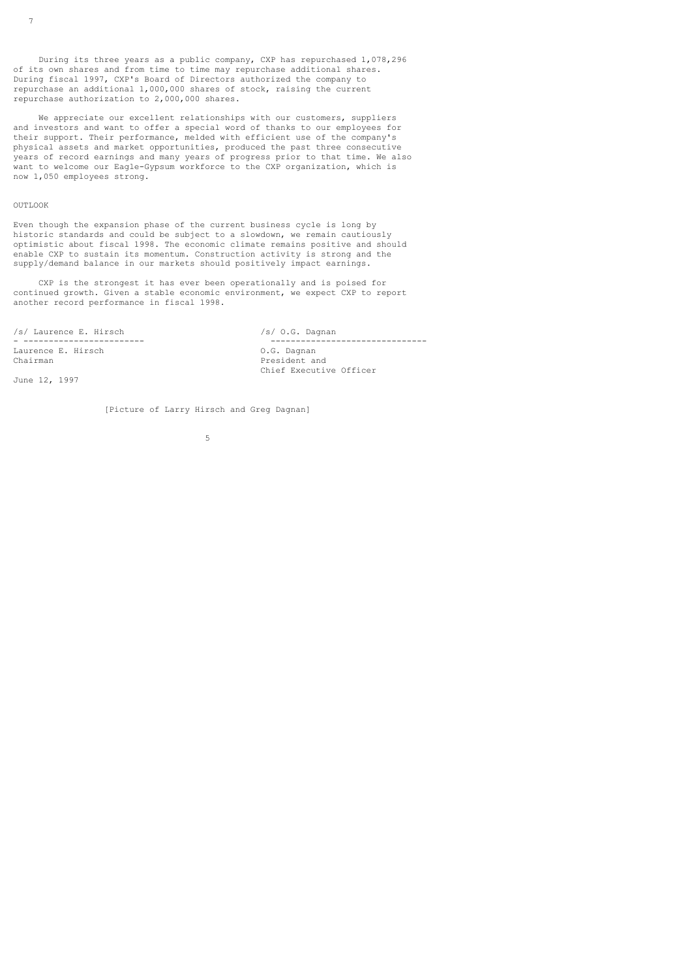During its three years as a public company, CXP has repurchased 1,078,296 of its own shares and from time to time may repurchase additional shares. During fiscal 1997, CXP's Board of Directors authorized the company to repurchase an additional 1,000,000 shares of stock, raising the current repurchase authorization to 2,000,000 shares.

 We appreciate our excellent relationships with our customers, suppliers and investors and want to offer a special word of thanks to our employees for their support. Their performance, melded with efficient use of the company's physical assets and market opportunities, produced the past three consecutive years of record earnings and many years of progress prior to that time. We also want to welcome our Eagle-Gypsum workforce to the CXP organization, which is now 1,050 employees strong.

### OUTLOOK

Even though the expansion phase of the current business cycle is long by historic standards and could be subject to a slowdown, we remain cautiously optimistic about fiscal 1998. The economic climate remains positive and should enable CXP to sustain its momentum. Construction activity is strong and the supply/demand balance in our markets should positively impact earnings.

 CXP is the strongest it has ever been operationally and is poised for continued growth. Given a stable economic environment, we expect CXP to report another record performance in fiscal 1998.

/s/ Laurence E. Hirsch /s/ O.G. Dagnan Laurence E. Hirsch<br>Chairman

June 12, 1997

- ------------------------ ------------------------------- President and Chief Executive Officer

[Picture of Larry Hirsch and Greg Dagnan]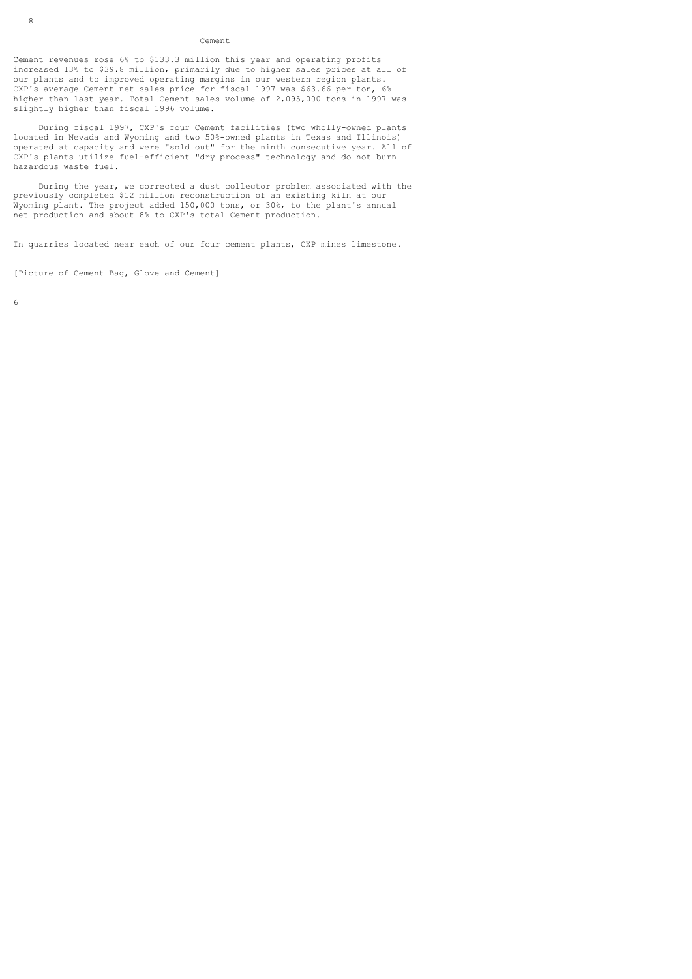#### Cement

Cement revenues rose 6% to \$133.3 million this year and operating profits increased 13% to \$39.8 million, primarily due to higher sales prices at all of our plants and to improved operating margins in our western region plants. CXP's average Cement net sales price for fiscal 1997 was \$63.66 per ton, 6% higher than last year. Total Cement sales volume of 2,095,000 tons in 1997 was slightly higher than fiscal 1996 volume.

 During fiscal 1997, CXP's four Cement facilities (two wholly-owned plants located in Nevada and Wyoming and two 50%-owned plants in Texas and Illinois) operated at capacity and were "sold out" for the ninth consecutive year. All of CXP's plants utilize fuel-efficient "dry process" technology and do not burn hazardous waste fuel.

 During the year, we corrected a dust collector problem associated with the previously completed \$12 million reconstruction of an existing kiln at our Wyoming plant. The project added 150,000 tons, or 30%, to the plant's annual net production and about 8% to CXP's total Cement production.

In quarries located near each of our four cement plants, CXP mines limestone.

[Picture of Cement Bag, Glove and Cement]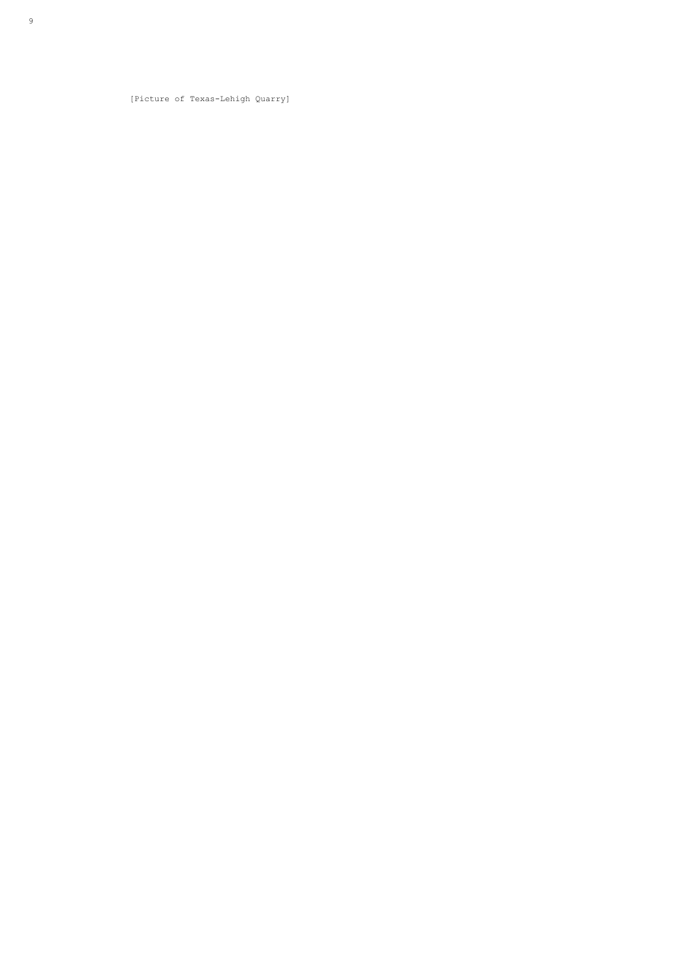[Picture of Texas-Lehigh Quarry]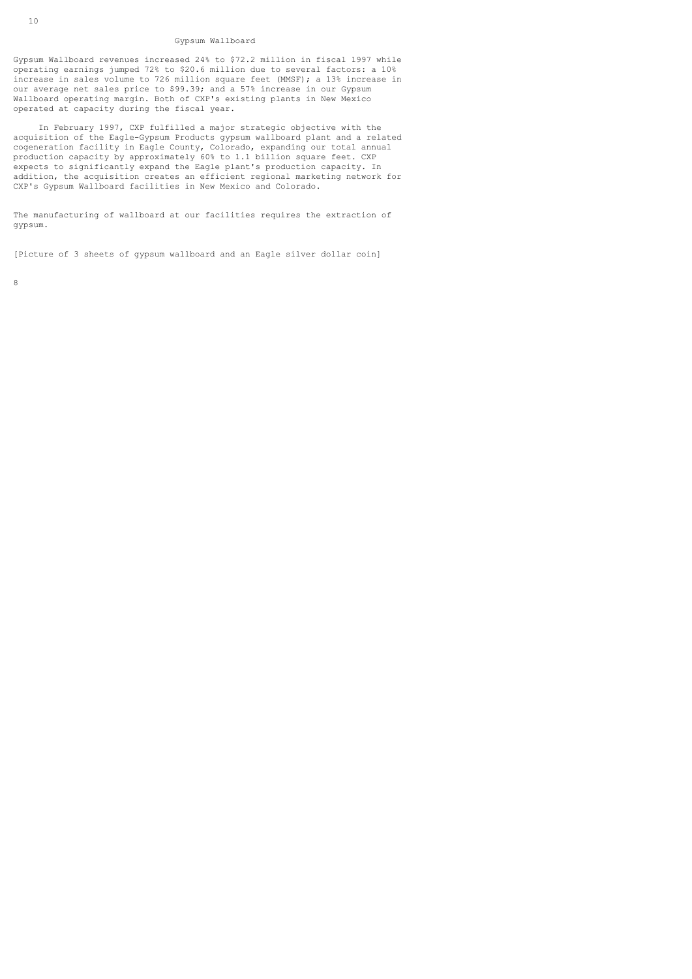### Gypsum Wallboard

Gypsum Wallboard revenues increased 24% to \$72.2 million in fiscal 1997 while operating earnings jumped 72% to \$20.6 million due to several factors: a 10% increase in sales volume to 726 million square feet (MMSF); a 13% increase in our average net sales price to \$99.39; and a 57% increase in our Gypsum Wallboard operating margin. Both of CXP's existing plants in New Mexico operated at capacity during the fiscal year.

 In February 1997, CXP fulfilled a major strategic objective with the acquisition of the Eagle-Gypsum Products gypsum wallboard plant and a related cogeneration facility in Eagle County, Colorado, expanding our total annual production capacity by approximately 60% to 1.1 billion square feet. CXP expects to significantly expand the Eagle plant's production capacity. In addition, the acquisition creates an efficient regional marketing network for CXP's Gypsum Wallboard facilities in New Mexico and Colorado.

The manufacturing of wallboard at our facilities requires the extraction of gypsum.

[Picture of 3 sheets of gypsum wallboard and an Eagle silver dollar coin]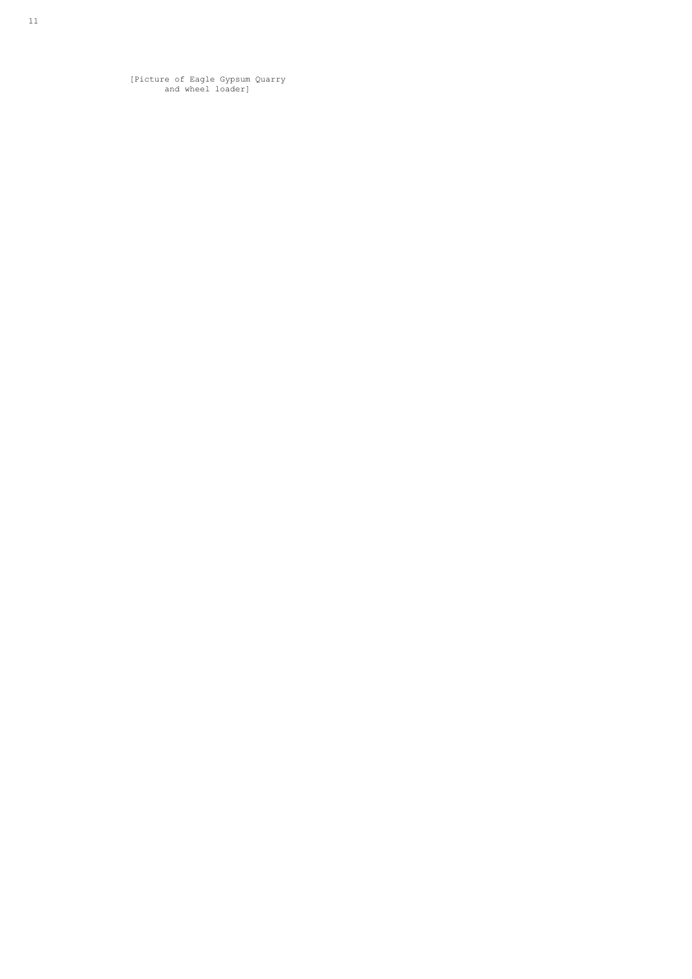[Picture of Eagle Gypsum Quarry and wheel loader]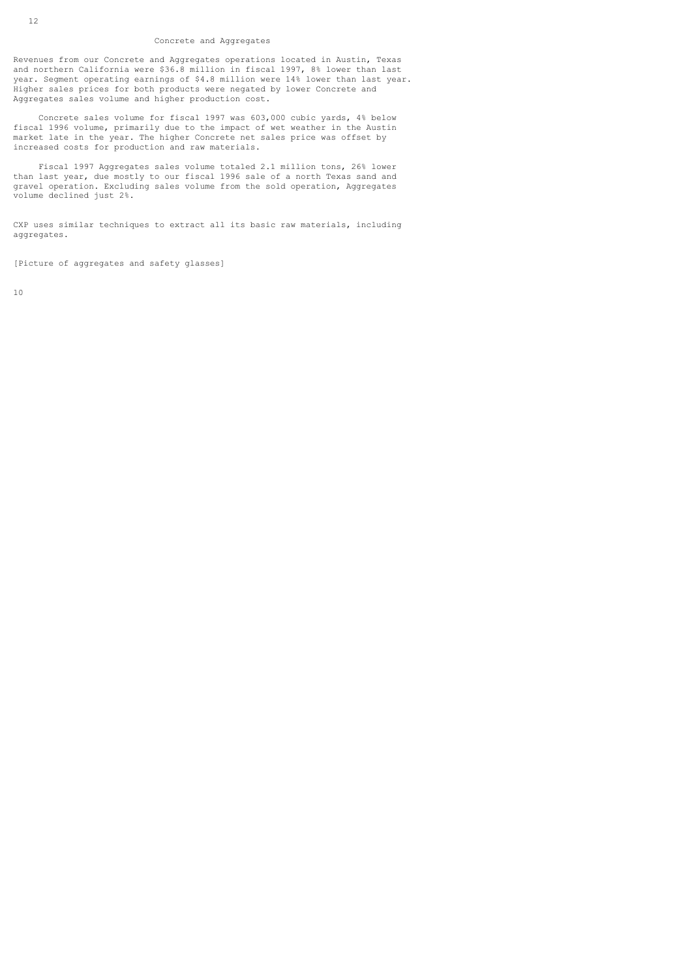#### Concrete and Aggregates

Revenues from our Concrete and Aggregates operations located in Austin, Texas and northern California were \$36.8 million in fiscal 1997, 8% lower than last year. Segment operating earnings of \$4.8 million were 14% lower than last year. Higher sales prices for both products were negated by lower Concrete and Aggregates sales volume and higher production cost.

 Concrete sales volume for fiscal 1997 was 603,000 cubic yards, 4% below fiscal 1996 volume, primarily due to the impact of wet weather in the Austin market late in the year. The higher Concrete net sales price was offset by increased costs for production and raw materials.

 Fiscal 1997 Aggregates sales volume totaled 2.1 million tons, 26% lower than last year, due mostly to our fiscal 1996 sale of a north Texas sand and gravel operation. Excluding sales volume from the sold operation, Aggregates volume declined just 2%.

CXP uses similar techniques to extract all its basic raw materials, including aggregates.

[Picture of aggregates and safety glasses]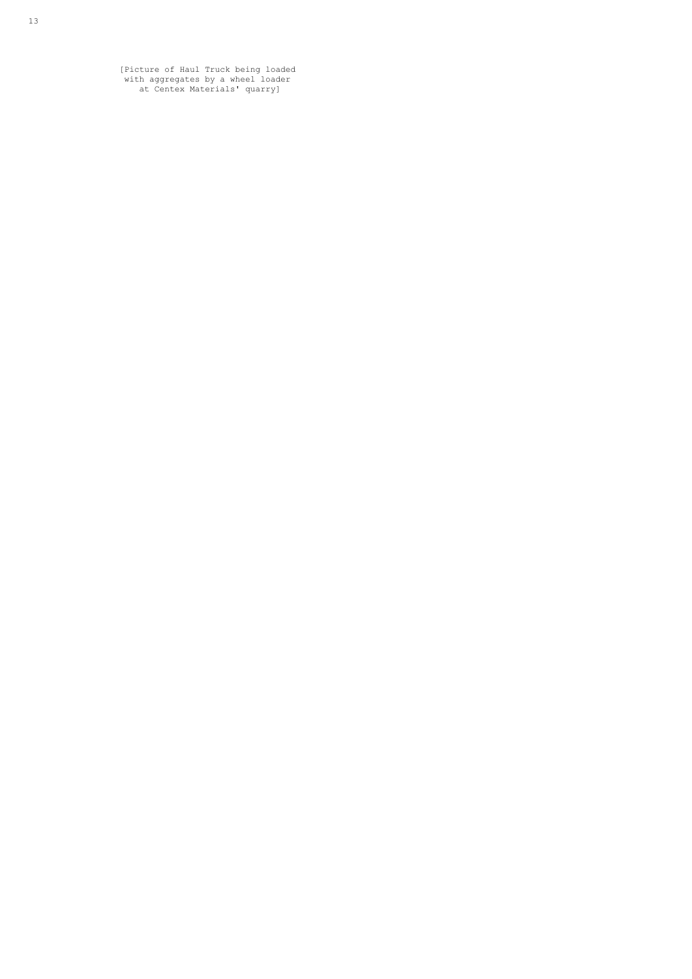[Picture of Haul Truck being loaded with aggregates by a wheel loader at Centex Materials' quarry]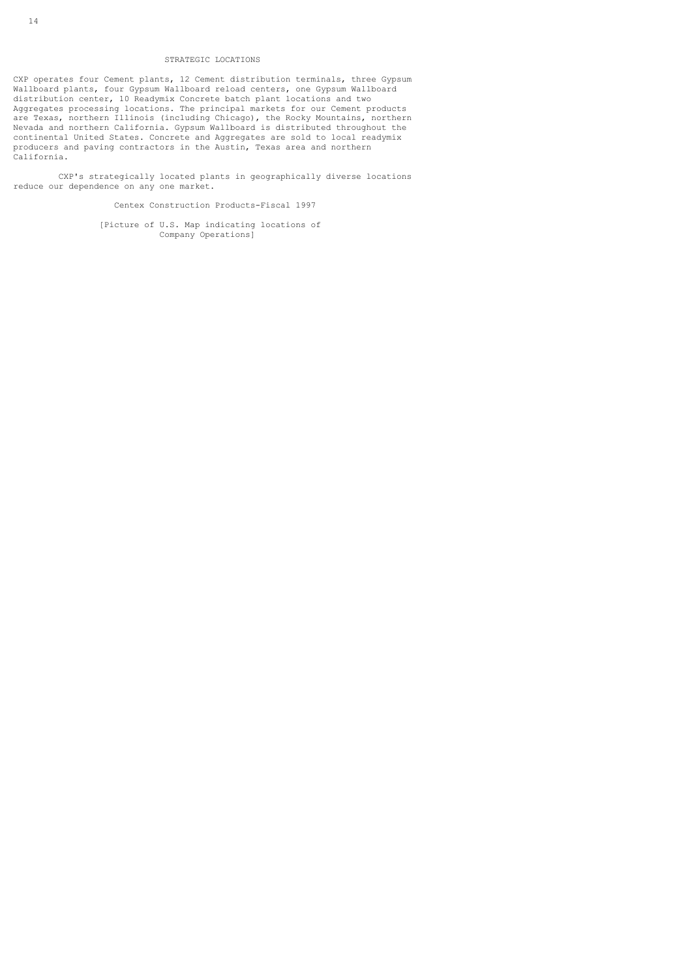## STRATEGIC LOCATIONS

CXP operates four Cement plants, 12 Cement distribution terminals, three Gypsum Wallboard plants, four Gypsum Wallboard reload centers, one Gypsum Wallboard distribution center, 10 Readymix Concrete batch plant locations and two Aggregates processing locations. The principal markets for our Cement products are Texas, northern Illinois (including Chicago), the Rocky Mountains, northern Nevada and northern California. Gypsum Wallboard is distributed throughout the continental United States. Concrete and Aggregates are sold to local readymix producers and paving contractors in the Austin, Texas area and northern California.

 CXP's strategically located plants in geographically diverse locations reduce our dependence on any one market.

Centex Construction Products-Fiscal 1997

 [Picture of U.S. Map indicating locations of Company Operations]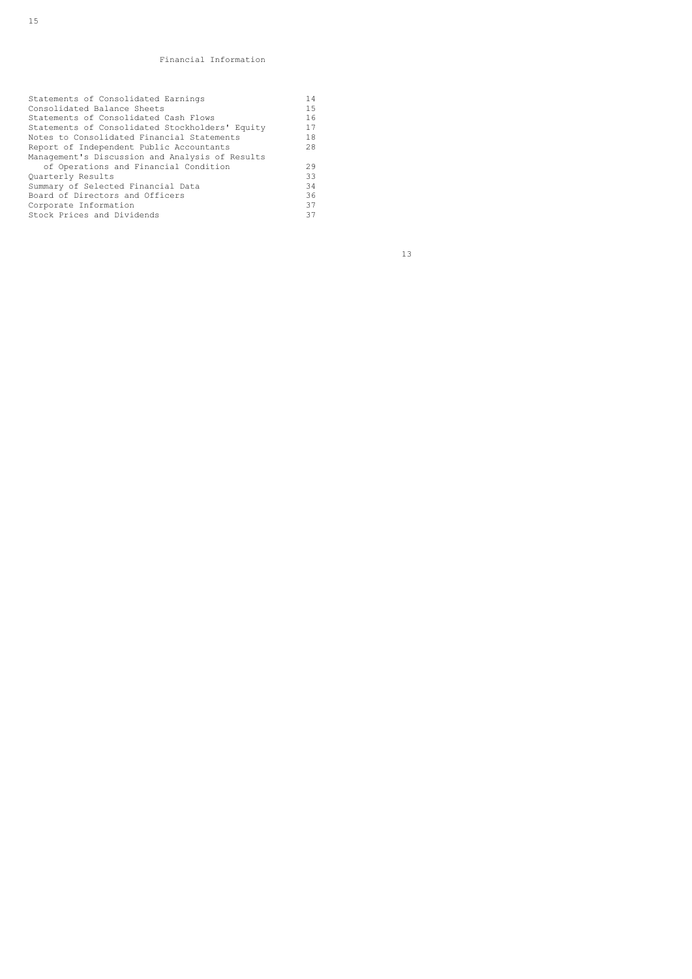# Financial Information

| Statements of Consolidated Earnings             | 14  |  |
|-------------------------------------------------|-----|--|
| Consolidated Balance Sheets                     | 1.5 |  |
| Statements of Consolidated Cash Flows           | 16  |  |
| Statements of Consolidated Stockholders' Equity | 17  |  |
| Notes to Consolidated Financial Statements      | 18  |  |
| Report of Independent Public Accountants        | 28  |  |
| Management's Discussion and Analysis of Results |     |  |
| of Operations and Financial Condition           | 29  |  |
| Quarterly Results                               | 33  |  |
| Summary of Selected Financial Data              | 34  |  |
| Board of Directors and Officers                 | 36  |  |
| Corporate Information                           | 37  |  |
| Stock Prices and Dividends                      | 37  |  |
|                                                 |     |  |

13 and 13 and 13 and 13 and 13 and 13 and 13 and 13 and 13 and 13 and 13 and 13 and 13 and 13 and 13 and 13 an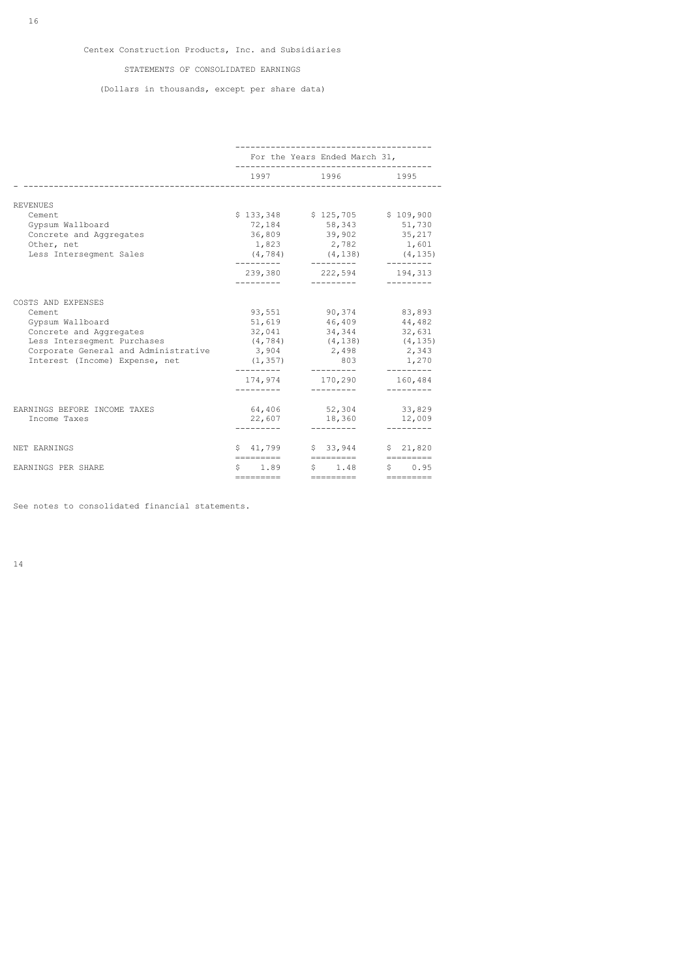## STATEMENTS OF CONSOLIDATED EARNINGS

# (Dollars in thousands, except per share data)

|                                      | For the Years Ended March 31,       |                                            |                                                                  |
|--------------------------------------|-------------------------------------|--------------------------------------------|------------------------------------------------------------------|
|                                      |                                     | 1997 1996<br>----------------------------- | 1995                                                             |
| <b>REVENUES</b>                      |                                     |                                            |                                                                  |
| Cement.                              |                                     | \$133,348 \$125,705 \$109,900              |                                                                  |
| Gypsum Wallboard                     |                                     | 72,184 58,343 51,730                       |                                                                  |
| Concrete and Aggregates              |                                     | 36,809 39,902 35,217                       |                                                                  |
| Other, net                           |                                     | 1,823 2,782 1,601                          |                                                                  |
| Less Interseqment Sales              | (4, 784)<br>----------              | $(4, 138)$ $(4, 135)$<br>----------        | $- - - - - - - - -$                                              |
|                                      | 239,380<br>----------               | 222,594                                    | 194,313                                                          |
| COSTS AND EXPENSES                   |                                     |                                            |                                                                  |
| Cement                               |                                     | 93,551 90,374 83,893                       |                                                                  |
| Gypsum Wallboard                     | 51,619                              |                                            | 46,409 44,482                                                    |
| Concrete and Aggregates              | 32,041                              | 34,344                                     | 32,631                                                           |
| Less Interseqment Purchases          |                                     | $(4, 784)$ $(4, 138)$ $(4, 135)$           |                                                                  |
| Corporate General and Administrative | 3,904                               | 2,498                                      | 2,343                                                            |
| Interest (Income) Expense, net       | (1, 357)<br>---------               | 803<br>---------                           | 1,270<br>----------                                              |
|                                      | 174,974                             | 170,290                                    | 160,484                                                          |
|                                      |                                     |                                            |                                                                  |
| EARNINGS BEFORE INCOME TAXES         | 64,406                              | 52,304                                     | 33,829                                                           |
| Income Taxes                         | 22,607                              | 18,360                                     | 12,009                                                           |
|                                      | ---------                           | ----------                                 | ---------                                                        |
| NET EARNINGS                         | \$41,799                            | \$33,944                                   | \$21,820                                                         |
| EARNINGS PER SHARE                   | \$1.89                              | \$1.48                                     | \$0.95                                                           |
|                                      | $=$ $=$ $=$ $=$ $=$ $=$ $=$ $=$ $=$ | $=$ $=$ $=$ $=$ $=$ $=$ $=$ $=$ $=$        | $\equiv \equiv \equiv \equiv \equiv \equiv \equiv \equiv \equiv$ |

See notes to consolidated financial statements.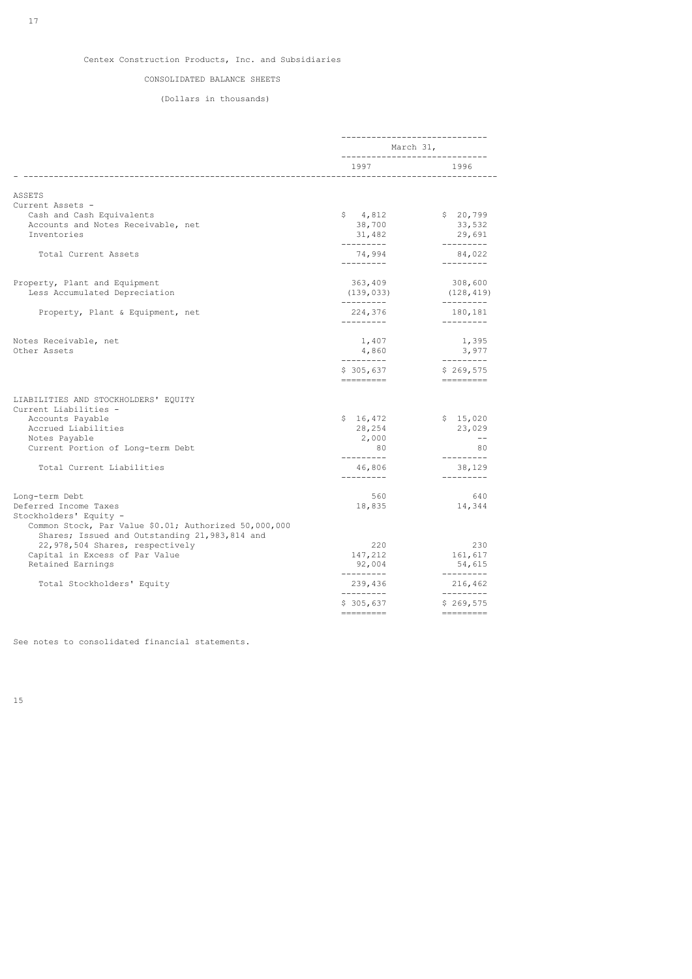## CONSOLIDATED BALANCE SHEETS

## (Dollars in thousands)

|                                                                                                          | ------------------------------     |                                                                                                                                                               |
|----------------------------------------------------------------------------------------------------------|------------------------------------|---------------------------------------------------------------------------------------------------------------------------------------------------------------|
|                                                                                                          | March 31,                          |                                                                                                                                                               |
|                                                                                                          | 1997                               | 1996                                                                                                                                                          |
| ASSETS                                                                                                   |                                    |                                                                                                                                                               |
| Current Assets -                                                                                         |                                    |                                                                                                                                                               |
| Cash and Cash Equivalents                                                                                | \$4,812                            | \$20,799                                                                                                                                                      |
| Accounts and Notes Receivable, net                                                                       | 38,700                             | 33,532                                                                                                                                                        |
| Inventories                                                                                              | 31,482                             | 29,691                                                                                                                                                        |
| Total Current Assets                                                                                     | ----------<br>74,994<br>---------- | ----------<br>84,022<br>$- - - - - - - - -$                                                                                                                   |
|                                                                                                          |                                    |                                                                                                                                                               |
| Property, Plant and Equipment                                                                            | 363,409                            | 308,600                                                                                                                                                       |
| Less Accumulated Depreciation                                                                            | (139, 033)<br>----------           | (128, 419)<br>---------                                                                                                                                       |
| Property, Plant & Equipment, net                                                                         | 224,376                            | 180,181                                                                                                                                                       |
|                                                                                                          | ----------                         | ----------                                                                                                                                                    |
| Notes Receivable, net                                                                                    | 1,407                              | 1,395                                                                                                                                                         |
| Other Assets                                                                                             | 4,860                              | 3,977                                                                                                                                                         |
|                                                                                                          | ----------<br>\$305,637            | ----------<br>\$269,575                                                                                                                                       |
|                                                                                                          | =========                          | $\begin{aligned} \mathcal{L} &= \mathcal{L} = \mathcal{L} = \mathcal{L} = \mathcal{L} = \mathcal{L} = \mathcal{L} \end{aligned}$                              |
| LIABILITIES AND STOCKHOLDERS' EQUITY                                                                     |                                    |                                                                                                                                                               |
| Current Liabilities -                                                                                    |                                    |                                                                                                                                                               |
| Accounts Payable                                                                                         | \$16,472                           | \$15,020                                                                                                                                                      |
| Accrued Liabilities                                                                                      | 28,254                             | 23,029                                                                                                                                                        |
| Notes Payable                                                                                            | 2,000                              | $- -$                                                                                                                                                         |
| Current Portion of Long-term Debt                                                                        | 80                                 | 80                                                                                                                                                            |
| Total Current Liabilities                                                                                | ---------<br>46,806                | ---------<br>38,129                                                                                                                                           |
|                                                                                                          | ---------                          | ---------                                                                                                                                                     |
| Long-term Debt                                                                                           | 560                                | 640                                                                                                                                                           |
| Deferred Income Taxes                                                                                    | 18,835                             | 14,344                                                                                                                                                        |
| Stockholders' Equity -                                                                                   |                                    |                                                                                                                                                               |
| Common Stock, Par Value \$0.01; Authorized 50,000,000<br>Shares; Issued and Outstanding 21, 983, 814 and |                                    |                                                                                                                                                               |
| 22,978,504 Shares, respectively                                                                          | 220                                | 230                                                                                                                                                           |
| Capital in Excess of Par Value                                                                           | 147,212                            | 161,617                                                                                                                                                       |
| Retained Earnings                                                                                        | 92,004                             | 54,615                                                                                                                                                        |
| Total Stockholders' Equity                                                                               | ----------<br>239,436              | $- - - - - - - - -$<br>216,462                                                                                                                                |
|                                                                                                          | ---------<br>\$305,637             | ---------<br>\$269,575<br>$\qquad \qquad \displaystyle =\qquad \qquad \displaystyle =\qquad \qquad \displaystyle =\qquad \qquad \displaystyle =\qquad \qquad$ |

See notes to consolidated financial statements.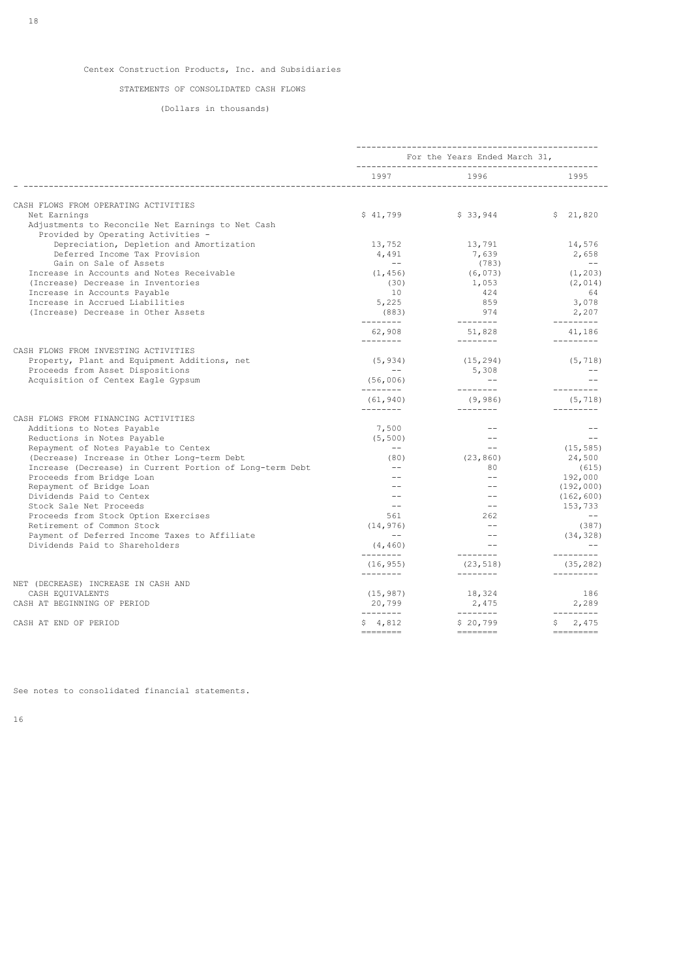## STATEMENTS OF CONSOLIDATED CASH FLOWS

(Dollars in thousands)

|                                                                                                         | For the Years Ended March 31,                  |                                                                                     |                            |
|---------------------------------------------------------------------------------------------------------|------------------------------------------------|-------------------------------------------------------------------------------------|----------------------------|
|                                                                                                         | 1997                                           | 1996                                                                                | 1995                       |
| CASH FLOWS FROM OPERATING ACTIVITIES                                                                    |                                                |                                                                                     |                            |
| Net Earnings<br>Adjustments to Reconcile Net Earnings to Net Cash<br>Provided by Operating Activities - | \$41,799                                       | \$33,944                                                                            | \$21,820                   |
| Depreciation, Depletion and Amortization<br>Deferred Income Tax Provision                               | 13,752<br>4,491                                | 13,791<br>7,639                                                                     | 14,576<br>2,658            |
| Gain on Sale of Assets                                                                                  | $- -$                                          | (783)                                                                               | $- -$                      |
| Increase in Accounts and Notes Receivable<br>(Increase) Decrease in Inventories                         | (1, 456)<br>(30)                               | (6, 073)<br>1,053                                                                   | (1, 203)<br>(2, 014)       |
| Increase in Accounts Payable<br>Increase in Accrued Liabilities                                         | 10<br>5,225                                    | 424<br>859                                                                          | 64<br>3,078                |
| (Increase) Decrease in Other Assets                                                                     | (883)                                          | 974                                                                                 | 2,207                      |
|                                                                                                         | ---------<br>62,908<br>---------               | _________<br>51,828<br>$- - - - - - - -$                                            | ----------<br>41,186       |
| CASH FLOWS FROM INVESTING ACTIVITIES                                                                    |                                                |                                                                                     |                            |
| Property, Plant and Equipment Additions, net<br>Proceeds from Asset Dispositions                        | (5, 934)<br>$\sim$ $\sim$                      | (15, 294)<br>5,308                                                                  | (5, 718)<br>$\sim$ $-$     |
| Acquisition of Centex Eagle Gypsum                                                                      | (56,006)<br>---------                          | $\sim$ $-$<br>---------                                                             | $-$<br>$- - - - - - - - -$ |
|                                                                                                         | (61, 940)                                      | (9, 986)                                                                            | (5, 718)                   |
| CASH FLOWS FROM FINANCING ACTIVITIES                                                                    | ---------                                      | $- - - - - - - -$                                                                   | $- - - - - - - - -$        |
| Additions to Notes Payable                                                                              | 7,500                                          |                                                                                     | $ -$                       |
| Reductions in Notes Payable                                                                             | (5, 500)                                       | $- -$                                                                               | $\overline{\phantom{m}}$   |
| Repayment of Notes Payable to Centex                                                                    | $\sim$ $-$                                     | $--$                                                                                | (15, 585)                  |
| (Decrease) Increase in Other Long-term Debt                                                             | (80)<br>$- -$                                  | (23, 860)                                                                           | 24,500                     |
| Increase (Decrease) in Current Portion of Long-term Debt                                                |                                                | 80<br>$- -$                                                                         | (615)                      |
| Proceeds from Bridge Loan                                                                               |                                                | $- -$                                                                               | 192,000                    |
| Repayment of Bridge Loan<br>Dividends Paid to Centex                                                    |                                                | $\sim$ $\sim$                                                                       | (192,000)                  |
| Stock Sale Net Proceeds                                                                                 | $\hspace{0.1mm}-\hspace{0.1mm}-\hspace{0.1mm}$ | $- -$                                                                               | (162, 600)<br>153,733      |
| Proceeds from Stock Option Exercises                                                                    | 561                                            | 262                                                                                 | $\sim$ $-$                 |
| Retirement of Common Stock                                                                              | (14, 976)                                      | $\frac{1}{2}$                                                                       | (387)                      |
| Payment of Deferred Income Taxes to Affiliate                                                           | $\sim$ $-$                                     | $\sim$ $-$                                                                          | (34, 328)                  |
| Dividends Paid to Shareholders                                                                          | (4, 460)                                       | $\sim$ $\sim$                                                                       | $-$                        |
|                                                                                                         | ________<br>(16, 955)                          | ---------<br>(23, 518)                                                              | ----------<br>(35, 282)    |
| NET (DECREASE) INCREASE IN CASH AND                                                                     | _________                                      | ---------                                                                           | ----------                 |
| CASH EQUIVALENTS                                                                                        | (15, 987)                                      | 18,324                                                                              | 186                        |
| CASH AT BEGINNING OF PERIOD                                                                             | 20,799<br>---------                            | 2,475<br>---------                                                                  | 2,289<br>----------        |
| CASH AT END OF PERIOD                                                                                   | \$4,812                                        | \$20,799<br>$\begin{array}{cccccccccc} = & = & = & = & = & = & = & = & \end{array}$ | \$2,475                    |
|                                                                                                         |                                                |                                                                                     |                            |

See notes to consolidated financial statements.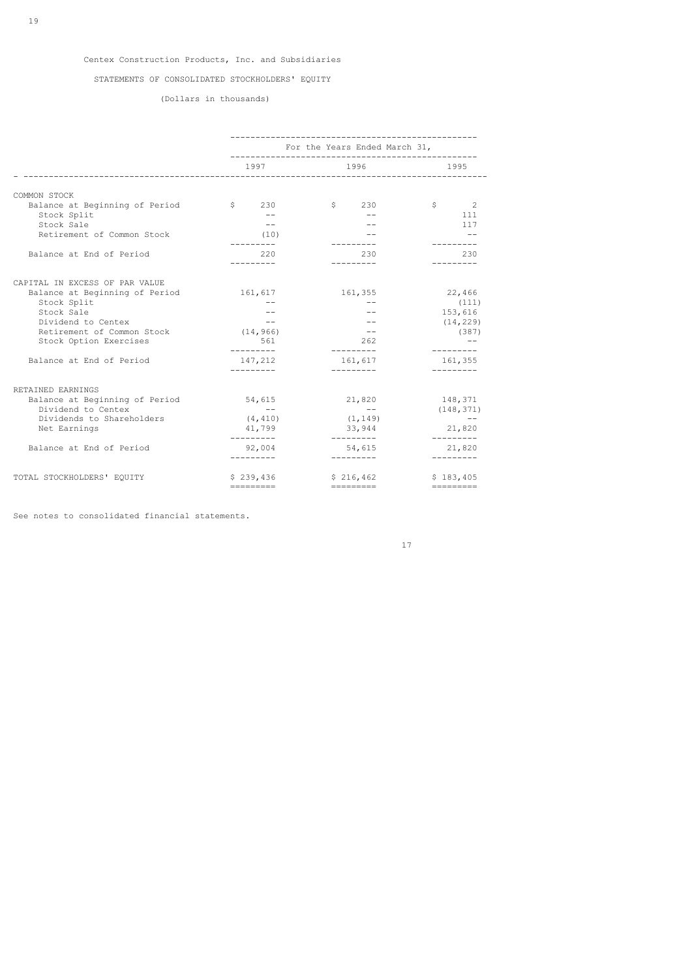## STATEMENTS OF CONSOLIDATED STOCKHOLDERS' EQUITY

(Dollars in thousands)

|                                                      |                                 | For the Years Ended March 31,<br>------------------ |                                                                  |  |  |
|------------------------------------------------------|---------------------------------|-----------------------------------------------------|------------------------------------------------------------------|--|--|
|                                                      | 1997                            | 1996                                                | 1995                                                             |  |  |
| COMMON STOCK                                         |                                 |                                                     |                                                                  |  |  |
| Balance at Beginning of Period                       | $\sin 230$                      | \$230                                               | \$<br>$\sim$ 2                                                   |  |  |
| Stock Split                                          | $ -$                            | $- -$                                               | 111                                                              |  |  |
| Stock Sale                                           | $ -$                            |                                                     | 117                                                              |  |  |
| Retirement of Common Stock                           | (10)                            |                                                     |                                                                  |  |  |
| Balance at End of Period                             | ----------<br>220<br>---------- | ---------<br>230<br>---------                       | 230<br>---------                                                 |  |  |
| CAPITAL IN EXCESS OF PAR VALUE                       |                                 |                                                     |                                                                  |  |  |
| Balance at Beginning of Period                       | 161,617                         | 161,355                                             | 22,466                                                           |  |  |
| Stock Split                                          | $\qquad \qquad -$               |                                                     | (111)                                                            |  |  |
| Stock Sale                                           |                                 |                                                     | 153,616                                                          |  |  |
| Dividend to Centex                                   | $-\,-$                          | $- -$                                               | (14, 229)                                                        |  |  |
| Retirement of Common Stock                           | (14, 966)                       | $- -$                                               | (387)                                                            |  |  |
| Stock Option Exercises                               | 561<br>----------               | 262<br>----------                                   | ---------                                                        |  |  |
| Balance at End of Period                             | 147,212<br>----------           | 161,617<br>----------                               | 161,355<br>---------                                             |  |  |
| RETAINED EARNINGS                                    |                                 |                                                     |                                                                  |  |  |
| Balance at Beginning of Period<br>Dividend to Centex | 54,615<br>$\sim$ $-$            | 21,820<br>$\sim$ $-$                                | 148,371                                                          |  |  |
| Dividends to Shareholders                            | (4, 410)                        | (1, 149)                                            | (148, 371)<br>$ -$                                               |  |  |
| Net Earnings                                         | 41,799                          | 33,944                                              | 21,820                                                           |  |  |
| Balance at End of Period                             | 92,004<br>---------             | ---------<br>54,615<br>---------                    | ---------<br>21,820<br>---------                                 |  |  |
| TOTAL STOCKHOLDERS' EQUITY                           | \$239,436                       | \$216,462                                           | \$183,405                                                        |  |  |
|                                                      | $=$ = = = = = = = = =           |                                                     | $\equiv \equiv \equiv \equiv \equiv \equiv \equiv \equiv \equiv$ |  |  |

See notes to consolidated financial statements.

17<sup>2</sup>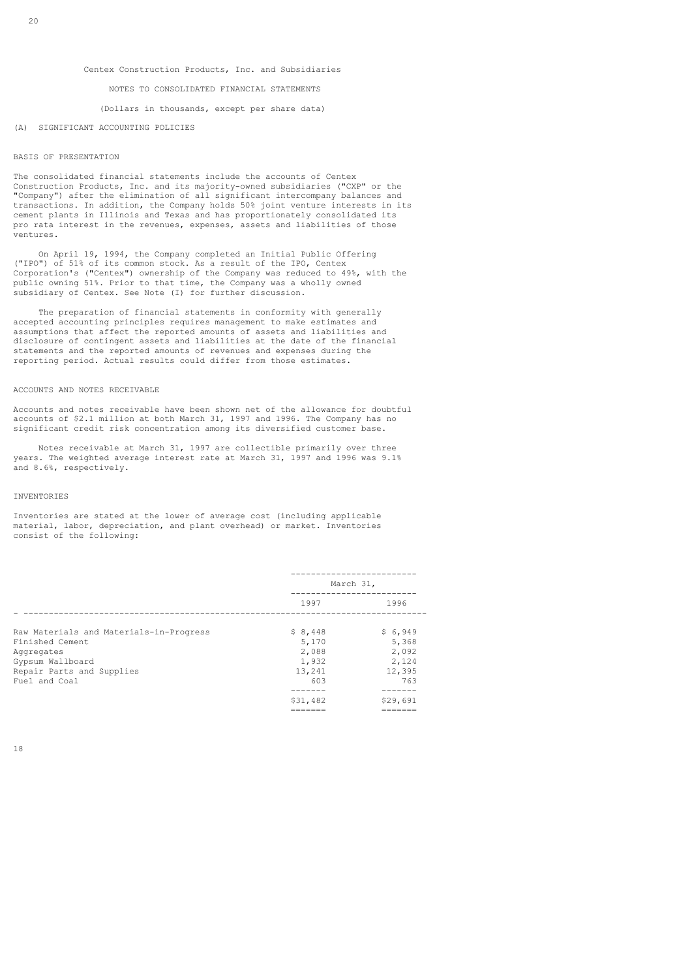### NOTES TO CONSOLIDATED FINANCIAL STATEMENTS

### (Dollars in thousands, except per share data)

#### (A) SIGNIFICANT ACCOUNTING POLICIES

#### BASIS OF PRESENTATION

The consolidated financial statements include the accounts of Centex Construction Products, Inc. and its majority-owned subsidiaries ("CXP" or the "Company") after the elimination of all significant intercompany balances and transactions. In addition, the Company holds 50% joint venture interests in its cement plants in Illinois and Texas and has proportionately consolidated its pro rata interest in the revenues, expenses, assets and liabilities of those ventures.

 On April 19, 1994, the Company completed an Initial Public Offering ("IPO") of 51% of its common stock. As a result of the IPO, Centex Corporation's ("Centex") ownership of the Company was reduced to 49%, with the public owning 51%. Prior to that time, the Company was a wholly owned subsidiary of Centex. See Note (I) for further discussion.

 The preparation of financial statements in conformity with generally accepted accounting principles requires management to make estimates and assumptions that affect the reported amounts of assets and liabilities and disclosure of contingent assets and liabilities at the date of the financial statements and the reported amounts of revenues and expenses during the reporting period. Actual results could differ from those estimates.

### ACCOUNTS AND NOTES RECEIVABLE

Accounts and notes receivable have been shown net of the allowance for doubtful accounts of \$2.1 million at both March 31, 1997 and 1996. The Company has no significant credit risk concentration among its diversified customer base.

 Notes receivable at March 31, 1997 are collectible primarily over three years. The weighted average interest rate at March 31, 1997 and 1996 was 9.1% and 8.6%, respectively.

#### INVENTORIES

Inventories are stated at the lower of average cost (including applicable material, labor, depreciation, and plant overhead) or market. Inventories consist of the following:

|                                         | March 31, |          |
|-----------------------------------------|-----------|----------|
|                                         | 1997      | 1996     |
| Raw Materials and Materials-in-Progress | \$8,448   | \$6,949  |
| Finished Cement                         | 5,170     | 5,368    |
| Aggregates                              | 2,088     | 2,092    |
| Gypsum Wallboard                        | 1,932     | 2,124    |
| Repair Parts and Supplies               | 13,241    | 12,395   |
| Fuel and Coal                           | 603       | 763      |
|                                         | ------    | ----     |
|                                         | \$31,482  | \$29,691 |
|                                         |           |          |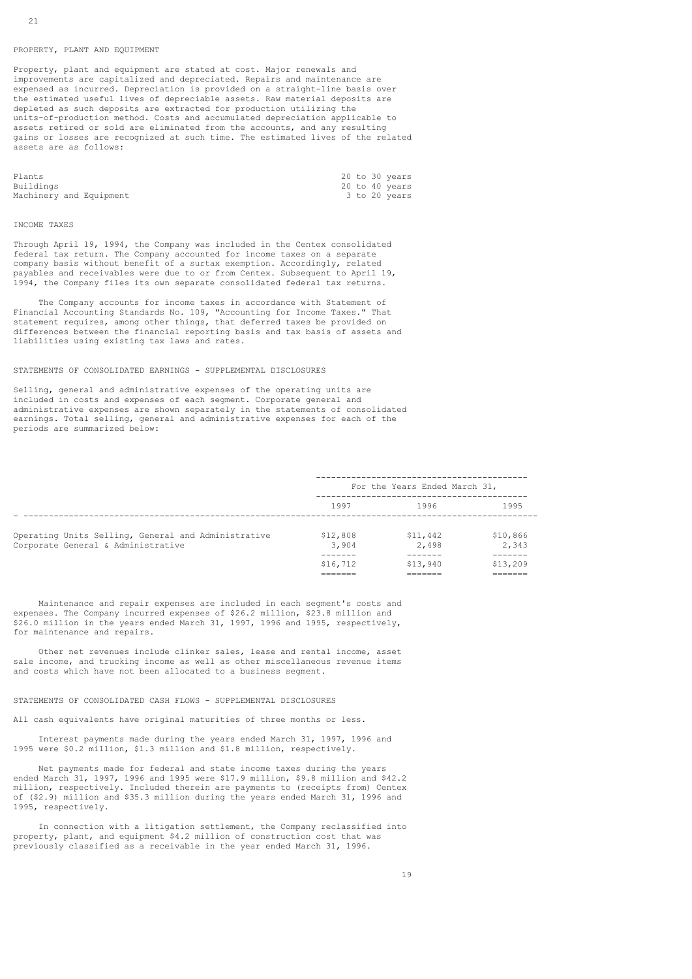### PROPERTY, PLANT AND EQUIPMENT

Property, plant and equipment are stated at cost. Major renewals and improvements are capitalized and depreciated. Repairs and maintenance are expensed as incurred. Depreciation is provided on a straight-line basis over the estimated useful lives of depreciable assets. Raw material deposits are depleted as such deposits are extracted for production utilizing the units-of-production method. Costs and accumulated depreciation applicable to assets retired or sold are eliminated from the accounts, and any resulting gains or losses are recognized at such time. The estimated lives of the related assets are as follows:

| Plants                  |  | 20 to 30 years |
|-------------------------|--|----------------|
| Buildings               |  | 20 to 40 years |
| Machinery and Equipment |  | 3 to 20 years  |

#### INCOME TAXES

Through April 19, 1994, the Company was included in the Centex consolidated federal tax return. The Company accounted for income taxes on a separate company basis without benefit of a surtax exemption. Accordingly, related payables and receivables were due to or from Centex. Subsequent to April 19, 1994, the Company files its own separate consolidated federal tax returns.

 The Company accounts for income taxes in accordance with Statement of Financial Accounting Standards No. 109, "Accounting for Income Taxes." That statement requires, among other things, that deferred taxes be provided on differences between the financial reporting basis and tax basis of assets and liabilities using existing tax laws and rates.

### STATEMENTS OF CONSOLIDATED EARNINGS - SUPPLEMENTAL DISCLOSURES

Selling, general and administrative expenses of the operating units are included in costs and expenses of each segment. Corporate general and administrative expenses are shown separately in the statements of consolidated earnings. Total selling, general and administrative expenses for each of the periods are summarized below:

|                                                                                           | For the Years Ended March 31, |                   |                   |
|-------------------------------------------------------------------------------------------|-------------------------------|-------------------|-------------------|
|                                                                                           | 1997                          | 1996              | 1995              |
| Operating Units Selling, General and Administrative<br>Corporate General & Administrative | \$12,808<br>3,904             | \$11,442<br>2,498 | \$10,866<br>2,343 |
|                                                                                           | \$16,712                      | \$13,940          | \$13,209          |

 Maintenance and repair expenses are included in each segment's costs and expenses. The Company incurred expenses of \$26.2 million, \$23.8 million and \$26.0 million in the years ended March 31, 1997, 1996 and 1995, respectively, for maintenance and repairs.

 Other net revenues include clinker sales, lease and rental income, asset sale income, and trucking income as well as other miscellaneous revenue items and costs which have not been allocated to a business segment.

#### STATEMENTS OF CONSOLIDATED CASH FLOWS - SUPPLEMENTAL DISCLOSURES

All cash equivalents have original maturities of three months or less.

 Interest payments made during the years ended March 31, 1997, 1996 and 1995 were \$0.2 million, \$1.3 million and \$1.8 million, respectively.

 Net payments made for federal and state income taxes during the years ended March 31, 1997, 1996 and 1995 were \$17.9 million, \$9.8 million and \$42.2 million, respectively. Included therein are payments to (receipts from) Centex of (\$2.9) million and \$35.3 million during the years ended March 31, 1996 and 1995, respectively.

 In connection with a litigation settlement, the Company reclassified into property, plant, and equipment \$4.2 million of construction cost that was previously classified as a receivable in the year ended March 31, 1996.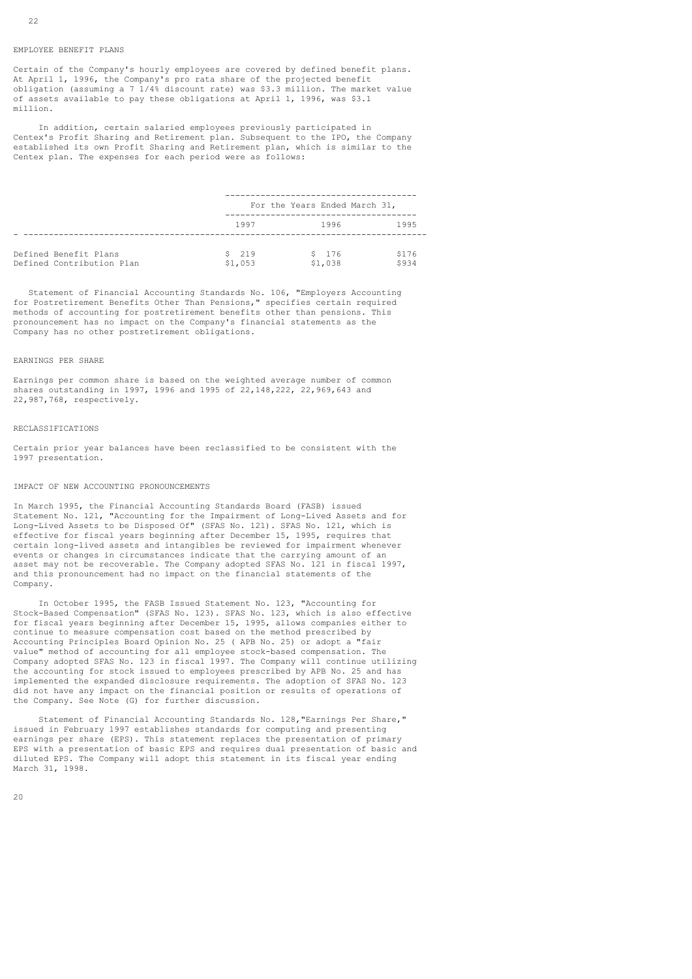#### EMPLOYEE BENEFIT PLANS

Certain of the Company's hourly employees are covered by defined benefit plans. At April 1, 1996, the Company's pro rata share of the projected benefit obligation (assuming a 7 1/4% discount rate) was \$3.3 million. The market value of assets available to pay these obligations at April 1, 1996, was \$3.1 million.

 In addition, certain salaried employees previously participated in Centex's Profit Sharing and Retirement plan. Subsequent to the IPO, the Company established its own Profit Sharing and Retirement plan, which is similar to the Centex plan. The expenses for each period were as follows:

|                                                    |                  | For the Years Ended March 31, |                |
|----------------------------------------------------|------------------|-------------------------------|----------------|
|                                                    | 1997             | 1996                          | 1995           |
| Defined Benefit Plans<br>Defined Contribution Plan | \$219<br>\$1,053 | \$176<br>\$1,038              | \$176<br>\$934 |

 Statement of Financial Accounting Standards No. 106, "Employers Accounting for Postretirement Benefits Other Than Pensions," specifies certain required methods of accounting for postretirement benefits other than pensions. This pronouncement has no impact on the Company's financial statements as the Company has no other postretirement obligations.

#### EARNINGS PER SHARE

Earnings per common share is based on the weighted average number of common shares outstanding in 1997, 1996 and 1995 of 22,148,222, 22,969,643 and 22,987,768, respectively.

### RECLASSIFICATIONS

Certain prior year balances have been reclassified to be consistent with the 1997 presentation.

#### IMPACT OF NEW ACCOUNTING PRONOUNCEMENTS

In March 1995, the Financial Accounting Standards Board (FASB) issued Statement No. 121, "Accounting for the Impairment of Long-Lived Assets and for Long-Lived Assets to be Disposed Of" (SFAS No. 121). SFAS No. 121, which is effective for fiscal years beginning after December 15, 1995, requires that certain long-lived assets and intangibles be reviewed for impairment whenever events or changes in circumstances indicate that the carrying amount of an asset may not be recoverable. The Company adopted SFAS No. 121 in fiscal 1997, and this pronouncement had no impact on the financial statements of the Company.

 In October 1995, the FASB Issued Statement No. 123, "Accounting for Stock-Based Compensation" (SFAS No. 123). SFAS No. 123, which is also effective for fiscal years beginning after December 15, 1995, allows companies either to continue to measure compensation cost based on the method prescribed by Accounting Principles Board Opinion No. 25 ( APB No. 25) or adopt a "fair value" method of accounting for all employee stock-based compensation. The Company adopted SFAS No. 123 in fiscal 1997. The Company will continue utilizing the accounting for stock issued to employees prescribed by APB No. 25 and has implemented the expanded disclosure requirements. The adoption of SFAS No. 123 did not have any impact on the financial position or results of operations of the Company. See Note (G) for further discussion.

 Statement of Financial Accounting Standards No. 128,"Earnings Per Share," issued in February 1997 establishes standards for computing and presenting earnings per share (EPS). This statement replaces the presentation of primary EPS with a presentation of basic EPS and requires dual presentation of basic and diluted EPS. The Company will adopt this statement in its fiscal year ending March 31, 1998.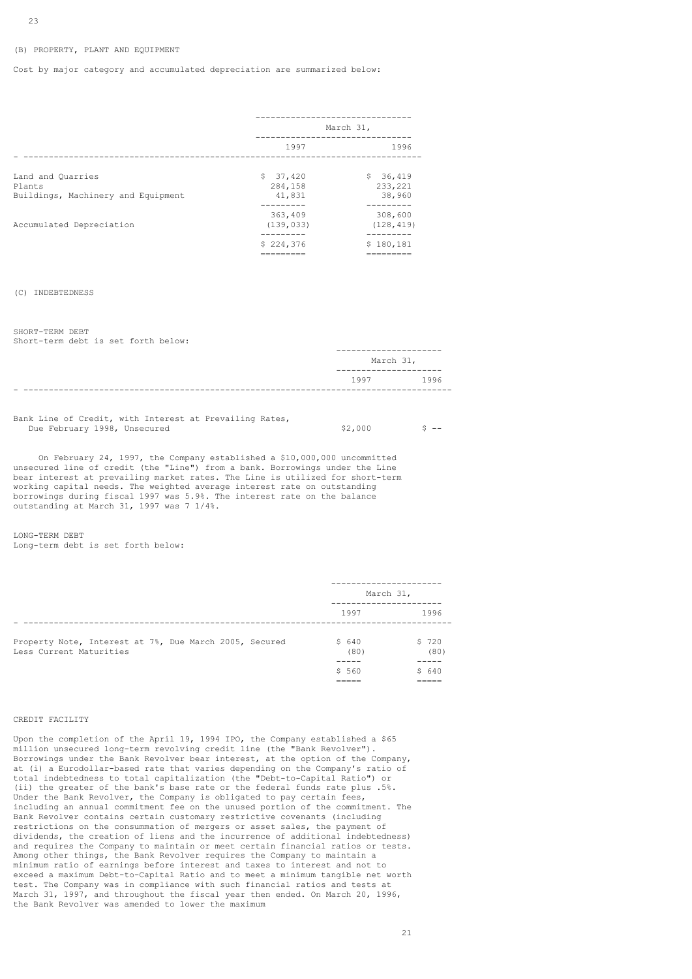### (B) PROPERTY, PLANT AND EQUIPMENT

Cost by major category and accumulated depreciation are summarized below:

|                                              | March 31,             |                       |
|----------------------------------------------|-----------------------|-----------------------|
|                                              | 1997                  | 1996                  |
| Land and Quarries                            | \$37,420              | \$36,419              |
| Plants<br>Buildings, Machinery and Equipment | 284,158<br>41,831     | 233, 221<br>38,960    |
| Accumulated Depreciation                     | 363,409<br>(139, 033) | 308,600<br>(128, 419) |
|                                              | --------<br>\$224.376 | -------<br>\$180,181  |
|                                              | ========              |                       |

#### (C) INDEBTEDNESS

SHORT-TERM DEBT Short-term debt is set forth below:

| -------------  |      |
|----------------|------|
| March 31,      |      |
| -------------- |      |
| 1997           | 1996 |
|                |      |

Bank Line of Credit, with Interest at Prevailing Rates, Due February 1998, Unsecured  $\zeta^2$  and  $\zeta^3$  --  $\zeta^4$  and  $\zeta^5$  --  $\zeta^6$ 

 On February 24, 1997, the Company established a \$10,000,000 uncommitted unsecured line of credit (the "Line") from a bank. Borrowings under the Line bear interest at prevailing market rates. The Line is utilized for short-term working capital needs. The weighted average interest rate on outstanding borrowings during fiscal 1997 was 5.9%. The interest rate on the balance outstanding at March 31, 1997 was 7 1/4%.

LONG-TERM DEBT Long-term debt is set forth below:

|                                                                                   | March 31,     |               |
|-----------------------------------------------------------------------------------|---------------|---------------|
|                                                                                   | 1997          | 1996          |
| Property Note, Interest at 7%, Due March 2005, Secured<br>Less Current Maturities | \$640<br>(80) | \$720<br>(80) |
|                                                                                   | \$560         | \$ 640        |

### CREDIT FACILITY

Upon the completion of the April 19, 1994 IPO, the Company established a \$65 million unsecured long-term revolving credit line (the "Bank Revolver"). Borrowings under the Bank Revolver bear interest, at the option of the Company, at (i) a Eurodollar-based rate that varies depending on the Company's ratio of total indebtedness to total capitalization (the "Debt-to-Capital Ratio") or (ii) the greater of the bank's base rate or the federal funds rate plus .5%. Under the Bank Revolver, the Company is obligated to pay certain fees, including an annual commitment fee on the unused portion of the commitment. The Bank Revolver contains certain customary restrictive covenants (including restrictions on the consummation of mergers or asset sales, the payment of dividends, the creation of liens and the incurrence of additional indebtedness) and requires the Company to maintain or meet certain financial ratios or tests. Among other things, the Bank Revolver requires the Company to maintain a minimum ratio of earnings before interest and taxes to interest and not to exceed a maximum Debt-to-Capital Ratio and to meet a minimum tangible net worth test. The Company was in compliance with such financial ratios and tests at March 31, 1997, and throughout the fiscal year then ended. On March 20, 1996, the Bank Revolver was amended to lower the maximum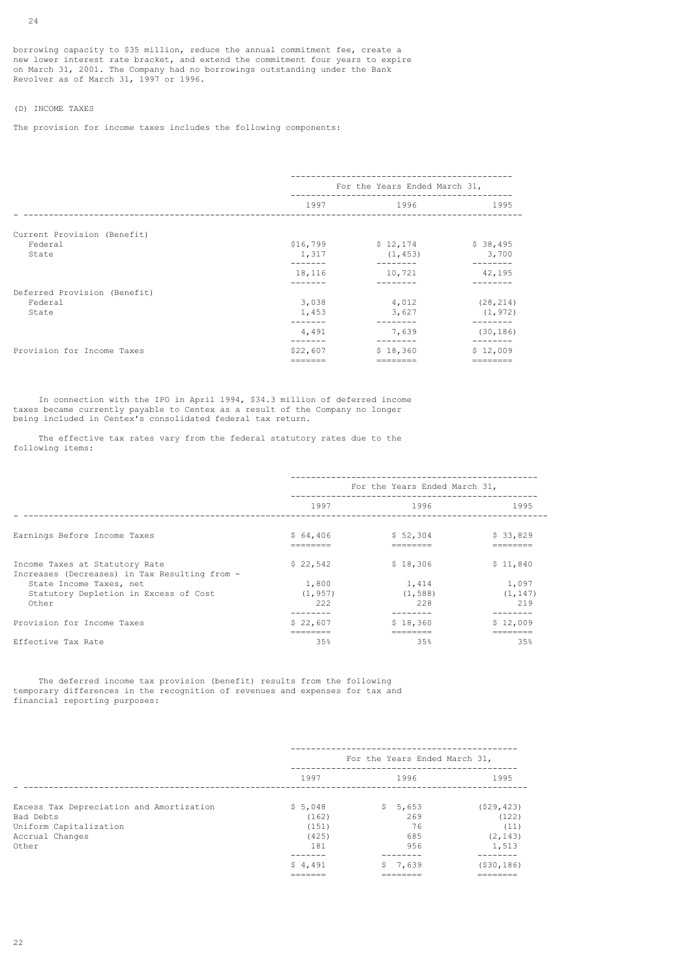borrowing capacity to \$35 million, reduce the annual commitment fee, create a new lower interest rate bracket, and extend the commitment four years to expire on March 31, 2001. The Company had no borrowings outstanding under the Bank Revolver as of March 31, 1997 or 1996.

## (D) INCOME TAXES

The provision for income taxes includes the following components:

|          |          | \$38,495                                                         |
|----------|----------|------------------------------------------------------------------|
| 1,317    | (1, 453) | 3,700                                                            |
| 18,116   | 10,721   | 42,195                                                           |
|          |          |                                                                  |
| 3,038    | 4,012    | (28, 214)                                                        |
| 1,453    | 3,627    | (1, 972)                                                         |
| 4,491    | 7,639    | (30, 186)                                                        |
| \$22,607 | \$18,360 | \$12,009                                                         |
|          |          | For the Years Ended March 31,<br>$$16,799$ $$12,174$<br>-------- |

 In connection with the IPO in April 1994, \$34.3 million of deferred income taxes became currently payable to Centex as a result of the Company no longer being included in Centex's consolidated federal tax return.

 The effective tax rates vary from the federal statutory rates due to the following items:

|                                                                                 | For the Years Ended March 31, |          |          |
|---------------------------------------------------------------------------------|-------------------------------|----------|----------|
|                                                                                 |                               |          |          |
|                                                                                 | 1997                          | 1996     | 1995     |
| Earnings Before Income Taxes                                                    | \$64,406                      | \$52,304 | \$33,829 |
| Income Taxes at Statutory Rate<br>Increases (Decreases) in Tax Resulting from - | \$22,542                      | \$18,306 | \$11.840 |
| State Income Taxes, net                                                         | 1,800                         | 1,414    | 1,097    |
| Statutory Depletion in Excess of Cost                                           | (1, 957)                      | (1, 588) | (1, 147) |
| Other                                                                           | 2.2.2                         | 228      | 219      |
|                                                                                 |                               |          |          |
| Provision for Income Taxes                                                      | \$22,607                      | \$18,360 | \$12.009 |
|                                                                                 | ========                      | ======== |          |
| Effective Tax Rate                                                              | 35%                           | 35%      | 35%      |

 The deferred income tax provision (benefit) results from the following temporary differences in the recognition of revenues and expenses for tax and financial reporting purposes:

|                                          | For the Years Ended March 31, |                      |                      |
|------------------------------------------|-------------------------------|----------------------|----------------------|
|                                          | 1997                          | 1996                 | 1995                 |
| Excess Tax Depreciation and Amortization | \$5,048                       | 5,653<br>S.          | (529, 423)           |
| Bad Debts                                | (162)                         | 269                  | (122)                |
| Uniform Capitalization                   | (151)                         | 76                   | (11)                 |
| Accrual Changes                          | (425)                         | 685                  | (2, 143)             |
| Other                                    | 181                           | 956                  | 1,513                |
|                                          |                               |                      |                      |
|                                          | \$4.491                       | 7,639                | ( \$30, 186)         |
|                                          | _______<br>-------            | ________<br>________ | ________<br>-------- |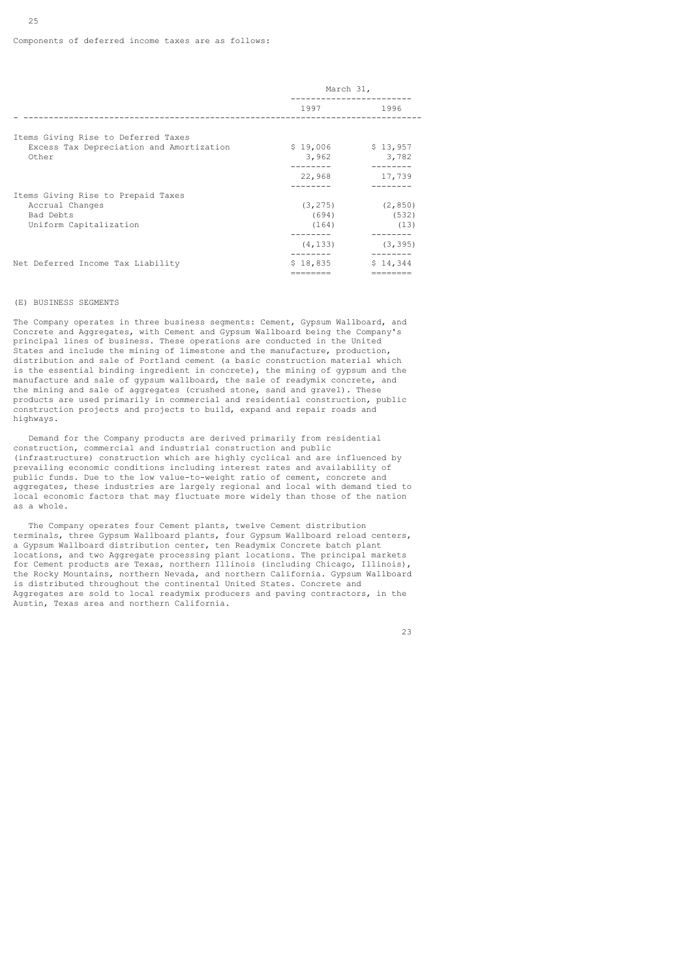|                                                                                 | March 31,           |                                        |  |
|---------------------------------------------------------------------------------|---------------------|----------------------------------------|--|
|                                                                                 | 1997 1996           |                                        |  |
| Items Giving Rise to Deferred Taxes<br>Excess Tax Depreciation and Amortization | $$19,006$ $$13,957$ |                                        |  |
| Other                                                                           | 3,962               | 3,782<br>--------                      |  |
|                                                                                 | 22,968              | 17,739                                 |  |
| Items Giving Rise to Prepaid Taxes                                              |                     |                                        |  |
| Accrual Changes<br>Bad Debts<br>Uniform Capitalization                          | (694)<br>(164)      | $(3, 275)$ $(2, 850)$<br>(532)<br>(13) |  |
|                                                                                 | (4, 133)            | (3, 395)                               |  |
| Net Deferred Income Tax Liability                                               | \$18,835            | \$14,344                               |  |

#### (E) BUSINESS SEGMENTS

25

The Company operates in three business segments: Cement, Gypsum Wallboard, and Concrete and Aggregates, with Cement and Gypsum Wallboard being the Company's principal lines of business. These operations are conducted in the United States and include the mining of limestone and the manufacture, production, distribution and sale of Portland cement (a basic construction material which is the essential binding ingredient in concrete), the mining of gypsum and the manufacture and sale of gypsum wallboard, the sale of readymix concrete, and the mining and sale of aggregates (crushed stone, sand and gravel). These products are used primarily in commercial and residential construction, public construction projects and projects to build, expand and repair roads and highways.

 Demand for the Company products are derived primarily from residential construction, commercial and industrial construction and public (infrastructure) construction which are highly cyclical and are influenced by prevailing economic conditions including interest rates and availability of public funds. Due to the low value-to-weight ratio of cement, concrete and aggregates, these industries are largely regional and local with demand tied to local economic factors that may fluctuate more widely than those of the nation as a whole.

 The Company operates four Cement plants, twelve Cement distribution terminals, three Gypsum Wallboard plants, four Gypsum Wallboard reload centers, a Gypsum Wallboard distribution center, ten Readymix Concrete batch plant locations, and two Aggregate processing plant locations. The principal markets for Cement products are Texas, northern Illinois (including Chicago, Illinois), the Rocky Mountains, northern Nevada, and northern California. Gypsum Wallboard is distributed throughout the continental United States. Concrete and Aggregates are sold to local readymix producers and paving contractors, in the Austin, Texas area and northern California.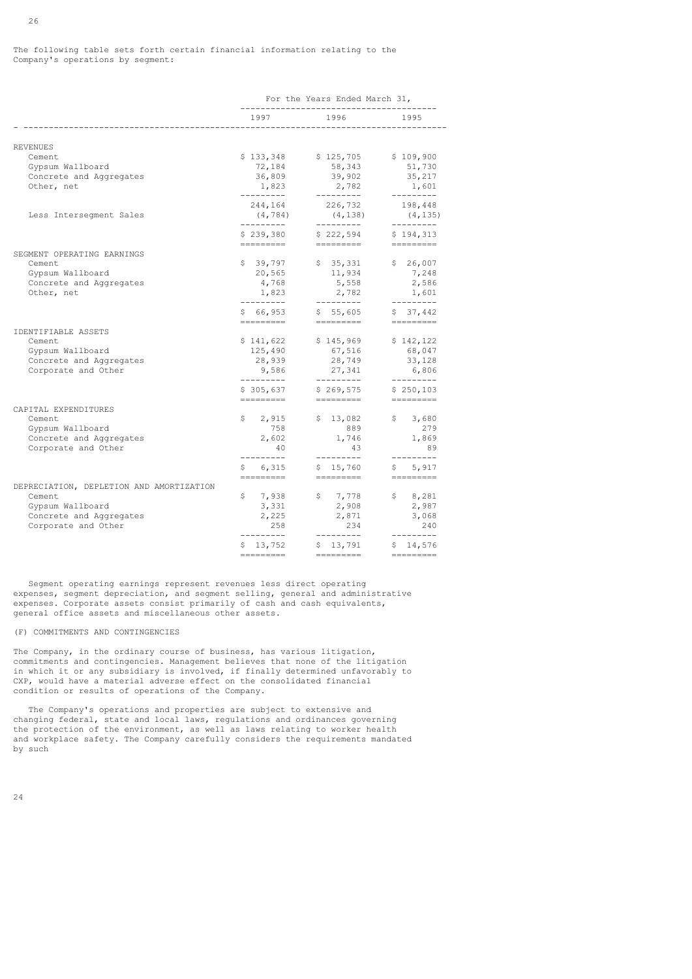The following table sets forth certain financial information relating to the Company's operations by segment:

|                                                                                                                          | For the Years Ended March 31,                                       |                                                                       |                                                                                                                                                                                                                                                                                                                                                                                                                                                                                                                                                                                                                     |  |
|--------------------------------------------------------------------------------------------------------------------------|---------------------------------------------------------------------|-----------------------------------------------------------------------|---------------------------------------------------------------------------------------------------------------------------------------------------------------------------------------------------------------------------------------------------------------------------------------------------------------------------------------------------------------------------------------------------------------------------------------------------------------------------------------------------------------------------------------------------------------------------------------------------------------------|--|
|                                                                                                                          | 1997                                                                | 1996                                                                  | 1995                                                                                                                                                                                                                                                                                                                                                                                                                                                                                                                                                                                                                |  |
|                                                                                                                          |                                                                     |                                                                       |                                                                                                                                                                                                                                                                                                                                                                                                                                                                                                                                                                                                                     |  |
| <b>REVENUES</b><br>Cement<br>Gypsum Wallboard<br>Concrete and Aggregates<br>Other, net                                   | \$133,348<br>72,184<br>36,809<br>1,823                              | \$125,705<br>58,343<br>39,902<br>2,782                                | \$109,900<br>51,730<br>35,217<br>1,601<br>---------                                                                                                                                                                                                                                                                                                                                                                                                                                                                                                                                                                 |  |
| Less Interseqment Sales                                                                                                  | ---------<br>244,164<br>(4, 784)<br>__________                      | 226,732<br>(4, 138)<br>-----------                                    | 198,448<br>(4, 135)<br>----------                                                                                                                                                                                                                                                                                                                                                                                                                                                                                                                                                                                   |  |
|                                                                                                                          | \$239,380                                                           | \$222,594                                                             | \$194,313                                                                                                                                                                                                                                                                                                                                                                                                                                                                                                                                                                                                           |  |
| SEGMENT OPERATING EARNINGS<br>Cement<br>Gypsum Wallboard<br>Concrete and Aggregates<br>Other, net                        | =========<br>\$39,797<br>20,565<br>4,768<br>1,823<br>----------     | =========<br>\$35,331<br>11,934<br>5,558<br>2,782<br>----------       | $\begin{tabular}{ll} \multicolumn{3}{l}{{\color{red}\boldsymbol{=}}} & \multicolumn{3}{l}{\color{blue}\boldsymbol{=}} & \multicolumn{3}{l}{\color{blue}\boldsymbol{=}} & \multicolumn{3}{l}{\color{blue}\boldsymbol{=}} & \multicolumn{3}{l}{\color{blue}\boldsymbol{=}} & \multicolumn{3}{l}{\color{blue}\boldsymbol{=}} & \multicolumn{3}{l}{\color{blue}\boldsymbol{=}} & \multicolumn{3}{l}{\color{blue}\boldsymbol{=}} & \multicolumn{3}{l}{\color{blue}\boldsymbol{=}} & \multicolumn{3}{l}{\color{blue}\boldsymbol{=}} & \multicolumn{3}{l}{\color$<br>\$26,007<br>7,248<br>2,586<br>1,601<br>----------     |  |
|                                                                                                                          | \$66,953<br>=========                                               | \$55,605<br>=========                                                 | \$37,442<br>$\begin{array}{cccccccccc} \multicolumn{2}{c}{} & \multicolumn{2}{c}{} & \multicolumn{2}{c}{} & \multicolumn{2}{c}{} & \multicolumn{2}{c}{} & \multicolumn{2}{c}{} & \multicolumn{2}{c}{} & \multicolumn{2}{c}{} & \multicolumn{2}{c}{} & \multicolumn{2}{c}{} & \multicolumn{2}{c}{} & \multicolumn{2}{c}{} & \multicolumn{2}{c}{} & \multicolumn{2}{c}{} & \multicolumn{2}{c}{} & \multicolumn{2}{c}{} & \multicolumn{2}{c}{} & \multicolumn{2}{c}{} & \multicolumn{2}{c}{} & \mult$                                                                                                                  |  |
| IDENTIFIABLE ASSETS<br>Cement<br>Gypsum Wallboard<br>Concrete and Aggregates<br>Corporate and Other                      | \$141,622<br>125,490<br>28,939<br>9,586<br>---------<br>\$305,637   | \$145,969<br>67,516<br>28,749<br>27,341<br>---------<br>\$269,575     | \$142,122<br>68,047<br>33,128<br>6,806<br>----------<br>\$250,103                                                                                                                                                                                                                                                                                                                                                                                                                                                                                                                                                   |  |
| CAPITAL EXPENDITURES<br>Cement<br>Gypsum Wallboard<br>Concrete and Aggregates<br>Corporate and Other                     | =========<br>\$2,915<br>758<br>2,602<br>40<br>----------<br>\$6,315 | =========<br>\$13,082<br>889<br>1,746<br>43<br>----------<br>\$15,760 | $\begin{tabular}{ll} \multicolumn{3}{l}{{\color{red}\boldsymbol{=}}} & \multicolumn{3}{l}{\color{blue}\boldsymbol{=}} & \multicolumn{3}{l}{\color{blue}\boldsymbol{=}} & \multicolumn{3}{l}{\color{blue}\boldsymbol{=}} & \multicolumn{3}{l}{\color{blue}\boldsymbol{=}} & \multicolumn{3}{l}{\color{blue}\boldsymbol{=}} & \multicolumn{3}{l}{\color{blue}\boldsymbol{=}} & \multicolumn{3}{l}{\color{blue}\boldsymbol{=}} & \multicolumn{3}{l}{\color{blue}\boldsymbol{=}} & \multicolumn{3}{l}{\color{blue}\boldsymbol{=}} & \multicolumn{3}{l}{\color$<br>\$3,680<br>279<br>1,869<br>89<br>---------<br>\$5,917 |  |
| DEPRECIATION, DEPLETION AND AMORTIZATION<br>Cement<br>Gypsum Wallboard<br>Concrete and Aggregates<br>Corporate and Other | =========<br>\$7,938<br>3,331<br>2,225<br>258<br>----------         | =========<br>\$7,778<br>2,908<br>2,871<br>234<br>----------           | =========<br>\$8,281<br>2,987<br>3,068<br>240<br>---------                                                                                                                                                                                                                                                                                                                                                                                                                                                                                                                                                          |  |
|                                                                                                                          | \$13,752<br>=========                                               | \$13,791<br>=========                                                 | \$14,576                                                                                                                                                                                                                                                                                                                                                                                                                                                                                                                                                                                                            |  |

 Segment operating earnings represent revenues less direct operating expenses, segment depreciation, and segment selling, general and administrative expenses. Corporate assets consist primarily of cash and cash equivalents, general office assets and miscellaneous other assets.

### (F) COMMITMENTS AND CONTINGENCIES

The Company, in the ordinary course of business, has various litigation, commitments and contingencies. Management believes that none of the litigation in which it or any subsidiary is involved, if finally determined unfavorably to CXP, would have a material adverse effect on the consolidated financial condition or results of operations of the Company.

 The Company's operations and properties are subject to extensive and changing federal, state and local laws, regulations and ordinances governing the protection of the environment, as well as laws relating to worker health and workplace safety. The Company carefully considers the requirements mandated by such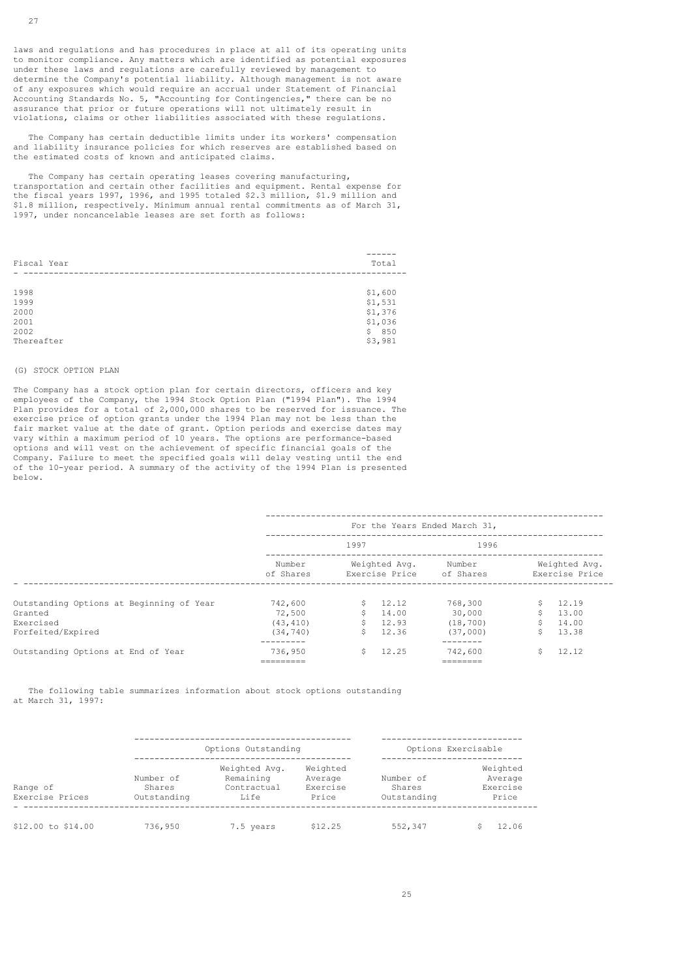The Company has certain deductible limits under its workers' compensation and liability insurance policies for which reserves are established based on the estimated costs of known and anticipated claims.

The Company has certain operating leases covering manufacturing, transportation and certain other facilities and equipment. Rental expense for the fiscal years 1997, 1996, and 1995 totaled \$2.3 million, \$1.9 million and \$1.8 million, respectively. Minimum annual rental commitments as of March 31, 1997, under noncancelable leases are set forth as follows:

| Fiscal Year  | Total                |
|--------------|----------------------|
|              |                      |
| 1998<br>1999 | \$1,600<br>\$1,531   |
| 2000         | \$1,376              |
| 2001<br>2002 | \$1,036<br>850<br>Ŝ. |
| Thereafter   | \$3,981              |

### (G) STOCK OPTION PLAN

The Company has a stock option plan for certain directors, officers and key employees of the Company, the 1994 Stock Option Plan ("1994 Plan"). The 1994 Plan provides for a total of 2,000,000 shares to be reserved for issuance. The exercise price of option grants under the 1994 Plan may not be less than the fair market value at the date of grant. Option periods and exercise dates may vary within a maximum period of 10 years. The options are performance-based options and will vest on the achievement of specific financial goals of the Company. Failure to meet the specified goals will delay vesting until the end of the 10-year period. A summary of the activity of the 1994 Plan is presented below.

|                                                     | For the Years Ended March 31, |          |                                 |                       |                                 |                |
|-----------------------------------------------------|-------------------------------|----------|---------------------------------|-----------------------|---------------------------------|----------------|
|                                                     |                               | 1997     |                                 | 1996                  |                                 |                |
|                                                     | Number<br>of Shares           |          | Weighted Avg.<br>Exercise Price | Number<br>of Shares   | Weighted Avg.<br>Exercise Price |                |
| Outstanding Options at Beginning of Year<br>Granted | 742,600<br>72,500             | Ŝ.<br>Ŝ. | 12.12<br>14.00                  | 768,300<br>30,000     | Ŝ.<br>Ŝ.                        | 12.19<br>13.00 |
| Exercised<br>Forfeited/Expired                      | (43, 410)<br>(34, 740)        | Ŝ.<br>Ŝ. | 12.93<br>12.36                  | (18, 700)<br>(37,000) | Ŝ.<br>Ŝ.                        | 14.00<br>13.38 |
| Outstanding Options at End of Year                  | 736,950<br>========           | Ŝ.       | 12.25                           | 742,600<br>-------    | Ŝ.                              | 12.12          |

 The following table summarizes information about stock options outstanding at March 31, 1997:

|                             |                                    | Options Outstanding                               |                                          | Options Exercisable                |                                          |  |
|-----------------------------|------------------------------------|---------------------------------------------------|------------------------------------------|------------------------------------|------------------------------------------|--|
| Range of<br>Exercise Prices | Number of<br>Shares<br>Outstanding | Weighted Avg.<br>Remaining<br>Contractual<br>Life | Weighted<br>Average<br>Exercise<br>Price | Number of<br>Shares<br>Outstanding | Weighted<br>Average<br>Exercise<br>Price |  |
| \$12.00 to \$14.00          | 736,950                            | 7.5 years                                         | \$12.25                                  | 552,347                            | 12.06                                    |  |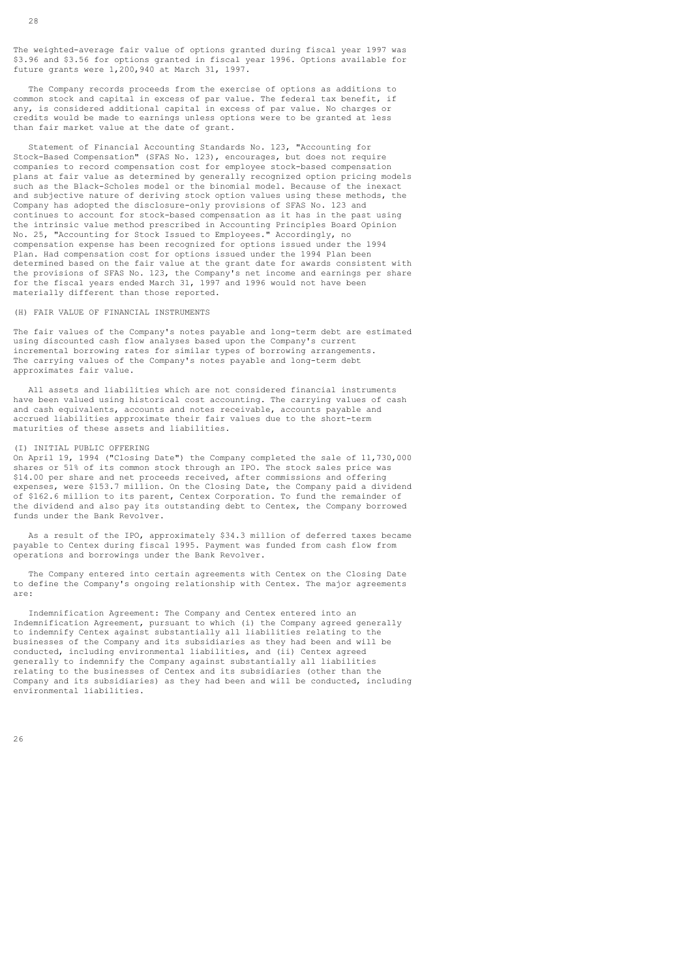The weighted-average fair value of options granted during fiscal year 1997 was \$3.96 and \$3.56 for options granted in fiscal year 1996. Options available for future grants were 1,200,940 at March 31, 1997.

 The Company records proceeds from the exercise of options as additions to common stock and capital in excess of par value. The federal tax benefit, if any, is considered additional capital in excess of par value. No charges or credits would be made to earnings unless options were to be granted at less than fair market value at the date of grant.

 Statement of Financial Accounting Standards No. 123, "Accounting for Stock-Based Compensation" (SFAS No. 123), encourages, but does not require companies to record compensation cost for employee stock-based compensation plans at fair value as determined by generally recognized option pricing models such as the Black-Scholes model or the binomial model. Because of the inexact and subjective nature of deriving stock option values using these methods, the Company has adopted the disclosure-only provisions of SFAS No. 123 and continues to account for stock-based compensation as it has in the past using the intrinsic value method prescribed in Accounting Principles Board Opinion No. 25, "Accounting for Stock Issued to Employees." Accordingly, no compensation expense has been recognized for options issued under the 1994 Plan. Had compensation cost for options issued under the 1994 Plan been determined based on the fair value at the grant date for awards consistent with the provisions of SFAS No. 123, the Company's net income and earnings per share for the fiscal years ended March 31, 1997 and 1996 would not have been materially different than those reported.

#### (H) FAIR VALUE OF FINANCIAL INSTRUMENTS

The fair values of the Company's notes payable and long-term debt are estimated using discounted cash flow analyses based upon the Company's current incremental borrowing rates for similar types of borrowing arrangements. The carrying values of the Company's notes payable and long-term debt approximates fair value.

 All assets and liabilities which are not considered financial instruments have been valued using historical cost accounting. The carrying values of cash and cash equivalents, accounts and notes receivable, accounts payable and accrued liabilities approximate their fair values due to the short-term maturities of these assets and liabilities.

#### (I) INITIAL PUBLIC OFFERING

On April 19, 1994 ("Closing Date") the Company completed the sale of 11,730,000 shares or 51% of its common stock through an IPO. The stock sales price was \$14.00 per share and net proceeds received, after commissions and offering expenses, were \$153.7 million. On the Closing Date, the Company paid a dividend of \$162.6 million to its parent, Centex Corporation. To fund the remainder of the dividend and also pay its outstanding debt to Centex, the Company borrowed funds under the Bank Revolver.

 As a result of the IPO, approximately \$34.3 million of deferred taxes became payable to Centex during fiscal 1995. Payment was funded from cash flow from operations and borrowings under the Bank Revolver.

 The Company entered into certain agreements with Centex on the Closing Date to define the Company's ongoing relationship with Centex. The major agreements are:

 Indemnification Agreement: The Company and Centex entered into an Indemnification Agreement, pursuant to which (i) the Company agreed generally to indemnify Centex against substantially all liabilities relating to the businesses of the Company and its subsidiaries as they had been and will be conducted, including environmental liabilities, and (ii) Centex agreed generally to indemnify the Company against substantially all liabilities relating to the businesses of Centex and its subsidiaries (other than the Company and its subsidiaries) as they had been and will be conducted, including environmental liabilities.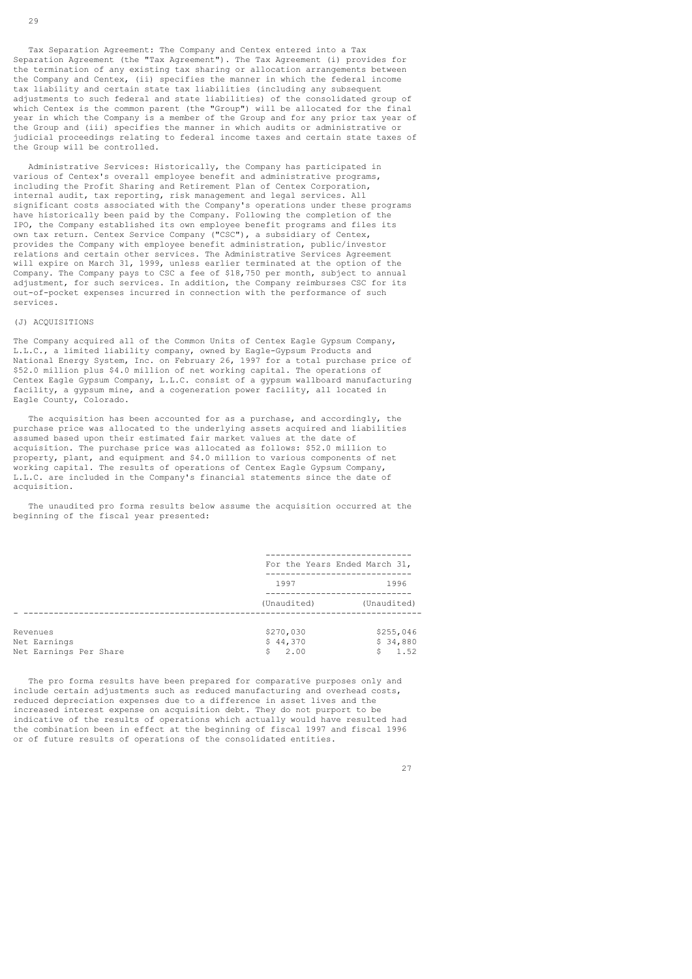Tax Separation Agreement: The Company and Centex entered into a Tax Separation Agreement (the "Tax Agreement"). The Tax Agreement (i) provides for the termination of any existing tax sharing or allocation arrangements between the Company and Centex, (ii) specifies the manner in which the federal income tax liability and certain state tax liabilities (including any subsequent adjustments to such federal and state liabilities) of the consolidated group of which Centex is the common parent (the "Group") will be allocated for the final year in which the Company is a member of the Group and for any prior tax year of the Group and (iii) specifies the manner in which audits or administrative or judicial proceedings relating to federal income taxes and certain state taxes of the Group will be controlled.

 Administrative Services: Historically, the Company has participated in various of Centex's overall employee benefit and administrative programs, including the Profit Sharing and Retirement Plan of Centex Corporation, internal audit, tax reporting, risk management and legal services. All significant costs associated with the Company's operations under these programs have historically been paid by the Company. Following the completion of the IPO, the Company established its own employee benefit programs and files its own tax return. Centex Service Company ("CSC"), a subsidiary of Centex, provides the Company with employee benefit administration, public/investor relations and certain other services. The Administrative Services Agreement will expire on March 31, 1999, unless earlier terminated at the option of the Company. The Company pays to CSC a fee of \$18,750 per month, subject to annual adjustment, for such services. In addition, the Company reimburses CSC for its out-of-pocket expenses incurred in connection with the performance of such services.

#### (J) ACQUISITIONS

The Company acquired all of the Common Units of Centex Eagle Gypsum Company, L.L.C., a limited liability company, owned by Eagle-Gypsum Products and National Energy System, Inc. on February 26, 1997 for a total purchase price of \$52.0 million plus \$4.0 million of net working capital. The operations of Centex Eagle Gypsum Company, L.L.C. consist of a gypsum wallboard manufacturing facility, a gypsum mine, and a cogeneration power facility, all located in Eagle County, Colorado.

 The acquisition has been accounted for as a purchase, and accordingly, the purchase price was allocated to the underlying assets acquired and liabilities assumed based upon their estimated fair market values at the date of acquisition. The purchase price was allocated as follows: \$52.0 million to property, plant, and equipment and \$4.0 million to various components of net working capital. The results of operations of Centex Eagle Gypsum Company, L.L.C. are included in the Company's financial statements since the date of acquisition.

 The unaudited pro forma results below assume the acquisition occurred at the beginning of the fiscal year presented:

|                                                    | For the Years Ended March 31,       |                                    |
|----------------------------------------------------|-------------------------------------|------------------------------------|
|                                                    | 1997                                | 1996                               |
|                                                    | (Unaudited)                         | (Unaudited)                        |
| Revenues<br>Net Earnings<br>Net Earnings Per Share | \$270,030<br>\$44,370<br>2.00<br>Ŝ. | \$255,046<br>\$34,880<br>1.52<br>Ŝ |

 The pro forma results have been prepared for comparative purposes only and include certain adjustments such as reduced manufacturing and overhead costs, reduced depreciation expenses due to a difference in asset lives and the increased interest expense on acquisition debt. They do not purport to be indicative of the results of operations which actually would have resulted had the combination been in effect at the beginning of fiscal 1997 and fiscal 1996 or of future results of operations of the consolidated entities.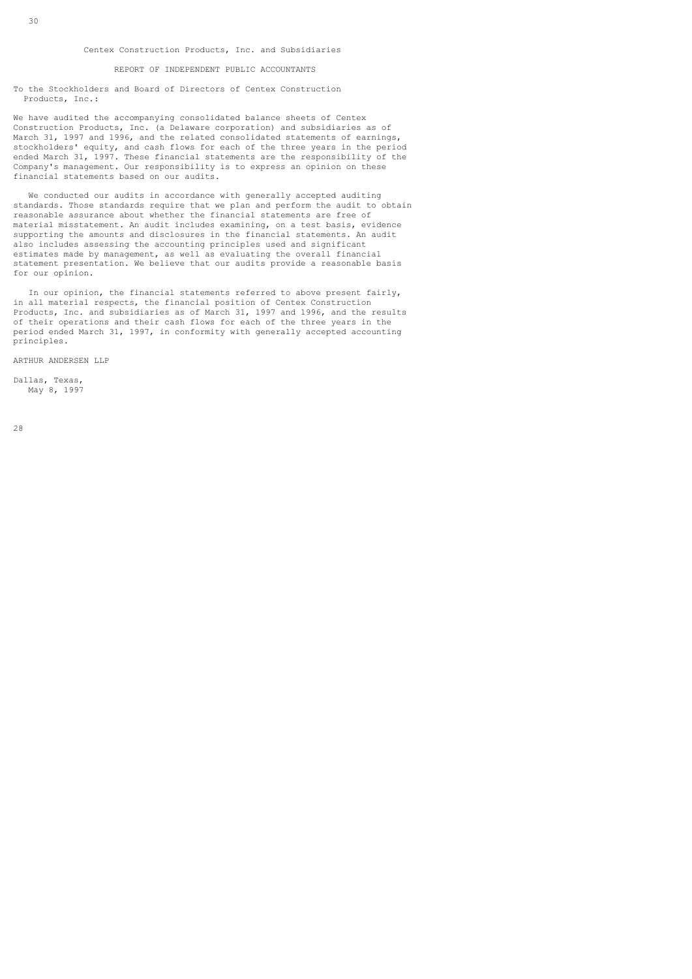#### Centex Construction Products, Inc. and Subsidiaries

### REPORT OF INDEPENDENT PUBLIC ACCOUNTANTS

To the Stockholders and Board of Directors of Centex Construction Products, Inc.:

We have audited the accompanying consolidated balance sheets of Centex Construction Products, Inc. (a Delaware corporation) and subsidiaries as of March 31, 1997 and 1996, and the related consolidated statements of earnings, stockholders' equity, and cash flows for each of the three years in the period ended March 31, 1997. These financial statements are the responsibility of the Company's management. Our responsibility is to express an opinion on these financial statements based on our audits.

 We conducted our audits in accordance with generally accepted auditing standards. Those standards require that we plan and perform the audit to obtain reasonable assurance about whether the financial statements are free of material misstatement. An audit includes examining, on a test basis, evidence supporting the amounts and disclosures in the financial statements. An audit also includes assessing the accounting principles used and significant estimates made by management, as well as evaluating the overall financial statement presentation. We believe that our audits provide a reasonable basis for our opinion.

 In our opinion, the financial statements referred to above present fairly, in all material respects, the financial position of Centex Construction Products, Inc. and subsidiaries as of March 31, 1997 and 1996, and the results of their operations and their cash flows for each of the three years in the period ended March 31, 1997, in conformity with generally accepted accounting principles.

ARTHUR ANDERSEN LLP

Dallas, Texas, May 8, 1997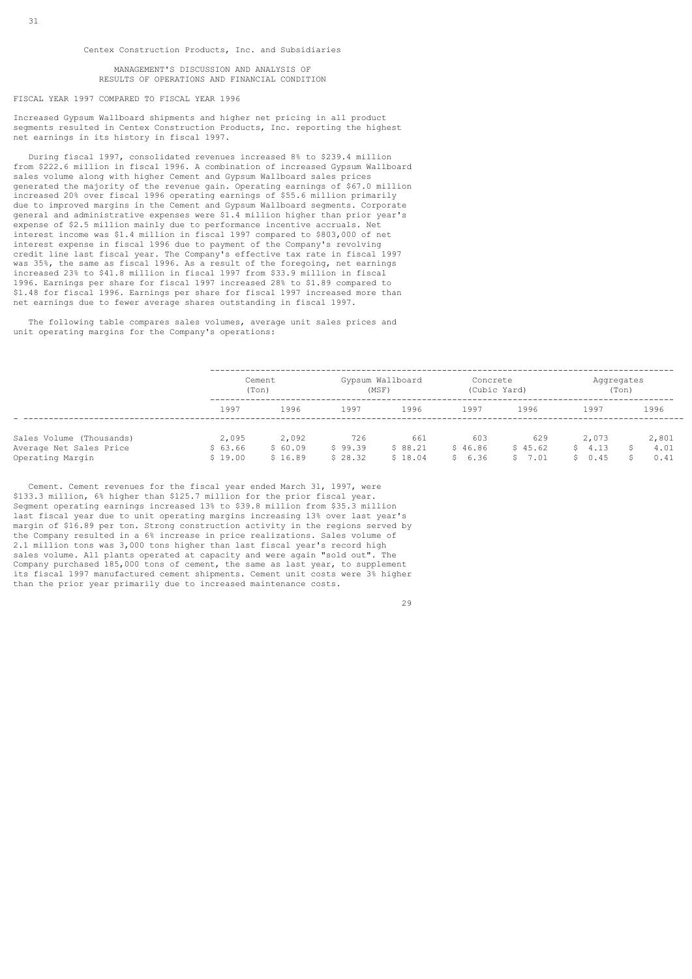MANAGEMENT'S DISCUSSION AND ANALYSIS OF RESULTS OF OPERATIONS AND FINANCIAL CONDITION

### FISCAL YEAR 1997 COMPARED TO FISCAL YEAR 1996

Increased Gypsum Wallboard shipments and higher net pricing in all product segments resulted in Centex Construction Products, Inc. reporting the highest net earnings in its history in fiscal 1997.

 During fiscal 1997, consolidated revenues increased 8% to \$239.4 million from \$222.6 million in fiscal 1996. A combination of increased Gypsum Wallboard sales volume along with higher Cement and Gypsum Wallboard sales prices generated the majority of the revenue gain. Operating earnings of \$67.0 million increased 20% over fiscal 1996 operating earnings of \$55.6 million primarily due to improved margins in the Cement and Gypsum Wallboard segments. Corporate general and administrative expenses were \$1.4 million higher than prior year's expense of \$2.5 million mainly due to performance incentive accruals. Net interest income was \$1.4 million in fiscal 1997 compared to \$803,000 of net interest expense in fiscal 1996 due to payment of the Company's revolving credit line last fiscal year. The Company's effective tax rate in fiscal 1997 was 35%, the same as fiscal 1996. As a result of the foregoing, net earnings increased 23% to \$41.8 million in fiscal 1997 from \$33.9 million in fiscal 1996. Earnings per share for fiscal 1997 increased 28% to \$1.89 compared to \$1.48 for fiscal 1996. Earnings per share for fiscal 1997 increased more than net earnings due to fewer average shares outstanding in fiscal 1997.

 The following table compares sales volumes, average unit sales prices and unit operating margins for the Company's operations:

|                                                                         |                             | Cement<br>(Ton)             |                           | Gypsum Wallboard<br>(MSF) |                          | Concrete<br>(Cubic Yard) |                           | Aqqreqates<br>(Ton)   |  |
|-------------------------------------------------------------------------|-----------------------------|-----------------------------|---------------------------|---------------------------|--------------------------|--------------------------|---------------------------|-----------------------|--|
|                                                                         | 1997                        | 1996                        | 1997                      | 1996                      | 1997                     | 1996                     | 1997                      | 1996                  |  |
| Sales Volume (Thousands)<br>Average Net Sales Price<br>Operating Margin | 2,095<br>\$63.66<br>\$19.00 | 2,092<br>\$60.09<br>\$16.89 | 726<br>\$99.39<br>\$28.32 | 661<br>\$88.21<br>\$18.04 | 603<br>\$46.86<br>\$6.36 | 629<br>\$45.62<br>\$7.01 | 2,073<br>\$4.13<br>\$0.45 | 2,801<br>4.01<br>0.41 |  |

 Cement. Cement revenues for the fiscal year ended March 31, 1997, were \$133.3 million, 6% higher than \$125.7 million for the prior fiscal year. Segment operating earnings increased 13% to \$39.8 million from \$35.3 million last fiscal year due to unit operating margins increasing 13% over last year's margin of \$16.89 per ton. Strong construction activity in the regions served by the Company resulted in a 6% increase in price realizations. Sales volume of 2.1 million tons was 3,000 tons higher than last fiscal year's record high sales volume. All plants operated at capacity and were again "sold out". The Company purchased 185,000 tons of cement, the same as last year, to supplement its fiscal 1997 manufactured cement shipments. Cement unit costs were 3% higher than the prior year primarily due to increased maintenance costs.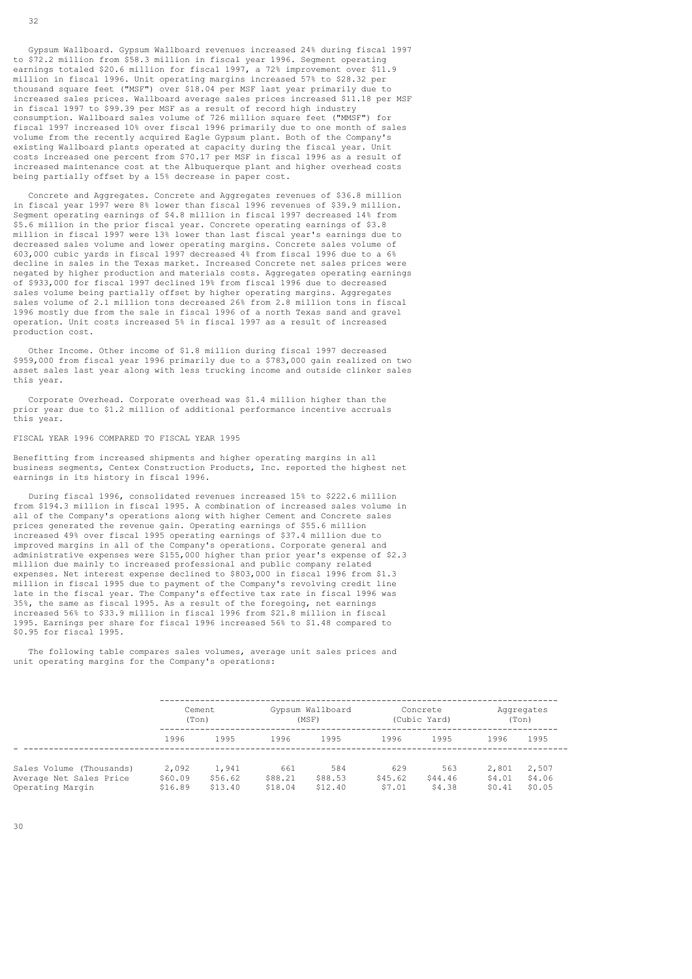Gypsum Wallboard. Gypsum Wallboard revenues increased 24% during fiscal 1997 to \$72.2 million from \$58.3 million in fiscal year 1996. Segment operating earnings totaled \$20.6 million for fiscal 1997, a 72% improvement over \$11.9 million in fiscal 1996. Unit operating margins increased 57% to \$28.32 per thousand square feet ("MSF") over \$18.04 per MSF last year primarily due to increased sales prices. Wallboard average sales prices increased \$11.18 per MSF in fiscal 1997 to \$99.39 per MSF as a result of record high industry consumption. Wallboard sales volume of 726 million square feet ("MMSF") for fiscal 1997 increased 10% over fiscal 1996 primarily due to one month of sales volume from the recently acquired Eagle Gypsum plant. Both of the Company's existing Wallboard plants operated at capacity during the fiscal year. Unit costs increased one percent from \$70.17 per MSF in fiscal 1996 as a result of increased maintenance cost at the Albuquerque plant and higher overhead costs being partially offset by a 15% decrease in paper cost.

 Concrete and Aggregates. Concrete and Aggregates revenues of \$36.8 million in fiscal year 1997 were 8% lower than fiscal 1996 revenues of \$39.9 million. Segment operating earnings of \$4.8 million in fiscal 1997 decreased 14% from \$5.6 million in the prior fiscal year. Concrete operating earnings of \$3.8 million in fiscal 1997 were 13% lower than last fiscal year's earnings due to decreased sales volume and lower operating margins. Concrete sales volume of 603,000 cubic yards in fiscal 1997 decreased 4% from fiscal 1996 due to a 6% decline in sales in the Texas market. Increased Concrete net sales prices were negated by higher production and materials costs. Aggregates operating earnings of \$933,000 for fiscal 1997 declined 19% from fiscal 1996 due to decreased sales volume being partially offset by higher operating margins. Aggregates sales volume of 2.1 million tons decreased 26% from 2.8 million tons in fiscal 1996 mostly due from the sale in fiscal 1996 of a north Texas sand and gravel operation. Unit costs increased 5% in fiscal 1997 as a result of increased production cost.

 Other Income. Other income of \$1.8 million during fiscal 1997 decreased \$959,000 from fiscal year 1996 primarily due to a \$783,000 gain realized on two asset sales last year along with less trucking income and outside clinker sales this year.

 Corporate Overhead. Corporate overhead was \$1.4 million higher than the prior year due to \$1.2 million of additional performance incentive accruals this year.

### FISCAL YEAR 1996 COMPARED TO FISCAL YEAR 1995

Benefitting from increased shipments and higher operating margins in all business segments, Centex Construction Products, Inc. reported the highest net earnings in its history in fiscal 1996.

 During fiscal 1996, consolidated revenues increased 15% to \$222.6 million from \$194.3 million in fiscal 1995. A combination of increased sales volume in all of the Company's operations along with higher Cement and Concrete sales prices generated the revenue gain. Operating earnings of \$55.6 million increased 49% over fiscal 1995 operating earnings of \$37.4 million due to improved margins in all of the Company's operations. Corporate general and administrative expenses were \$155,000 higher than prior year's expense of \$2.3 million due mainly to increased professional and public company related expenses. Net interest expense declined to \$803,000 in fiscal 1996 from \$1.3 million in fiscal 1995 due to payment of the Company's revolving credit line late in the fiscal year. The Company's effective tax rate in fiscal 1996 was 35%, the same as fiscal 1995. As a result of the foregoing, net earnings increased 56% to \$33.9 million in fiscal 1996 from \$21.8 million in fiscal 1995. Earnings per share for fiscal 1996 increased 56% to \$1.48 compared to \$0.95 for fiscal 1995.

 The following table compares sales volumes, average unit sales prices and unit operating margins for the Company's operations:

|                          | Cement  |         | Gypsum Wallboard |         | Concrete     |         | Aggregates |        |
|--------------------------|---------|---------|------------------|---------|--------------|---------|------------|--------|
|                          | (Ton)   |         | (MSF)            |         | (Cubic Yard) |         | (Ton)      |        |
|                          | 1996    | 1995    | 1996             | 1995    | 1996         | 1995    | 1996       | 1995   |
| Sales Volume (Thousands) | 2,092   | 1,941   | 661              | 584     | 629          | 563     | 2,801      | 2,507  |
| Average Net Sales Price  | \$60.09 | \$56.62 | \$88.21          | \$88.53 | \$45.62      | \$44.46 | \$4.01     | \$4.06 |
| Operating Margin         | \$16.89 | \$13.40 | \$18.04          | \$12.40 | \$7.01       | \$4.38  | \$0.41     | \$0.05 |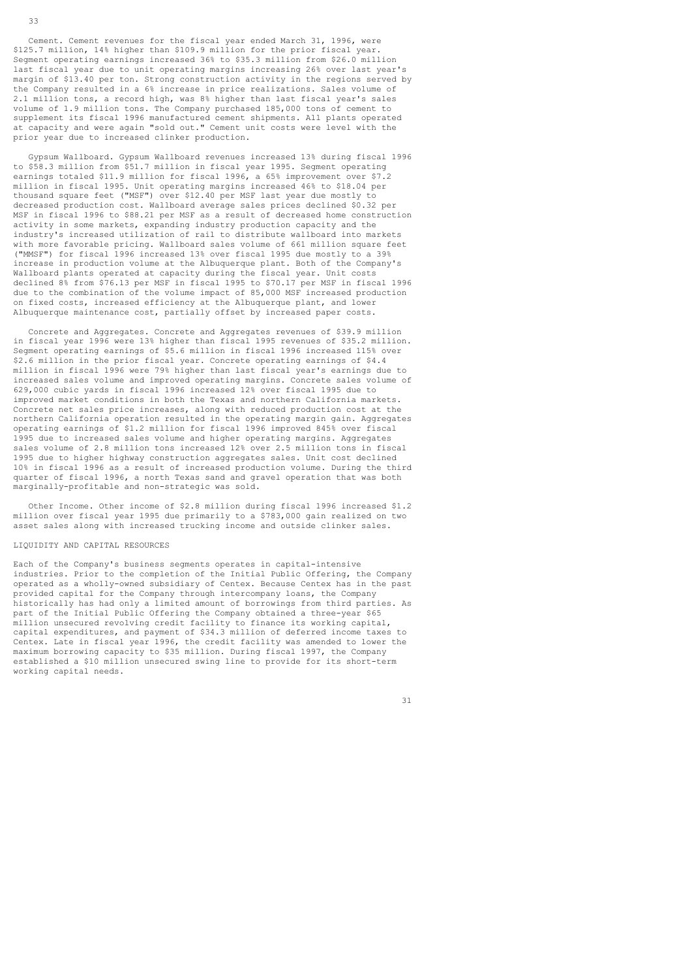Cement. Cement revenues for the fiscal year ended March 31, 1996, were \$125.7 million, 14% higher than \$109.9 million for the prior fiscal year. Segment operating earnings increased 36% to \$35.3 million from \$26.0 million last fiscal year due to unit operating margins increasing 26% over last year's margin of \$13.40 per ton. Strong construction activity in the regions served by the Company resulted in a 6% increase in price realizations. Sales volume of 2.1 million tons, a record high, was 8% higher than last fiscal year's sales volume of 1.9 million tons. The Company purchased 185,000 tons of cement to supplement its fiscal 1996 manufactured cement shipments. All plants operated at capacity and were again "sold out." Cement unit costs were level with the prior year due to increased clinker production.

 Gypsum Wallboard. Gypsum Wallboard revenues increased 13% during fiscal 1996 to \$58.3 million from \$51.7 million in fiscal year 1995. Segment operating earnings totaled \$11.9 million for fiscal 1996, a 65% improvement over \$7.2 million in fiscal 1995. Unit operating margins increased 46% to \$18.04 per thousand square feet ("MSF") over \$12.40 per MSF last year due mostly to decreased production cost. Wallboard average sales prices declined \$0.32 per MSF in fiscal 1996 to \$88.21 per MSF as a result of decreased home construction activity in some markets, expanding industry production capacity and the industry's increased utilization of rail to distribute wallboard into markets with more favorable pricing. Wallboard sales volume of 661 million square feet ("MMSF") for fiscal 1996 increased 13% over fiscal 1995 due mostly to a 39% increase in production volume at the Albuquerque plant. Both of the Company's Wallboard plants operated at capacity during the fiscal year. Unit costs declined 8% from \$76.13 per MSF in fiscal 1995 to \$70.17 per MSF in fiscal 1996 due to the combination of the volume impact of 85,000 MSF increased production on fixed costs, increased efficiency at the Albuquerque plant, and lower Albuquerque maintenance cost, partially offset by increased paper costs.

 Concrete and Aggregates. Concrete and Aggregates revenues of \$39.9 million in fiscal year 1996 were 13% higher than fiscal 1995 revenues of \$35.2 million. Segment operating earnings of \$5.6 million in fiscal 1996 increased 115% over \$2.6 million in the prior fiscal year. Concrete operating earnings of \$4.4 million in fiscal 1996 were 79% higher than last fiscal year's earnings due to increased sales volume and improved operating margins. Concrete sales volume of 629,000 cubic yards in fiscal 1996 increased 12% over fiscal 1995 due to improved market conditions in both the Texas and northern California markets. Concrete net sales price increases, along with reduced production cost at the northern California operation resulted in the operating margin gain. Aggregates operating earnings of \$1.2 million for fiscal 1996 improved 845% over fiscal 1995 due to increased sales volume and higher operating margins. Aggregates sales volume of 2.8 million tons increased 12% over 2.5 million tons in fiscal 1995 due to higher highway construction aggregates sales. Unit cost declined 10% in fiscal 1996 as a result of increased production volume. During the third quarter of fiscal 1996, a north Texas sand and gravel operation that was both marginally-profitable and non-strategic was sold.

 Other Income. Other income of \$2.8 million during fiscal 1996 increased \$1.2 million over fiscal year 1995 due primarily to a \$783,000 gain realized on two asset sales along with increased trucking income and outside clinker sales.

### LIQUIDITY AND CAPITAL RESOURCES

Each of the Company's business segments operates in capital-intensive industries. Prior to the completion of the Initial Public Offering, the Company operated as a wholly-owned subsidiary of Centex. Because Centex has in the past provided capital for the Company through intercompany loans, the Company historically has had only a limited amount of borrowings from third parties. As part of the Initial Public Offering the Company obtained a three-year \$65 million unsecured revolving credit facility to finance its working capital, capital expenditures, and payment of \$34.3 million of deferred income taxes to Centex. Late in fiscal year 1996, the credit facility was amended to lower the maximum borrowing capacity to \$35 million. During fiscal 1997, the Company established a \$10 million unsecured swing line to provide for its short-term working capital needs.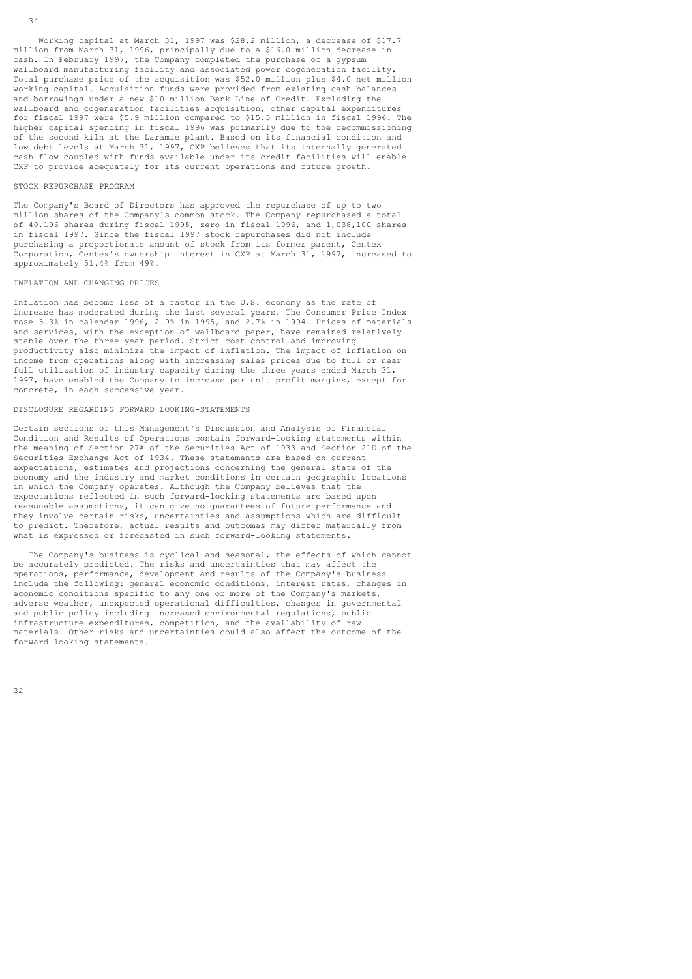### STOCK REPURCHASE PROGRAM

The Company's Board of Directors has approved the repurchase of up to two million shares of the Company's common stock. The Company repurchased a total of 40,196 shares during fiscal 1995, zero in fiscal 1996, and 1,038,100 shares in fiscal 1997. Since the fiscal 1997 stock repurchases did not include purchasing a proportionate amount of stock from its former parent, Centex Corporation, Centex's ownership interest in CXP at March 31, 1997, increased to approximately 51.4% from 49%.

#### INFLATION AND CHANGING PRICES

Inflation has become less of a factor in the U.S. economy as the rate of increase has moderated during the last several years. The Consumer Price Index rose 3.3% in calendar 1996, 2.9% in 1995, and 2.7% in 1994. Prices of materials and services, with the exception of wallboard paper, have remained relatively stable over the three-year period. Strict cost control and improving productivity also minimize the impact of inflation. The impact of inflation on income from operations along with increasing sales prices due to full or near full utilization of industry capacity during the three years ended March 31, 1997, have enabled the Company to increase per unit profit margins, except for concrete, in each successive year.

### DISCLOSURE REGARDING FORWARD LOOKING-STATEMENTS

Certain sections of this Management's Discussion and Analysis of Financial Condition and Results of Operations contain forward-looking statements within the meaning of Section 27A of the Securities Act of 1933 and Section 21E of the Securities Exchange Act of 1934. These statements are based on current expectations, estimates and projections concerning the general state of the economy and the industry and market conditions in certain geographic locations in which the Company operates. Although the Company believes that the expectations reflected in such forward-looking statements are based upon reasonable assumptions, it can give no guarantees of future performance and they involve certain risks, uncertainties and assumptions which are difficult to predict. Therefore, actual results and outcomes may differ materially from what is expressed or forecasted in such forward-looking statements.

 The Company's business is cyclical and seasonal, the effects of which cannot be accurately predicted. The risks and uncertainties that may affect the operations, performance, development and results of the Company's business include the following: general economic conditions, interest rates, changes in economic conditions specific to any one or more of the Company's markets, adverse weather, unexpected operational difficulties, changes in governmental and public policy including increased environmental regulations, public infrastructure expenditures, competition, and the availability of raw materials. Other risks and uncertainties could also affect the outcome of the forward-looking statements.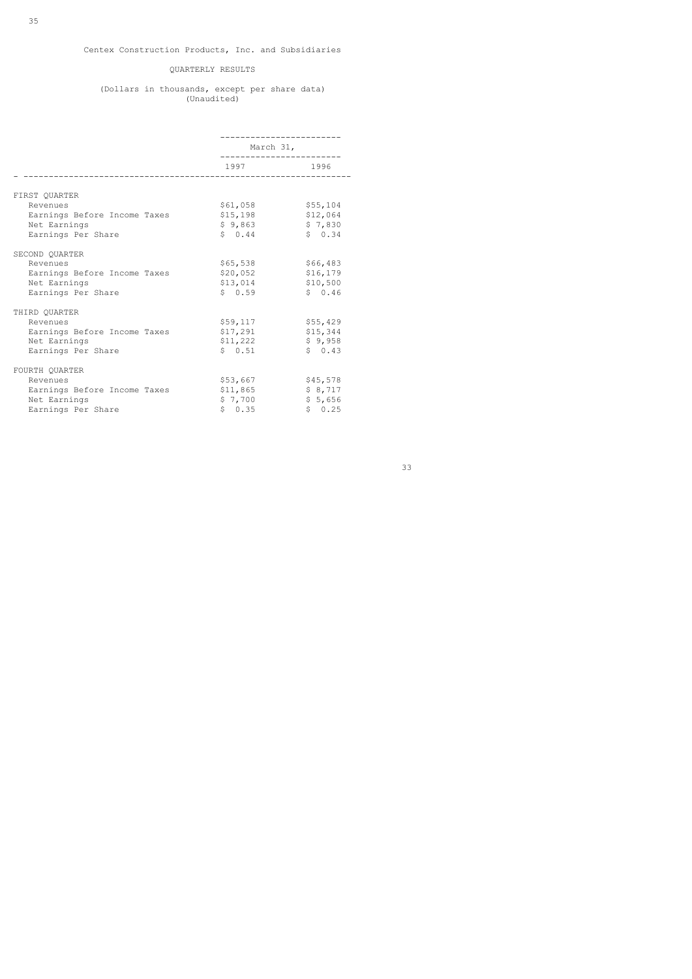## QUARTERLY RESULTS

#### (Dollars in thousands, except per share data) (Unaudited)

|                              | March 31,                                   |           |
|------------------------------|---------------------------------------------|-----------|
|                              | 1997 — Марк<br>____________________________ | 1996      |
|                              |                                             |           |
| FIRST OUARTER                |                                             |           |
| Revenues                     | \$61,058                                    | \$55,104  |
| Earnings Before Income Taxes | \$15,198                                    | \$12,064  |
| Net Earnings                 | \$9,863                                     | \$7,830   |
| Earnings Per Share           | \$0.44                                      | \$0.34    |
| SECOND OUARTER               |                                             |           |
| Revenues                     | \$65,538                                    | \$66,483  |
| Earnings Before Income Taxes | \$20,052                                    | \$16, 179 |
| Net Earnings                 | \$13,014                                    | \$10,500  |
| Earnings Per Share           | \$0.59                                      | \$0.46    |
| THIRD OUARTER                |                                             |           |
| Revenues                     | \$59,117                                    | \$55,429  |
| Earnings Before Income Taxes | \$17,291                                    | \$15,344  |
| Net Earnings                 | \$11,222                                    | \$9,958   |
| Earnings Per Share           | \$0.51                                      | \$0.43    |
| FOURTH QUARTER               |                                             |           |
| Revenues                     | \$53,667                                    | \$45,578  |
| Earnings Before Income Taxes | \$11,865                                    | \$8,717   |
| Net Earnings                 | \$7,700                                     | \$5,656   |
| Earnings Per Share           | \$0.35                                      | \$0.25    |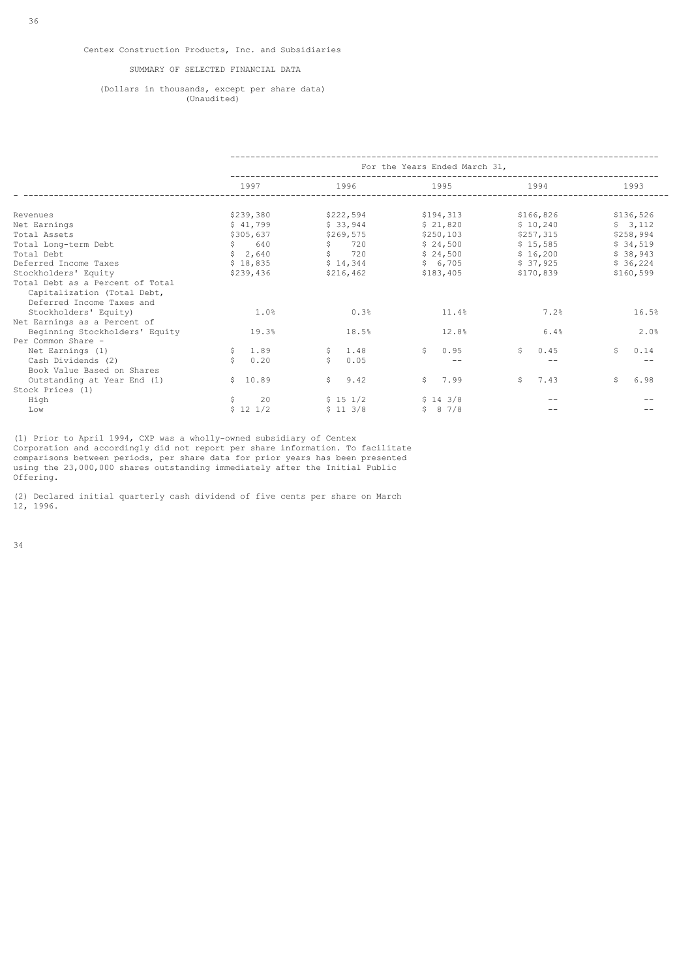## SUMMARY OF SELECTED FINANCIAL DATA

### (Dollars in thousands, except per share data) (Unaudited)

|                                  | For the Years Ended March 31,<br>______________________________ |            |            |            |            |  |  |
|----------------------------------|-----------------------------------------------------------------|------------|------------|------------|------------|--|--|
|                                  | 1997                                                            | 1996       | 1995       | 1994       | 1993       |  |  |
|                                  |                                                                 |            |            |            |            |  |  |
| Revenues                         | \$239,380                                                       | \$222,594  | \$194,313  | \$166,826  | \$136,526  |  |  |
| Net Earnings                     | \$41,799                                                        | \$33,944   | \$21,820   | \$10,240   | \$3,112    |  |  |
| Total Assets                     | \$305,637                                                       | \$269,575  | \$250, 103 | \$257,315  | \$258,994  |  |  |
| Total Long-term Debt             | \$ 640                                                          | \$720      | \$24,500   | \$15,585   | \$34,519   |  |  |
| Total Debt                       | \$2.640                                                         | \$720      | \$24,500   | \$16,200   | \$38,943   |  |  |
| Deferred Income Taxes            | \$18,835                                                        | \$14,344   | \$6,705    | \$37,925   | \$36,224   |  |  |
| Stockholders' Equity             | \$239,436                                                       | \$216,462  | \$183,405  | \$170,839  | \$160,599  |  |  |
| Total Debt as a Percent of Total |                                                                 |            |            |            |            |  |  |
| Capitalization (Total Debt,      |                                                                 |            |            |            |            |  |  |
| Deferred Income Taxes and        |                                                                 |            |            |            |            |  |  |
| Stockholders' Equity)            | 1.0%                                                            | 0.3%       | 11.4%      | 7.2%       | 16.5%      |  |  |
| Net Earnings as a Percent of     |                                                                 |            |            |            |            |  |  |
| Beginning Stockholders' Equity   | 19.3%                                                           | 18.5%      | 12.8%      | 6.4%       | 2.0%       |  |  |
| Per Common Share -               |                                                                 |            |            |            |            |  |  |
| Net Earnings (1)                 | \$1.89                                                          | S<br>1.48  | S.<br>0.95 | Ŝ.<br>0.45 | Ŝ.<br>0.14 |  |  |
| Cash Dividends (2)               | 0.20                                                            | \$<br>0.05 | $- -$      | --         |            |  |  |
| Book Value Based on Shares       |                                                                 |            |            |            |            |  |  |
| Outstanding at Year End (1)      | \$10.89                                                         | S<br>9.42  | S.<br>7.99 | Ŝ.<br>7.43 | Ŝ.<br>6.98 |  |  |
| Stock Prices (1)                 |                                                                 |            |            |            |            |  |  |
| High                             | 20<br>\$                                                        | \$151/2    | \$143/8    |            |            |  |  |
| Low                              | $$12\ 1/2$                                                      | \$113/8    | \$87/8     |            |            |  |  |

(1) Prior to April 1994, CXP was a wholly-owned subsidiary of Centex Corporation and accordingly did not report per share information. To facilitate comparisons between periods, per share data for prior years has been presented using the 23,000,000 shares outstanding immediately after the Initial Public Offering.

(2) Declared initial quarterly cash dividend of five cents per share on March 12, 1996.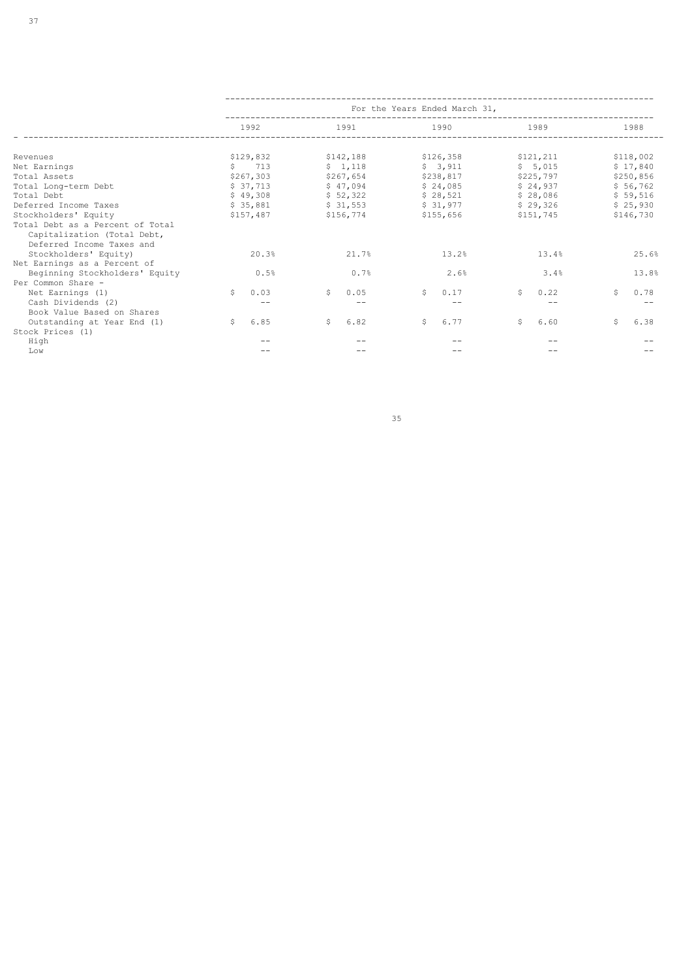|                                  | For the Years Ended March 31, |                                                                                                             |               |            |            |
|----------------------------------|-------------------------------|-------------------------------------------------------------------------------------------------------------|---------------|------------|------------|
|                                  | 1992                          | 1991 — 2007 — 2008 — 2010 — 2021 — 2022 — 2022 — 2022 — 2022 — 2022 — 2022 — 2022 — 2022 — 2022 — 2022 — 20 | 1990          | 1989       | 1988       |
|                                  |                               |                                                                                                             |               |            |            |
| Revenues                         | \$129,832                     | \$142,188                                                                                                   | \$126,358     | \$121,211  | \$118,002  |
| Net Earnings                     | $\frac{1}{2}$ 713             | \$1,118                                                                                                     | \$3,911       | \$5,015    | \$17,840   |
| Total Assets                     | \$267,303                     | \$267,654                                                                                                   | \$238,817     | \$225,797  | \$250,856  |
| Total Long-term Debt             | \$37,713                      | \$47.094                                                                                                    | \$24,085      | \$24,937   | \$56,762   |
| Total Debt                       | \$49,308                      | \$52,322                                                                                                    | \$28,521      | \$28,086   | \$59,516   |
| Deferred Income Taxes            | \$35,881                      | \$31,553                                                                                                    | \$31,977      | \$29,326   | \$25,930   |
| Stockholders' Equity             | \$157,487                     | \$156,774                                                                                                   | \$155,656 700 | \$151,745  | \$146,730  |
| Total Debt as a Percent of Total |                               |                                                                                                             |               |            |            |
| Capitalization (Total Debt,      |                               |                                                                                                             |               |            |            |
| Deferred Income Taxes and        |                               |                                                                                                             |               |            |            |
| Stockholders' Equity)            | 20.3%                         | 21.7%                                                                                                       | 13.2%         | 13.4%      | 25.6%      |
| Net Earnings as a Percent of     |                               |                                                                                                             |               |            |            |
| Beginning Stockholders' Equity   | 0.5%                          | 0.7%                                                                                                        | 2.6%          | 3.4%       | 13.8%      |
| Per Common Share -               |                               |                                                                                                             |               |            |            |
| Net Earnings (1)                 | $\mathsf{S}^-$<br>0.03        | Ŝ.<br>0.05                                                                                                  | Ŝ.<br>0.17    | Ŝ.<br>0.22 | Ŝ.<br>0.78 |
| Cash Dividends (2)               |                               |                                                                                                             |               |            |            |
| Book Value Based on Shares       |                               |                                                                                                             |               |            |            |
| Outstanding at Year End (1)      | 6.85<br>$\mathsf{S}$          | \$<br>6.82                                                                                                  | Ŝ.<br>6.77    | Ŝ.<br>6.60 | 6.38<br>Ŝ. |
| Stock Prices (1)                 |                               |                                                                                                             |               |            |            |
| High                             |                               |                                                                                                             |               |            |            |
| Low                              |                               |                                                                                                             |               |            |            |

<u>35 September 2005 September 2005 September 2005 September 2005 September 2005 September 2005 September 2005 S</u>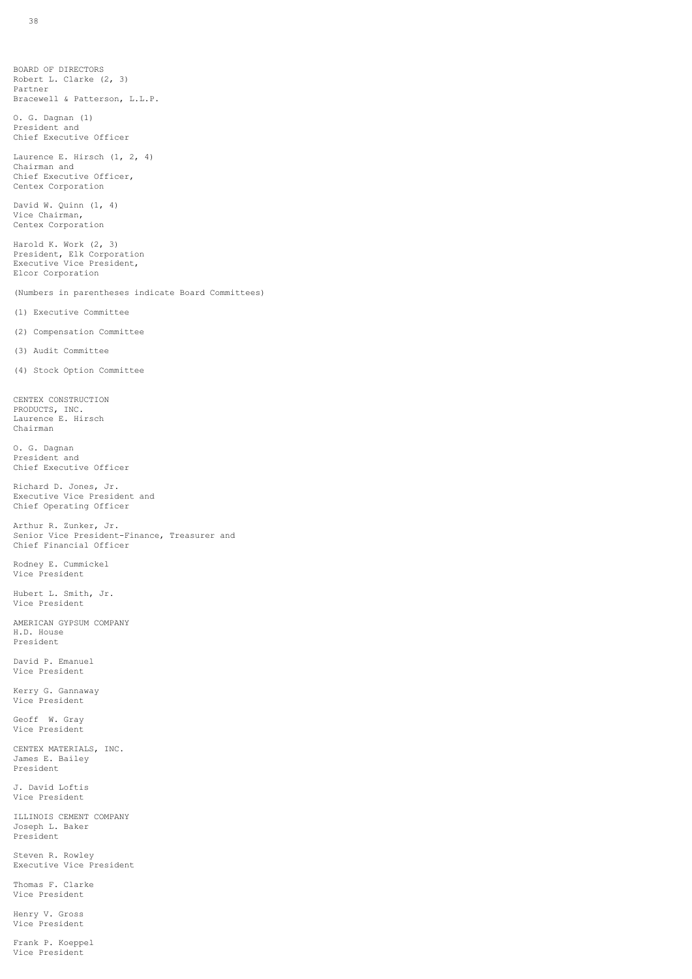BOARD OF DIRECTORS Robert L. Clarke (2, 3) Partner Bracewell & Patterson, L.L.P.

O. G. Dagnan (1) President and Chief Executive Officer

Laurence E. Hirsch (1, 2, 4) Chairman and Chief Executive Officer, Centex Corporation

David W. Quinn (1, 4) Vice Chairman, Centex Corporation

Harold K. Work (2, 3) President, Elk Corporation Executive Vice President, Elcor Corporation

(Numbers in parentheses indicate Board Committees)

(1) Executive Committee

(2) Compensation Committee

(3) Audit Committee

(4) Stock Option Committee

CENTEX CONSTRUCTION PRODUCTS, INC. Laurence E. Hirsch Chairman

O. G. Dagnan President and Chief Executive Officer

Richard D. Jones, Jr. Executive Vice President and Chief Operating Officer

Arthur R. Zunker, Jr. Senior Vice President-Finance, Treasurer and Chief Financial Officer

Rodney E. Cummickel Vice President

Hubert L. Smith, Jr. Vice President

AMERICAN GYPSUM COMPANY H.D. House President

David P. Emanuel Vice President

Kerry G. Gannaway Vice President

Geoff W. Gray Vice President

CENTEX MATERIALS, INC. James E. Bailey President

J. David Loftis Vice President

ILLINOIS CEMENT COMPANY Joseph L. Baker President

Steven R. Rowley Executive Vice President

Thomas F. Clarke Vice President

Henry V. Gross Vice President

Frank P. Koeppel Vice President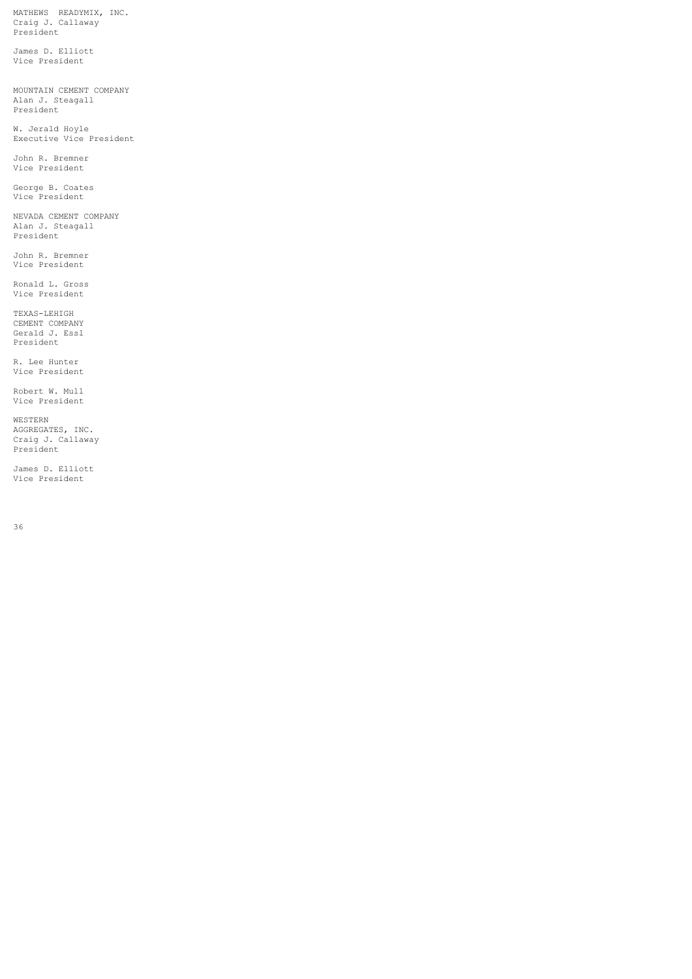MATHEWS READYMIX, INC. Craig J. Callaway President

James D. Elliott Vice President

MOUNTAIN CEMENT COMPANY Alan J. Steagall President

W. Jerald Hoyle Executive Vice President

John R. Bremner Vice President

George B. Coates Vice President

NEVADA CEMENT COMPANY Alan J. Steagall President

John R. Bremner Vice President

Ronald L. Gross Vice President

TEXAS-LEHIGH CEMENT COMPANY Gerald J. Essl President

R. Lee Hunter Vice President

Robert W. Mull Vice President

WESTERN AGGREGATES, INC. Craig J. Callaway President

James D. Elliott Vice President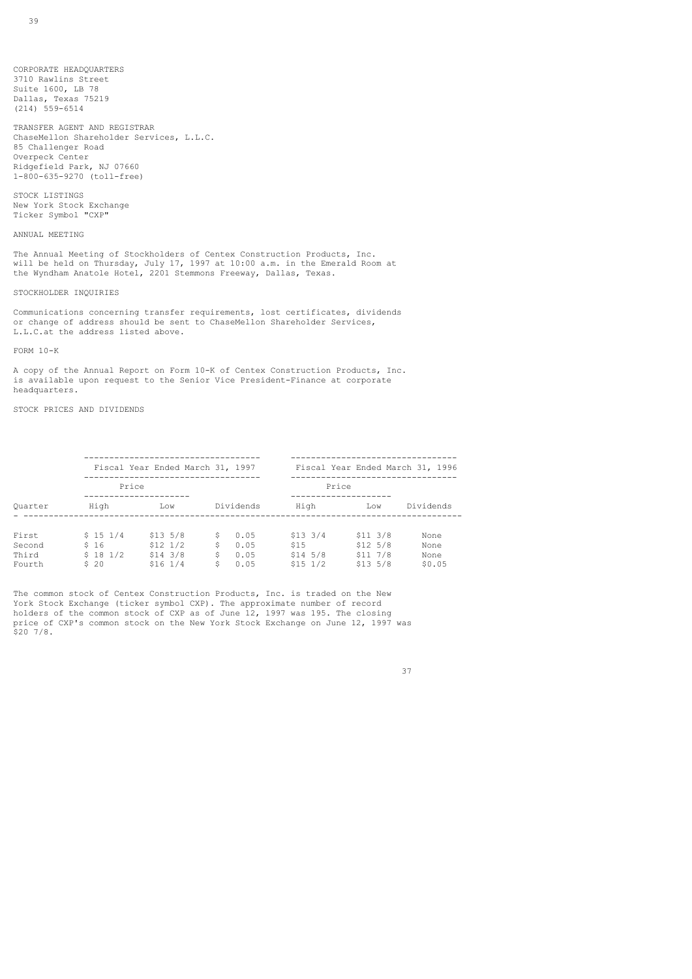CORPORATE HEADQUARTERS 3710 Rawlins Street Suite 1600, LB 78 Dallas, Texas 75219 (214) 559-6514

TRANSFER AGENT AND REGISTRAR ChaseMellon Shareholder Services, L.L.C. 85 Challenger Road Overpeck Center Ridgefield Park, NJ 07660 1-800-635-9270 (toll-free)

STOCK LISTINGS New York Stock Exchange Ticker Symbol "CXP"

## ANNUAL MEETING

The Annual Meeting of Stockholders of Centex Construction Products, Inc. will be held on Thursday, July 17, 1997 at 10:00 a.m. in the Emerald Room at the Wyndham Anatole Hotel, 2201 Stemmons Freeway, Dallas, Texas.

#### STOCKHOLDER INQUIRIES

Communications concerning transfer requirements, lost certificates, dividends or change of address should be sent to ChaseMellon Shareholder Services, L.L.C.at the address listed above.

### FORM 10-K

A copy of the Annual Report on Form 10-K of Centex Construction Products, Inc. is available upon request to the Senior Vice President-Finance at corporate headquarters.

## STOCK PRICES AND DIVIDENDS

|                                    | Fiscal Year Ended March 31, 1997   |                                                      |                                                     | Fiscal Year Ended March 31, 1996                |                                                        |                                |
|------------------------------------|------------------------------------|------------------------------------------------------|-----------------------------------------------------|-------------------------------------------------|--------------------------------------------------------|--------------------------------|
|                                    | Price                              |                                                      |                                                     | Price                                           |                                                        |                                |
| Ouarter                            | High                               | Low                                                  | Dividends                                           | High                                            | Low                                                    | Dividends                      |
| First<br>Second<br>Third<br>Fourth | \$151/4<br>\$16<br>\$181/2<br>\$20 | \$13,5/8<br>$$12\ 1/2$<br>$$14$ $3/8$<br>$$16 \t1/4$ | 0.05<br>Ŝ.<br>Ŝ<br>0.05<br>Ŝ.<br>0.05<br>Ŝ.<br>0.05 | $$13 \t3/4$<br>\$15<br>$$14\ 5/8$<br>$$15\ 1/2$ | $$11 \t3/8$<br>$$12\ 5/8$<br>$$11 \t7/8$<br>$$13\ 5/8$ | None<br>None<br>None<br>\$0.05 |

The common stock of Centex Construction Products, Inc. is traded on the New York Stock Exchange (ticker symbol CXP). The approximate number of record holders of the common stock of CXP as of June 12, 1997 was 195. The closing price of CXP's common stock on the New York Stock Exchange on June 12, 1997 was  $$20, 7/8.$ 

#### 37 and 37 and 37 and 37 and 37 and 37 and 37 and 37 and 37 and 37 and 37 and 37 and 37 and 37 and 37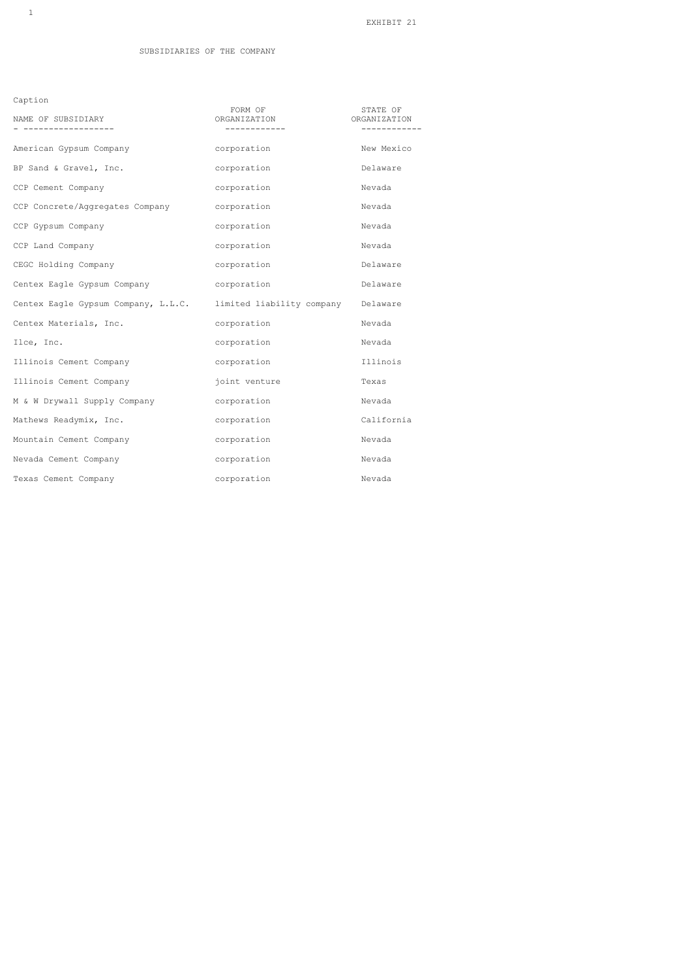Caption

| NAME OF SUBSIDIARY                          | FORM OF<br>ORGANIZATION            | STATE OF<br>ORGANIZATION |
|---------------------------------------------|------------------------------------|--------------------------|
|                                             |                                    |                          |
| American Gypsum Company                     | corporation                        | New Mexico               |
| BP Sand & Gravel, Inc.                      | corporation                        | Delaware                 |
| CCP Cement Company                          | corporation                        | Nevada                   |
| CCP Concrete/Aggregates Company corporation |                                    | Nevada                   |
| CCP Gypsum Company                          | corporation                        | Nevada                   |
| CCP Land Company                            | corporation                        | Nevada                   |
| CEGC Holding Company                        | corporation                        | Delaware                 |
| Centex Eagle Gypsum Company                 | corporation                        | Delaware                 |
| Centex Eagle Gypsum Company, L.L.C.         | limited liability company Delaware |                          |
| Centex Materials, Inc.                      | corporation                        | Nevada                   |
| Ilce, Inc.                                  | corporation                        | Nevada                   |
| Illinois Cement Company                     | corporation                        | Illinois                 |
| Illinois Cement Company                     | joint venture                      | Texas                    |
| M & W Drywall Supply Company                | corporation                        | Nevada                   |
| Mathews Readymix, Inc.                      | corporation                        | California               |
| Mountain Cement Company                     | corporation                        | Nevada                   |
| Nevada Cement Company                       | corporation                        | Nevada                   |
| Texas Cement Company                        | corporation                        | Nevada                   |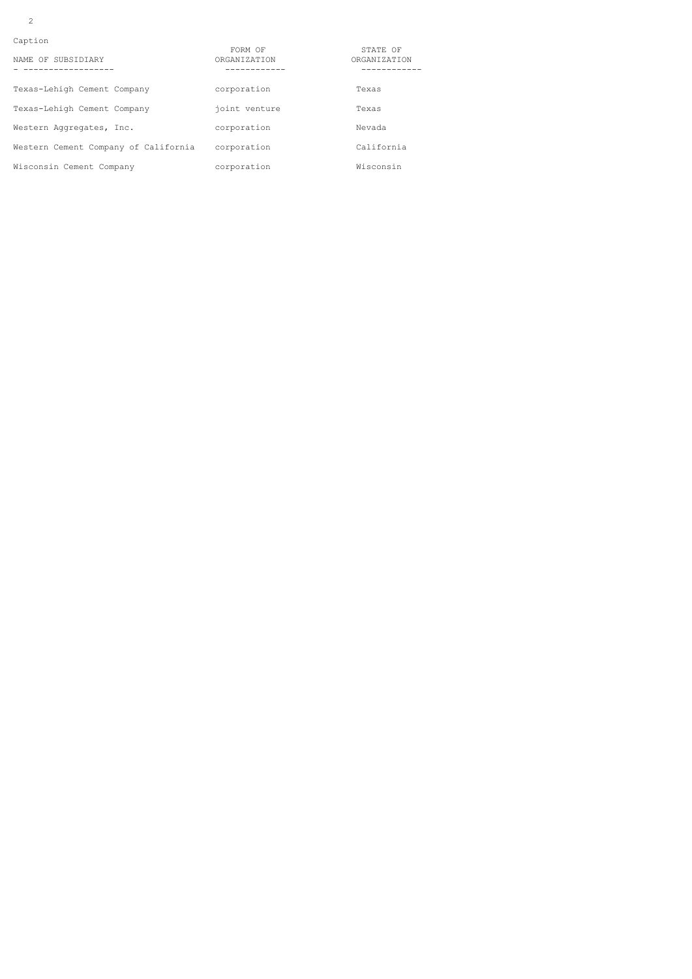2

| Caption |  |
|---------|--|

| NAME OF SUBSIDIARY                   | FORM OF<br>ORGANIZATION | STATE OF<br>ORGANIZATION |
|--------------------------------------|-------------------------|--------------------------|
| Texas-Lehigh Cement Company          | corporation             | Texas                    |
| Texas-Lehigh Cement Company          | joint venture           | Texas                    |
| Western Aggregates, Inc.             | corporation             | Nevada                   |
| Western Cement Company of California | corporation             | California               |
| Wisconsin Cement Company             | corporation             | Wisconsin                |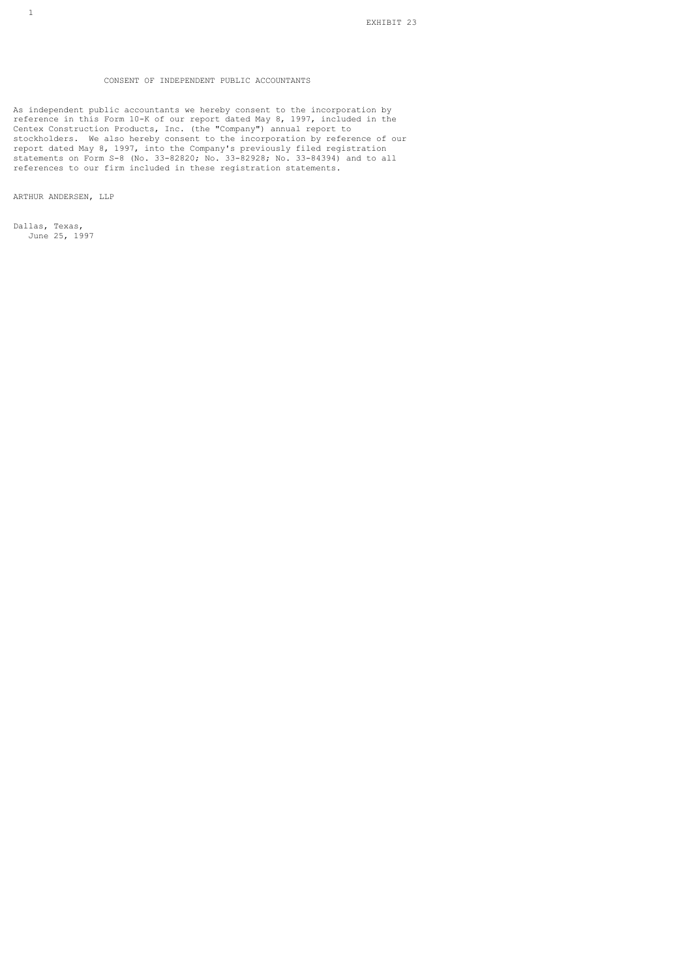# CONSENT OF INDEPENDENT PUBLIC ACCOUNTANTS

As independent public accountants we hereby consent to the incorporation by reference in this Form 10-K of our report dated May 8, 1997, included in the Centex Construction Products, Inc. (the "Company") annual report to stockholders. We also hereby consent to the incorporation by reference of our report dated May 8, 1997, into the Company's previously filed registration statements on Form S-8 (No. 33-82820; No. 33-82928; No. 33-84394) and to all references to our firm included in these registration statements.

ARTHUR ANDERSEN, LLP

Dallas, Texas, June 25, 1997